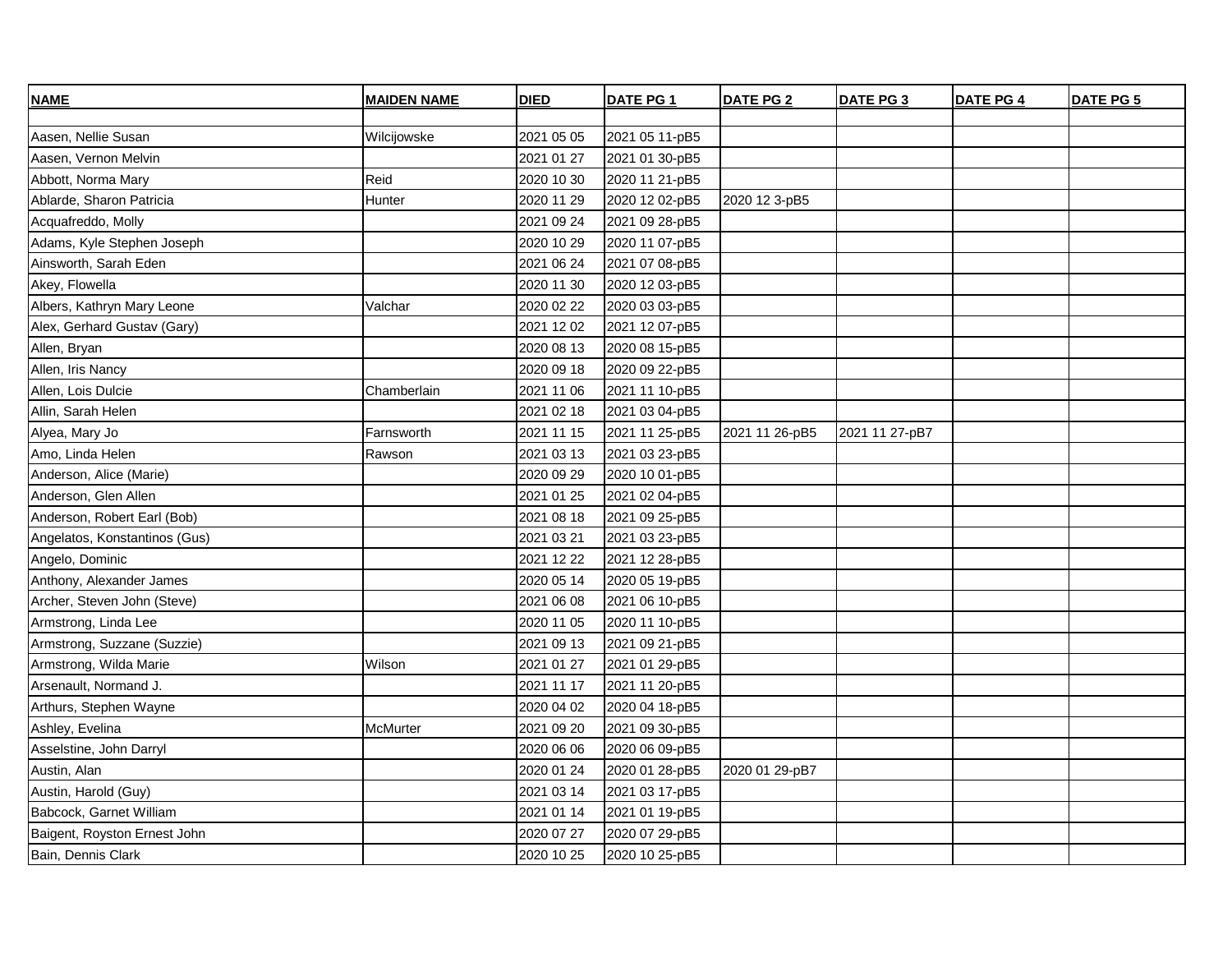| <b>NAME</b>                   | <b>MAIDEN NAME</b> | <b>DIED</b> | DATE PG 1      | <b>DATE PG 2</b> | DATE PG 3      | <b>DATE PG 4</b> | <b>DATE PG 5</b> |
|-------------------------------|--------------------|-------------|----------------|------------------|----------------|------------------|------------------|
|                               |                    |             |                |                  |                |                  |                  |
| Aasen, Nellie Susan           | Wilcijowske        | 2021 05 05  | 2021 05 11-pB5 |                  |                |                  |                  |
| Aasen, Vernon Melvin          |                    | 2021 01 27  | 2021 01 30-pB5 |                  |                |                  |                  |
| Abbott, Norma Mary            | Reid               | 2020 10 30  | 2020 11 21-pB5 |                  |                |                  |                  |
| Ablarde, Sharon Patricia      | Hunter             | 2020 11 29  | 2020 12 02-pB5 | 2020 12 3-pB5    |                |                  |                  |
| Acquafreddo, Molly            |                    | 2021 09 24  | 2021 09 28-pB5 |                  |                |                  |                  |
| Adams, Kyle Stephen Joseph    |                    | 2020 10 29  | 2020 11 07-pB5 |                  |                |                  |                  |
| Ainsworth, Sarah Eden         |                    | 2021 06 24  | 2021 07 08-pB5 |                  |                |                  |                  |
| Akey, Flowella                |                    | 2020 11 30  | 2020 12 03-pB5 |                  |                |                  |                  |
| Albers, Kathryn Mary Leone    | Valchar            | 2020 02 22  | 2020 03 03-pB5 |                  |                |                  |                  |
| Alex, Gerhard Gustav (Gary)   |                    | 2021 12 02  | 2021 12 07-pB5 |                  |                |                  |                  |
| Allen, Bryan                  |                    | 2020 08 13  | 2020 08 15-pB5 |                  |                |                  |                  |
| Allen, Iris Nancy             |                    | 2020 09 18  | 2020 09 22-pB5 |                  |                |                  |                  |
| Allen, Lois Dulcie            | Chamberlain        | 2021 11 06  | 2021 11 10-pB5 |                  |                |                  |                  |
| Allin, Sarah Helen            |                    | 2021 02 18  | 2021 03 04-pB5 |                  |                |                  |                  |
| Alyea, Mary Jo                | Farnsworth         | 2021 11 15  | 2021 11 25-pB5 | 2021 11 26-pB5   | 2021 11 27-pB7 |                  |                  |
| Amo, Linda Helen              | Rawson             | 2021 03 13  | 2021 03 23-pB5 |                  |                |                  |                  |
| Anderson, Alice (Marie)       |                    | 2020 09 29  | 2020 10 01-pB5 |                  |                |                  |                  |
| Anderson, Glen Allen          |                    | 2021 01 25  | 2021 02 04-pB5 |                  |                |                  |                  |
| Anderson, Robert Earl (Bob)   |                    | 2021 08 18  | 2021 09 25-pB5 |                  |                |                  |                  |
| Angelatos, Konstantinos (Gus) |                    | 2021 03 21  | 2021 03 23-pB5 |                  |                |                  |                  |
| Angelo, Dominic               |                    | 2021 12 22  | 2021 12 28-pB5 |                  |                |                  |                  |
| Anthony, Alexander James      |                    | 2020 05 14  | 2020 05 19-pB5 |                  |                |                  |                  |
| Archer, Steven John (Steve)   |                    | 2021 06 08  | 2021 06 10-pB5 |                  |                |                  |                  |
| Armstrong, Linda Lee          |                    | 2020 11 05  | 2020 11 10-pB5 |                  |                |                  |                  |
| Armstrong, Suzzane (Suzzie)   |                    | 2021 09 13  | 2021 09 21-pB5 |                  |                |                  |                  |
| Armstrong, Wilda Marie        | Wilson             | 2021 01 27  | 2021 01 29-pB5 |                  |                |                  |                  |
| Arsenault, Normand J.         |                    | 2021 11 17  | 2021 11 20-pB5 |                  |                |                  |                  |
| Arthurs, Stephen Wayne        |                    | 2020 04 02  | 2020 04 18-pB5 |                  |                |                  |                  |
| Ashley, Evelina               | McMurter           | 2021 09 20  | 2021 09 30-pB5 |                  |                |                  |                  |
| Asselstine, John Darryl       |                    | 2020 06 06  | 2020 06 09-pB5 |                  |                |                  |                  |
| Austin, Alan                  |                    | 2020 01 24  | 2020 01 28-pB5 | 2020 01 29-pB7   |                |                  |                  |
| Austin, Harold (Guy)          |                    | 2021 03 14  | 2021 03 17-pB5 |                  |                |                  |                  |
| Babcock, Garnet William       |                    | 2021 01 14  | 2021 01 19-pB5 |                  |                |                  |                  |
| Baigent, Royston Ernest John  |                    | 2020 07 27  | 2020 07 29-pB5 |                  |                |                  |                  |
| Bain, Dennis Clark            |                    | 2020 10 25  | 2020 10 25-pB5 |                  |                |                  |                  |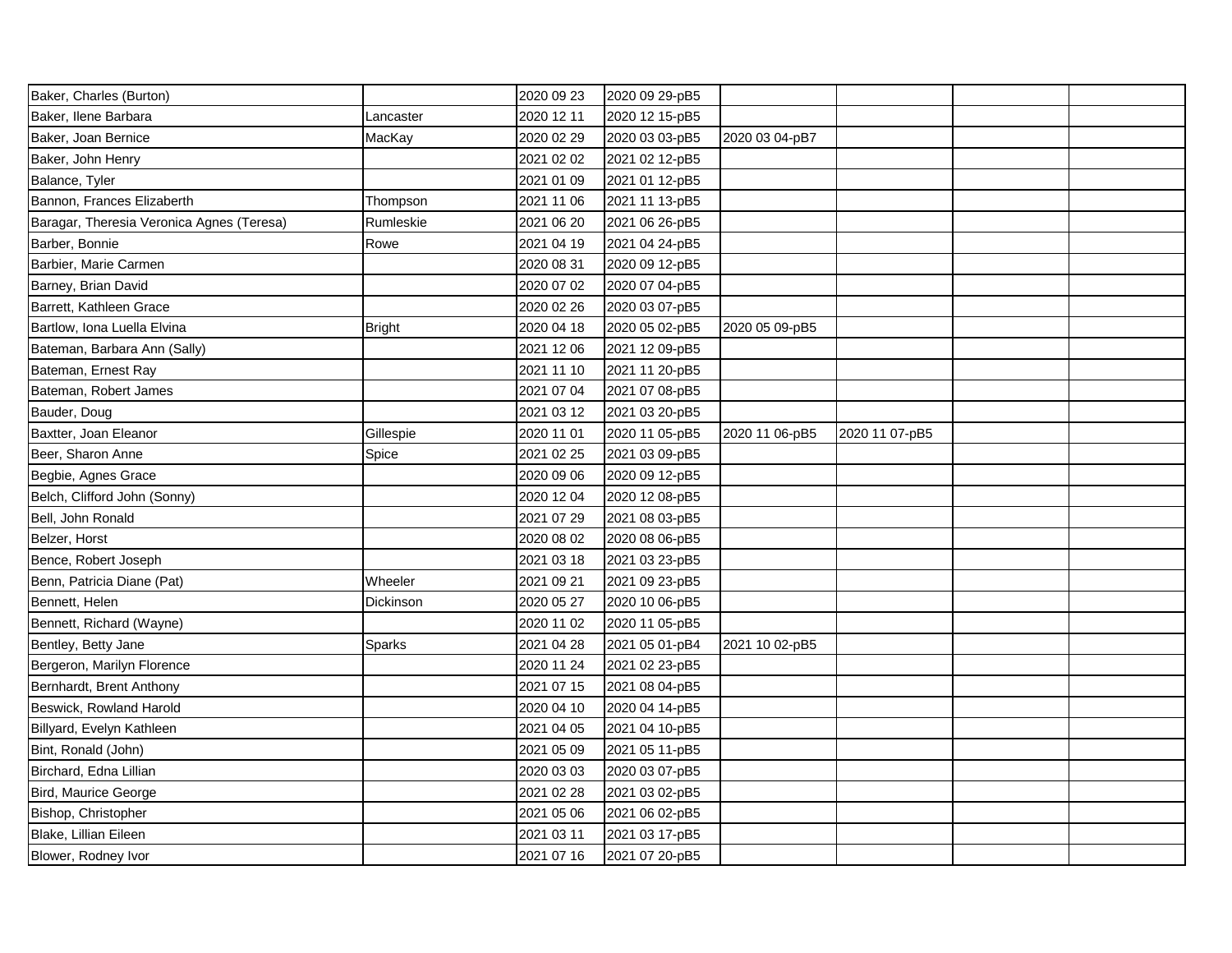| Baker, Charles (Burton)                   |               | 2020 09 23 | 2020 09 29-pB5 |                |                |  |
|-------------------------------------------|---------------|------------|----------------|----------------|----------------|--|
| Baker, Ilene Barbara                      | Lancaster     | 2020 12 11 | 2020 12 15-pB5 |                |                |  |
| Baker, Joan Bernice                       | MacKay        | 2020 02 29 | 2020 03 03-pB5 | 2020 03 04-pB7 |                |  |
| Baker, John Henry                         |               | 2021 02 02 | 2021 02 12-pB5 |                |                |  |
| Balance, Tyler                            |               | 2021 01 09 | 2021 01 12-pB5 |                |                |  |
| Bannon, Frances Elizaberth                | Thompson      | 2021 11 06 | 2021 11 13-pB5 |                |                |  |
| Baragar, Theresia Veronica Agnes (Teresa) | Rumleskie     | 2021 06 20 | 2021 06 26-pB5 |                |                |  |
| Barber, Bonnie                            | Rowe          | 2021 04 19 | 2021 04 24-pB5 |                |                |  |
| Barbier, Marie Carmen                     |               | 2020 08 31 | 2020 09 12-pB5 |                |                |  |
| Barney, Brian David                       |               | 2020 07 02 | 2020 07 04-pB5 |                |                |  |
| Barrett, Kathleen Grace                   |               | 2020 02 26 | 2020 03 07-pB5 |                |                |  |
| Bartlow, Iona Luella Elvina               | <b>Bright</b> | 2020 04 18 | 2020 05 02-pB5 | 2020 05 09-pB5 |                |  |
| Bateman, Barbara Ann (Sally)              |               | 2021 12 06 | 2021 12 09-pB5 |                |                |  |
| Bateman, Ernest Ray                       |               | 2021 11 10 | 2021 11 20-pB5 |                |                |  |
| Bateman, Robert James                     |               | 2021 07 04 | 2021 07 08-pB5 |                |                |  |
| Bauder, Doug                              |               | 2021 03 12 | 2021 03 20-pB5 |                |                |  |
| Baxtter, Joan Eleanor                     | Gillespie     | 2020 11 01 | 2020 11 05-pB5 | 2020 11 06-pB5 | 2020 11 07-pB5 |  |
| Beer, Sharon Anne                         | Spice         | 2021 02 25 | 2021 03 09-pB5 |                |                |  |
| Begbie, Agnes Grace                       |               | 2020 09 06 | 2020 09 12-pB5 |                |                |  |
| Belch, Clifford John (Sonny)              |               | 2020 12 04 | 2020 12 08-pB5 |                |                |  |
| Bell, John Ronald                         |               | 2021 07 29 | 2021 08 03-pB5 |                |                |  |
| Belzer, Horst                             |               | 2020 08 02 | 2020 08 06-pB5 |                |                |  |
| Bence, Robert Joseph                      |               | 2021 03 18 | 2021 03 23-pB5 |                |                |  |
| Benn, Patricia Diane (Pat)                | Wheeler       | 2021 09 21 | 2021 09 23-pB5 |                |                |  |
| Bennett, Helen                            | Dickinson     | 2020 05 27 | 2020 10 06-pB5 |                |                |  |
| Bennett, Richard (Wayne)                  |               | 2020 11 02 | 2020 11 05-pB5 |                |                |  |
| Bentley, Betty Jane                       | Sparks        | 2021 04 28 | 2021 05 01-pB4 | 2021 10 02-pB5 |                |  |
| Bergeron, Marilyn Florence                |               | 2020 11 24 | 2021 02 23-pB5 |                |                |  |
| Bernhardt, Brent Anthony                  |               | 2021 07 15 | 2021 08 04-pB5 |                |                |  |
| Beswick, Rowland Harold                   |               | 2020 04 10 | 2020 04 14-pB5 |                |                |  |
| Billyard, Evelyn Kathleen                 |               | 2021 04 05 | 2021 04 10-pB5 |                |                |  |
| Bint, Ronald (John)                       |               | 2021 05 09 | 2021 05 11-pB5 |                |                |  |
| Birchard, Edna Lillian                    |               | 2020 03 03 | 2020 03 07-pB5 |                |                |  |
| Bird, Maurice George                      |               | 2021 02 28 | 2021 03 02-pB5 |                |                |  |
| Bishop, Christopher                       |               | 2021 05 06 | 2021 06 02-pB5 |                |                |  |
| Blake, Lillian Eileen                     |               | 2021 03 11 | 2021 03 17-pB5 |                |                |  |
| Blower, Rodney Ivor                       |               | 2021 07 16 | 2021 07 20-pB5 |                |                |  |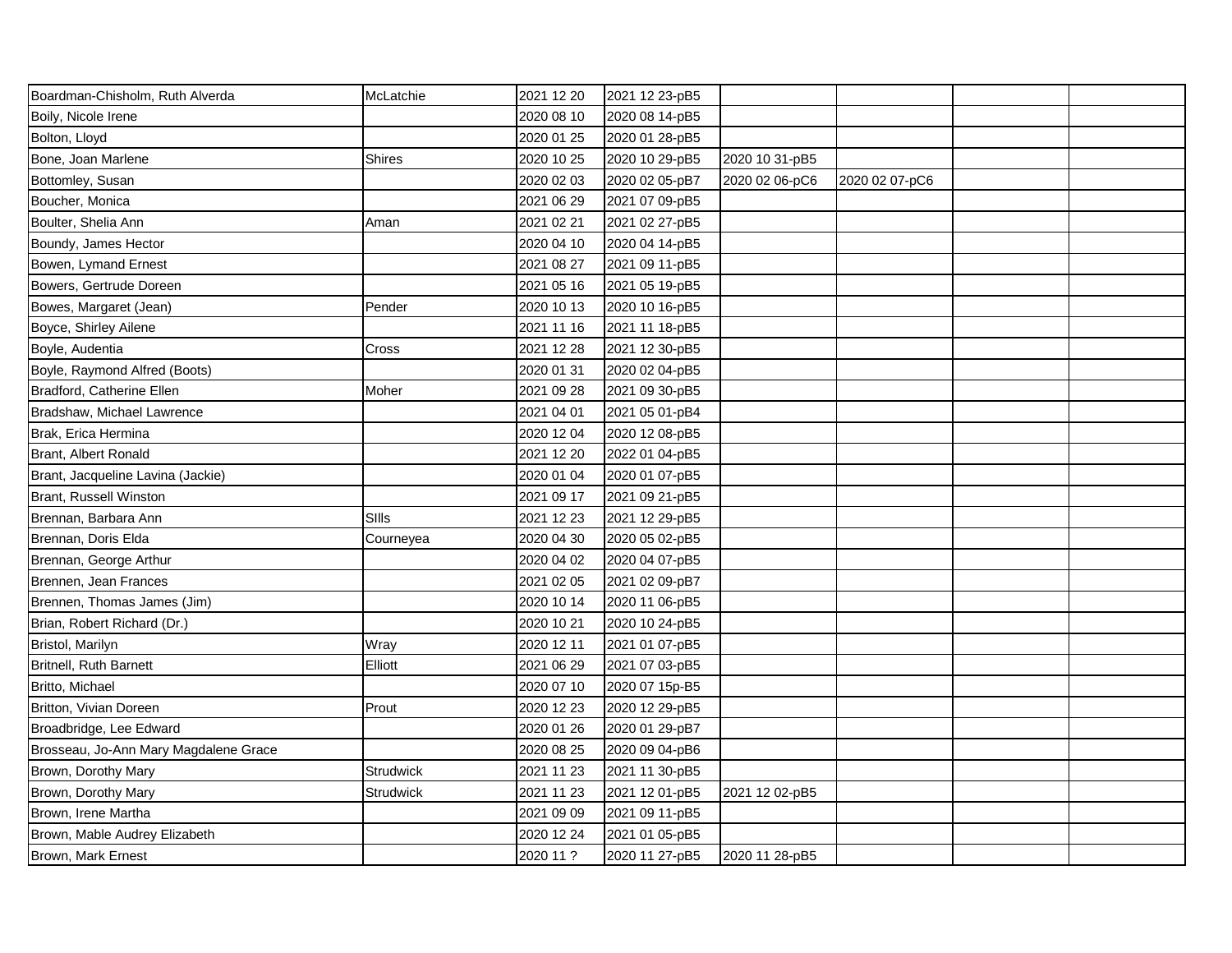| Boardman-Chisholm, Ruth Alverda       | McLatchie     | 2021 12 20 | 2021 12 23-pB5 |                |                |  |
|---------------------------------------|---------------|------------|----------------|----------------|----------------|--|
| Boily, Nicole Irene                   |               | 2020 08 10 | 2020 08 14-pB5 |                |                |  |
| Bolton, Lloyd                         |               | 2020 01 25 | 2020 01 28-pB5 |                |                |  |
| Bone, Joan Marlene                    | <b>Shires</b> | 2020 10 25 | 2020 10 29-pB5 | 2020 10 31-pB5 |                |  |
| Bottomley, Susan                      |               | 2020 02 03 | 2020 02 05-pB7 | 2020 02 06-pC6 | 2020 02 07-pC6 |  |
| Boucher, Monica                       |               | 2021 06 29 | 2021 07 09-pB5 |                |                |  |
| Boulter, Shelia Ann                   | Aman          | 2021 02 21 | 2021 02 27-pB5 |                |                |  |
| Boundy, James Hector                  |               | 2020 04 10 | 2020 04 14-pB5 |                |                |  |
| Bowen, Lymand Ernest                  |               | 2021 08 27 | 2021 09 11-pB5 |                |                |  |
| Bowers, Gertrude Doreen               |               | 2021 05 16 | 2021 05 19-pB5 |                |                |  |
| Bowes, Margaret (Jean)                | Pender        | 2020 10 13 | 2020 10 16-pB5 |                |                |  |
| Boyce, Shirley Ailene                 |               | 2021 11 16 | 2021 11 18-pB5 |                |                |  |
| Boyle, Audentia                       | Cross         | 2021 12 28 | 2021 12 30-pB5 |                |                |  |
| Boyle, Raymond Alfred (Boots)         |               | 2020 01 31 | 2020 02 04-pB5 |                |                |  |
| Bradford, Catherine Ellen             | Moher         | 2021 09 28 | 2021 09 30-pB5 |                |                |  |
| Bradshaw, Michael Lawrence            |               | 2021 04 01 | 2021 05 01-pB4 |                |                |  |
| Brak, Erica Hermina                   |               | 2020 12 04 | 2020 12 08-pB5 |                |                |  |
| Brant, Albert Ronald                  |               | 2021 12 20 | 2022 01 04-pB5 |                |                |  |
| Brant, Jacqueline Lavina (Jackie)     |               | 2020 01 04 | 2020 01 07-pB5 |                |                |  |
| Brant, Russell Winston                |               | 2021 09 17 | 2021 09 21-pB5 |                |                |  |
| Brennan, Barbara Ann                  | SIIIs         | 2021 12 23 | 2021 12 29-pB5 |                |                |  |
| Brennan, Doris Elda                   | Courneyea     | 2020 04 30 | 2020 05 02-pB5 |                |                |  |
| Brennan, George Arthur                |               | 2020 04 02 | 2020 04 07-pB5 |                |                |  |
| Brennen, Jean Frances                 |               | 2021 02 05 | 2021 02 09-pB7 |                |                |  |
| Brennen, Thomas James (Jim)           |               | 2020 10 14 | 2020 11 06-pB5 |                |                |  |
| Brian, Robert Richard (Dr.)           |               | 2020 10 21 | 2020 10 24-pB5 |                |                |  |
| Bristol, Marilyn                      | Wray          | 2020 12 11 | 2021 01 07-pB5 |                |                |  |
| <b>Britnell, Ruth Barnett</b>         | Elliott       | 2021 06 29 | 2021 07 03-pB5 |                |                |  |
| Britto, Michael                       |               | 2020 07 10 | 2020 07 15p-B5 |                |                |  |
| Britton, Vivian Doreen                | Prout         | 2020 12 23 | 2020 12 29-pB5 |                |                |  |
| Broadbridge, Lee Edward               |               | 2020 01 26 | 2020 01 29-pB7 |                |                |  |
| Brosseau, Jo-Ann Mary Magdalene Grace |               | 2020 08 25 | 2020 09 04-pB6 |                |                |  |
| Brown, Dorothy Mary                   | Strudwick     | 2021 11 23 | 2021 11 30-pB5 |                |                |  |
| Brown, Dorothy Mary                   | Strudwick     | 2021 11 23 | 2021 12 01-pB5 | 2021 12 02-pB5 |                |  |
| Brown, Irene Martha                   |               | 2021 09 09 | 2021 09 11-pB5 |                |                |  |
| Brown, Mable Audrey Elizabeth         |               | 2020 12 24 | 2021 01 05-pB5 |                |                |  |
| Brown, Mark Ernest                    |               | 2020 11 ?  | 2020 11 27-pB5 | 2020 11 28-pB5 |                |  |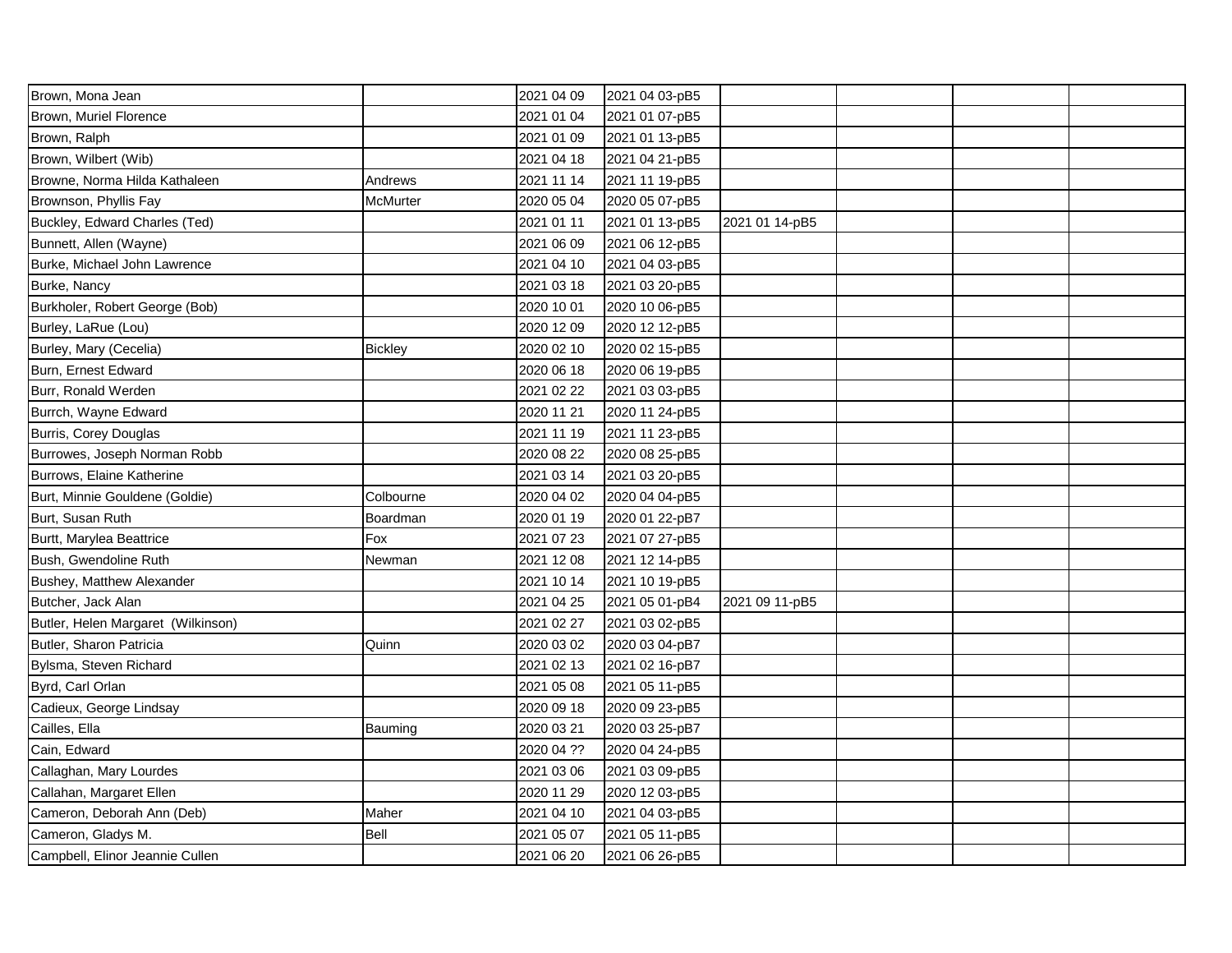| Brown, Mona Jean                   |                | 2021 04 09 | 2021 04 03-pB5 |                |  |  |
|------------------------------------|----------------|------------|----------------|----------------|--|--|
| Brown, Muriel Florence             |                | 2021 01 04 | 2021 01 07-pB5 |                |  |  |
| Brown, Ralph                       |                | 2021 01 09 | 2021 01 13-pB5 |                |  |  |
| Brown, Wilbert (Wib)               |                | 2021 04 18 | 2021 04 21-pB5 |                |  |  |
| Browne, Norma Hilda Kathaleen      | Andrews        | 2021 11 14 | 2021 11 19-pB5 |                |  |  |
| Brownson, Phyllis Fay              | McMurter       | 2020 05 04 | 2020 05 07-pB5 |                |  |  |
| Buckley, Edward Charles (Ted)      |                | 2021 01 11 | 2021 01 13-pB5 | 2021 01 14-pB5 |  |  |
| Bunnett, Allen (Wayne)             |                | 2021 06 09 | 2021 06 12-pB5 |                |  |  |
| Burke, Michael John Lawrence       |                | 2021 04 10 | 2021 04 03-pB5 |                |  |  |
| Burke, Nancy                       |                | 2021 03 18 | 2021 03 20-pB5 |                |  |  |
| Burkholer, Robert George (Bob)     |                | 2020 10 01 | 2020 10 06-pB5 |                |  |  |
| Burley, LaRue (Lou)                |                | 2020 12 09 | 2020 12 12-pB5 |                |  |  |
| Burley, Mary (Cecelia)             | <b>Bickley</b> | 2020 02 10 | 2020 02 15-pB5 |                |  |  |
| Burn, Ernest Edward                |                | 2020 06 18 | 2020 06 19-pB5 |                |  |  |
| Burr, Ronald Werden                |                | 2021 02 22 | 2021 03 03-pB5 |                |  |  |
| Burrch, Wayne Edward               |                | 2020 11 21 | 2020 11 24-pB5 |                |  |  |
| Burris, Corey Douglas              |                | 2021 11 19 | 2021 11 23-pB5 |                |  |  |
| Burrowes, Joseph Norman Robb       |                | 2020 08 22 | 2020 08 25-pB5 |                |  |  |
| Burrows, Elaine Katherine          |                | 2021 03 14 | 2021 03 20-pB5 |                |  |  |
| Burt, Minnie Gouldene (Goldie)     | Colbourne      | 2020 04 02 | 2020 04 04-pB5 |                |  |  |
| Burt, Susan Ruth                   | Boardman       | 2020 01 19 | 2020 01 22-pB7 |                |  |  |
| Burtt, Marylea Beattrice           | Fox            | 2021 07 23 | 2021 07 27-pB5 |                |  |  |
| Bush, Gwendoline Ruth              | Newman         | 2021 12 08 | 2021 12 14-pB5 |                |  |  |
| Bushey, Matthew Alexander          |                | 2021 10 14 | 2021 10 19-pB5 |                |  |  |
| Butcher, Jack Alan                 |                | 2021 04 25 | 2021 05 01-pB4 | 2021 09 11-pB5 |  |  |
| Butler, Helen Margaret (Wilkinson) |                | 2021 02 27 | 2021 03 02-pB5 |                |  |  |
| Butler, Sharon Patricia            | Quinn          | 2020 03 02 | 2020 03 04-pB7 |                |  |  |
| Bylsma, Steven Richard             |                | 2021 02 13 | 2021 02 16-pB7 |                |  |  |
| Byrd, Carl Orlan                   |                | 2021 05 08 | 2021 05 11-pB5 |                |  |  |
| Cadieux, George Lindsay            |                | 2020 09 18 | 2020 09 23-pB5 |                |  |  |
| Cailles, Ella                      | Bauming        | 2020 03 21 | 2020 03 25-pB7 |                |  |  |
| Cain, Edward                       |                | 2020 04 ?? | 2020 04 24-pB5 |                |  |  |
| Callaghan, Mary Lourdes            |                | 2021 03 06 | 2021 03 09-pB5 |                |  |  |
| Callahan, Margaret Ellen           |                | 2020 11 29 | 2020 12 03-pB5 |                |  |  |
| Cameron, Deborah Ann (Deb)         | Maher          | 2021 04 10 | 2021 04 03-pB5 |                |  |  |
| Cameron, Gladys M.                 | Bell           | 2021 05 07 | 2021 05 11-pB5 |                |  |  |
| Campbell, Elinor Jeannie Cullen    |                | 2021 06 20 | 2021 06 26-pB5 |                |  |  |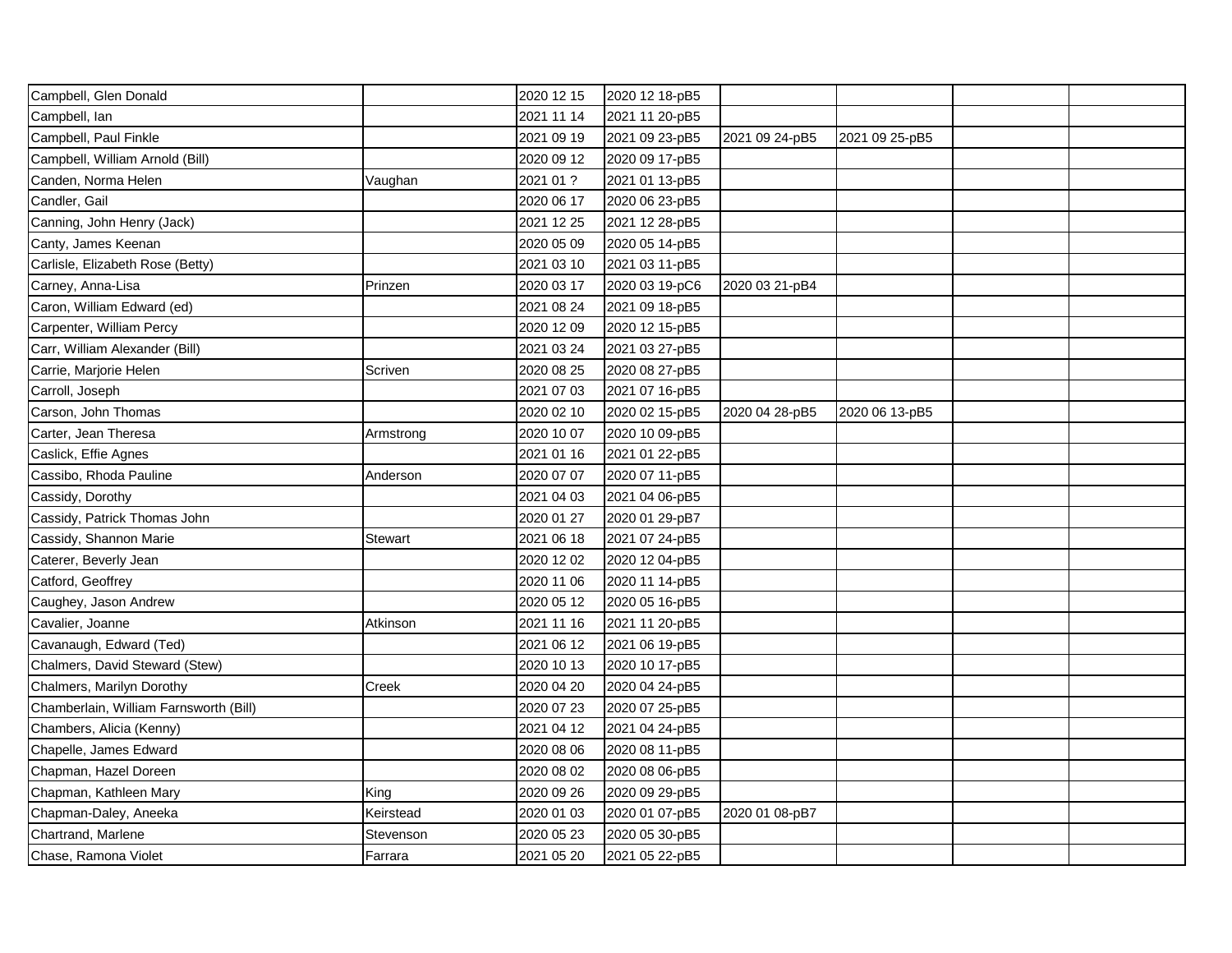| Campbell, Glen Donald                  |                | 2020 12 15 | 2020 12 18-pB5 |                |                |  |
|----------------------------------------|----------------|------------|----------------|----------------|----------------|--|
| Campbell, Ian                          |                | 2021 11 14 | 2021 11 20-pB5 |                |                |  |
| Campbell, Paul Finkle                  |                | 2021 09 19 | 2021 09 23-pB5 | 2021 09 24-pB5 | 2021 09 25-pB5 |  |
| Campbell, William Arnold (Bill)        |                | 2020 09 12 | 2020 09 17-pB5 |                |                |  |
| Canden, Norma Helen                    | Vaughan        | 2021 01 ?  | 2021 01 13-pB5 |                |                |  |
| Candler, Gail                          |                | 2020 06 17 | 2020 06 23-pB5 |                |                |  |
| Canning, John Henry (Jack)             |                | 2021 12 25 | 2021 12 28-pB5 |                |                |  |
| Canty, James Keenan                    |                | 2020 05 09 | 2020 05 14-pB5 |                |                |  |
| Carlisle, Elizabeth Rose (Betty)       |                | 2021 03 10 | 2021 03 11-pB5 |                |                |  |
| Carney, Anna-Lisa                      | Prinzen        | 2020 03 17 | 2020 03 19-pC6 | 2020 03 21-pB4 |                |  |
| Caron, William Edward (ed)             |                | 2021 08 24 | 2021 09 18-pB5 |                |                |  |
| Carpenter, William Percy               |                | 2020 12 09 | 2020 12 15-pB5 |                |                |  |
| Carr, William Alexander (Bill)         |                | 2021 03 24 | 2021 03 27-pB5 |                |                |  |
| Carrie, Marjorie Helen                 | Scriven        | 2020 08 25 | 2020 08 27-pB5 |                |                |  |
| Carroll, Joseph                        |                | 2021 07 03 | 2021 07 16-pB5 |                |                |  |
| Carson, John Thomas                    |                | 2020 02 10 | 2020 02 15-pB5 | 2020 04 28-pB5 | 2020 06 13-pB5 |  |
| Carter, Jean Theresa                   | Armstrong      | 2020 10 07 | 2020 10 09-pB5 |                |                |  |
| Caslick, Effie Agnes                   |                | 2021 01 16 | 2021 01 22-pB5 |                |                |  |
| Cassibo, Rhoda Pauline                 | Anderson       | 2020 07 07 | 2020 07 11-pB5 |                |                |  |
| Cassidy, Dorothy                       |                | 2021 04 03 | 2021 04 06-pB5 |                |                |  |
| Cassidy, Patrick Thomas John           |                | 2020 01 27 | 2020 01 29-pB7 |                |                |  |
| Cassidy, Shannon Marie                 | <b>Stewart</b> | 2021 06 18 | 2021 07 24-pB5 |                |                |  |
| Caterer, Beverly Jean                  |                | 2020 12 02 | 2020 12 04-pB5 |                |                |  |
| Catford, Geoffrey                      |                | 2020 11 06 | 2020 11 14-pB5 |                |                |  |
| Caughey, Jason Andrew                  |                | 2020 05 12 | 2020 05 16-pB5 |                |                |  |
| Cavalier, Joanne                       | Atkinson       | 2021 11 16 | 2021 11 20-pB5 |                |                |  |
| Cavanaugh, Edward (Ted)                |                | 2021 06 12 | 2021 06 19-pB5 |                |                |  |
| Chalmers, David Steward (Stew)         |                | 2020 10 13 | 2020 10 17-pB5 |                |                |  |
| Chalmers, Marilyn Dorothy              | Creek          | 2020 04 20 | 2020 04 24-pB5 |                |                |  |
| Chamberlain, William Farnsworth (Bill) |                | 2020 07 23 | 2020 07 25-pB5 |                |                |  |
| Chambers, Alicia (Kenny)               |                | 2021 04 12 | 2021 04 24-pB5 |                |                |  |
| Chapelle, James Edward                 |                | 2020 08 06 | 2020 08 11-pB5 |                |                |  |
| Chapman, Hazel Doreen                  |                | 2020 08 02 | 2020 08 06-pB5 |                |                |  |
| Chapman, Kathleen Mary                 | King           | 2020 09 26 | 2020 09 29-pB5 |                |                |  |
| Chapman-Daley, Aneeka                  | Keirstead      | 2020 01 03 | 2020 01 07-pB5 | 2020 01 08-pB7 |                |  |
| Chartrand, Marlene                     | Stevenson      | 2020 05 23 | 2020 05 30-pB5 |                |                |  |
| Chase, Ramona Violet                   | Farrara        | 2021 05 20 | 2021 05 22-pB5 |                |                |  |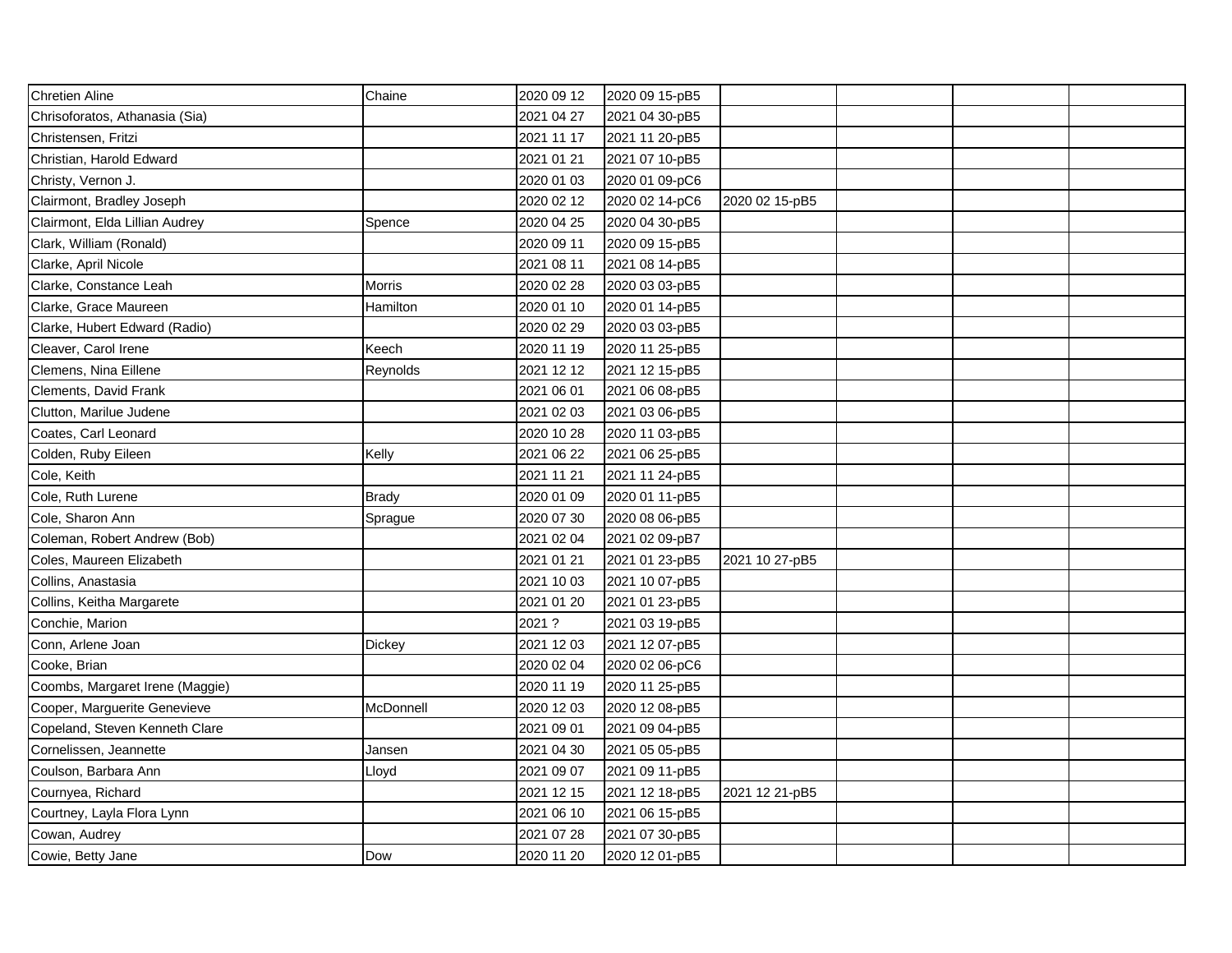| <b>Chretien Aline</b>           | Chaine        | 2020 09 12 | 2020 09 15-pB5 |                |  |  |
|---------------------------------|---------------|------------|----------------|----------------|--|--|
| Chrisoforatos, Athanasia (Sia)  |               | 2021 04 27 | 2021 04 30-pB5 |                |  |  |
| Christensen, Fritzi             |               | 2021 11 17 | 2021 11 20-pB5 |                |  |  |
| Christian, Harold Edward        |               | 2021 01 21 | 2021 07 10-pB5 |                |  |  |
| Christy, Vernon J.              |               | 2020 01 03 | 2020 01 09-pC6 |                |  |  |
| Clairmont, Bradley Joseph       |               | 2020 02 12 | 2020 02 14-pC6 | 2020 02 15-pB5 |  |  |
| Clairmont, Elda Lillian Audrey  | Spence        | 2020 04 25 | 2020 04 30-pB5 |                |  |  |
| Clark, William (Ronald)         |               | 2020 09 11 | 2020 09 15-pB5 |                |  |  |
| Clarke, April Nicole            |               | 2021 08 11 | 2021 08 14-pB5 |                |  |  |
| Clarke, Constance Leah          | <b>Morris</b> | 2020 02 28 | 2020 03 03-pB5 |                |  |  |
| Clarke, Grace Maureen           | Hamilton      | 2020 01 10 | 2020 01 14-pB5 |                |  |  |
| Clarke, Hubert Edward (Radio)   |               | 2020 02 29 | 2020 03 03-pB5 |                |  |  |
| Cleaver, Carol Irene            | Keech         | 2020 11 19 | 2020 11 25-pB5 |                |  |  |
| Clemens, Nina Eillene           | Reynolds      | 2021 12 12 | 2021 12 15-pB5 |                |  |  |
| Clements, David Frank           |               | 2021 06 01 | 2021 06 08-pB5 |                |  |  |
| Clutton, Marilue Judene         |               | 2021 02 03 | 2021 03 06-pB5 |                |  |  |
| Coates, Carl Leonard            |               | 2020 10 28 | 2020 11 03-pB5 |                |  |  |
| Colden, Ruby Eileen             | Kelly         | 2021 06 22 | 2021 06 25-pB5 |                |  |  |
| Cole, Keith                     |               | 2021 11 21 | 2021 11 24-pB5 |                |  |  |
| Cole, Ruth Lurene               | <b>Brady</b>  | 2020 01 09 | 2020 01 11-pB5 |                |  |  |
| Cole, Sharon Ann                | Sprague       | 2020 07 30 | 2020 08 06-pB5 |                |  |  |
| Coleman, Robert Andrew (Bob)    |               | 2021 02 04 | 2021 02 09-pB7 |                |  |  |
| Coles, Maureen Elizabeth        |               | 2021 01 21 | 2021 01 23-pB5 | 2021 10 27-pB5 |  |  |
| Collins, Anastasia              |               | 2021 10 03 | 2021 10 07-pB5 |                |  |  |
| Collins, Keitha Margarete       |               | 2021 01 20 | 2021 01 23-pB5 |                |  |  |
| Conchie, Marion                 |               | 2021 ?     | 2021 03 19-pB5 |                |  |  |
| Conn, Arlene Joan               | Dickey        | 2021 12 03 | 2021 12 07-pB5 |                |  |  |
| Cooke, Brian                    |               | 2020 02 04 | 2020 02 06-pC6 |                |  |  |
| Coombs, Margaret Irene (Maggie) |               | 2020 11 19 | 2020 11 25-pB5 |                |  |  |
| Cooper, Marguerite Genevieve    | McDonnell     | 2020 12 03 | 2020 12 08-pB5 |                |  |  |
| Copeland, Steven Kenneth Clare  |               | 2021 09 01 | 2021 09 04-pB5 |                |  |  |
| Cornelissen, Jeannette          | Jansen        | 2021 04 30 | 2021 05 05-pB5 |                |  |  |
| Coulson, Barbara Ann            | Lloyd         | 2021 09 07 | 2021 09 11-pB5 |                |  |  |
| Cournyea, Richard               |               | 2021 12 15 | 2021 12 18-pB5 | 2021 12 21-pB5 |  |  |
| Courtney, Layla Flora Lynn      |               | 2021 06 10 | 2021 06 15-pB5 |                |  |  |
| Cowan, Audrey                   |               | 2021 07 28 | 2021 07 30-pB5 |                |  |  |
| Cowie, Betty Jane               | Dow           | 2020 11 20 | 2020 12 01-pB5 |                |  |  |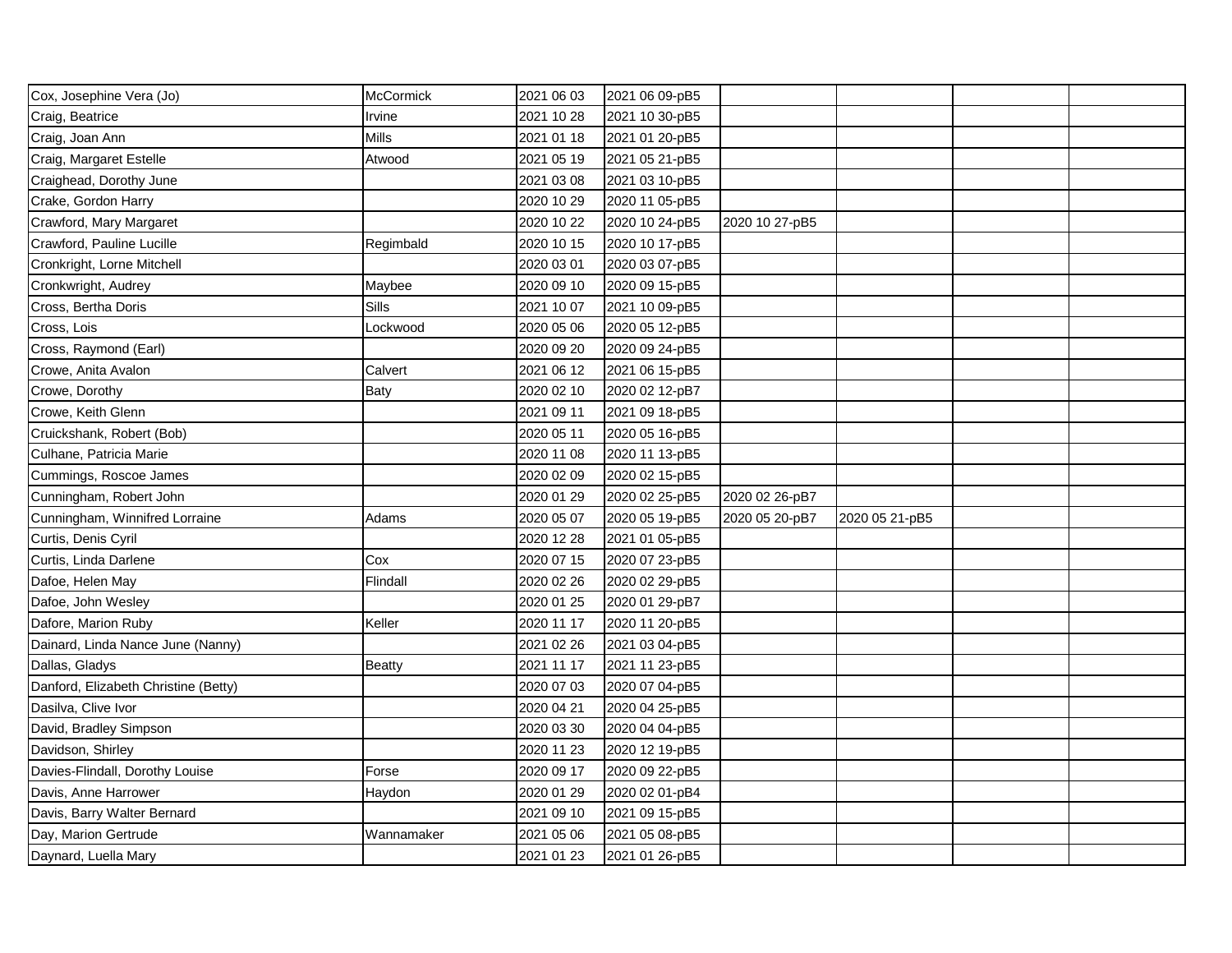| Cox, Josephine Vera (Jo)             | <b>McCormick</b> | 2021 06 03 | 2021 06 09-pB5 |                |                |  |
|--------------------------------------|------------------|------------|----------------|----------------|----------------|--|
| Craig, Beatrice                      | Irvine           | 2021 10 28 | 2021 10 30-pB5 |                |                |  |
| Craig, Joan Ann                      | <b>Mills</b>     | 2021 01 18 | 2021 01 20-pB5 |                |                |  |
| Craig, Margaret Estelle              | Atwood           | 2021 05 19 | 2021 05 21-pB5 |                |                |  |
| Craighead, Dorothy June              |                  | 2021 03 08 | 2021 03 10-pB5 |                |                |  |
| Crake, Gordon Harry                  |                  | 2020 10 29 | 2020 11 05-pB5 |                |                |  |
| Crawford, Mary Margaret              |                  | 2020 10 22 | 2020 10 24-pB5 | 2020 10 27-pB5 |                |  |
| Crawford, Pauline Lucille            | Regimbald        | 2020 10 15 | 2020 10 17-pB5 |                |                |  |
| Cronkright, Lorne Mitchell           |                  | 2020 03 01 | 2020 03 07-pB5 |                |                |  |
| Cronkwright, Audrey                  | Maybee           | 2020 09 10 | 2020 09 15-pB5 |                |                |  |
| Cross, Bertha Doris                  | Sills            | 2021 10 07 | 2021 10 09-pB5 |                |                |  |
| Cross, Lois                          | Lockwood         | 2020 05 06 | 2020 05 12-pB5 |                |                |  |
| Cross, Raymond (Earl)                |                  | 2020 09 20 | 2020 09 24-pB5 |                |                |  |
| Crowe, Anita Avalon                  | Calvert          | 2021 06 12 | 2021 06 15-pB5 |                |                |  |
| Crowe, Dorothy                       | <b>Baty</b>      | 2020 02 10 | 2020 02 12-pB7 |                |                |  |
| Crowe, Keith Glenn                   |                  | 2021 09 11 | 2021 09 18-pB5 |                |                |  |
| Cruickshank, Robert (Bob)            |                  | 2020 05 11 | 2020 05 16-pB5 |                |                |  |
| Culhane, Patricia Marie              |                  | 2020 11 08 | 2020 11 13-pB5 |                |                |  |
| Cummings, Roscoe James               |                  | 2020 02 09 | 2020 02 15-pB5 |                |                |  |
| Cunningham, Robert John              |                  | 2020 01 29 | 2020 02 25-pB5 | 2020 02 26-pB7 |                |  |
| Cunningham, Winnifred Lorraine       | Adams            | 2020 05 07 | 2020 05 19-pB5 | 2020 05 20-pB7 | 2020 05 21-pB5 |  |
| Curtis, Denis Cyril                  |                  | 2020 12 28 | 2021 01 05-pB5 |                |                |  |
| Curtis, Linda Darlene                | Cox              | 2020 07 15 | 2020 07 23-pB5 |                |                |  |
| Dafoe, Helen May                     | Flindall         | 2020 02 26 | 2020 02 29-pB5 |                |                |  |
| Dafoe, John Wesley                   |                  | 2020 01 25 | 2020 01 29-pB7 |                |                |  |
| Dafore, Marion Ruby                  | Keller           | 2020 11 17 | 2020 11 20-pB5 |                |                |  |
| Dainard, Linda Nance June (Nanny)    |                  | 2021 02 26 | 2021 03 04-pB5 |                |                |  |
| Dallas, Gladys                       | <b>Beatty</b>    | 2021 11 17 | 2021 11 23-pB5 |                |                |  |
| Danford, Elizabeth Christine (Betty) |                  | 2020 07 03 | 2020 07 04-pB5 |                |                |  |
| Dasilva, Clive Ivor                  |                  | 2020 04 21 | 2020 04 25-pB5 |                |                |  |
| David, Bradley Simpson               |                  | 2020 03 30 | 2020 04 04-pB5 |                |                |  |
| Davidson, Shirley                    |                  | 2020 11 23 | 2020 12 19-pB5 |                |                |  |
| Davies-Flindall, Dorothy Louise      | Forse            | 2020 09 17 | 2020 09 22-pB5 |                |                |  |
| Davis, Anne Harrower                 | Haydon           | 2020 01 29 | 2020 02 01-pB4 |                |                |  |
| Davis, Barry Walter Bernard          |                  | 2021 09 10 | 2021 09 15-pB5 |                |                |  |
| Day, Marion Gertrude                 | Wannamaker       | 2021 05 06 | 2021 05 08-pB5 |                |                |  |
| Daynard, Luella Mary                 |                  | 2021 01 23 | 2021 01 26-pB5 |                |                |  |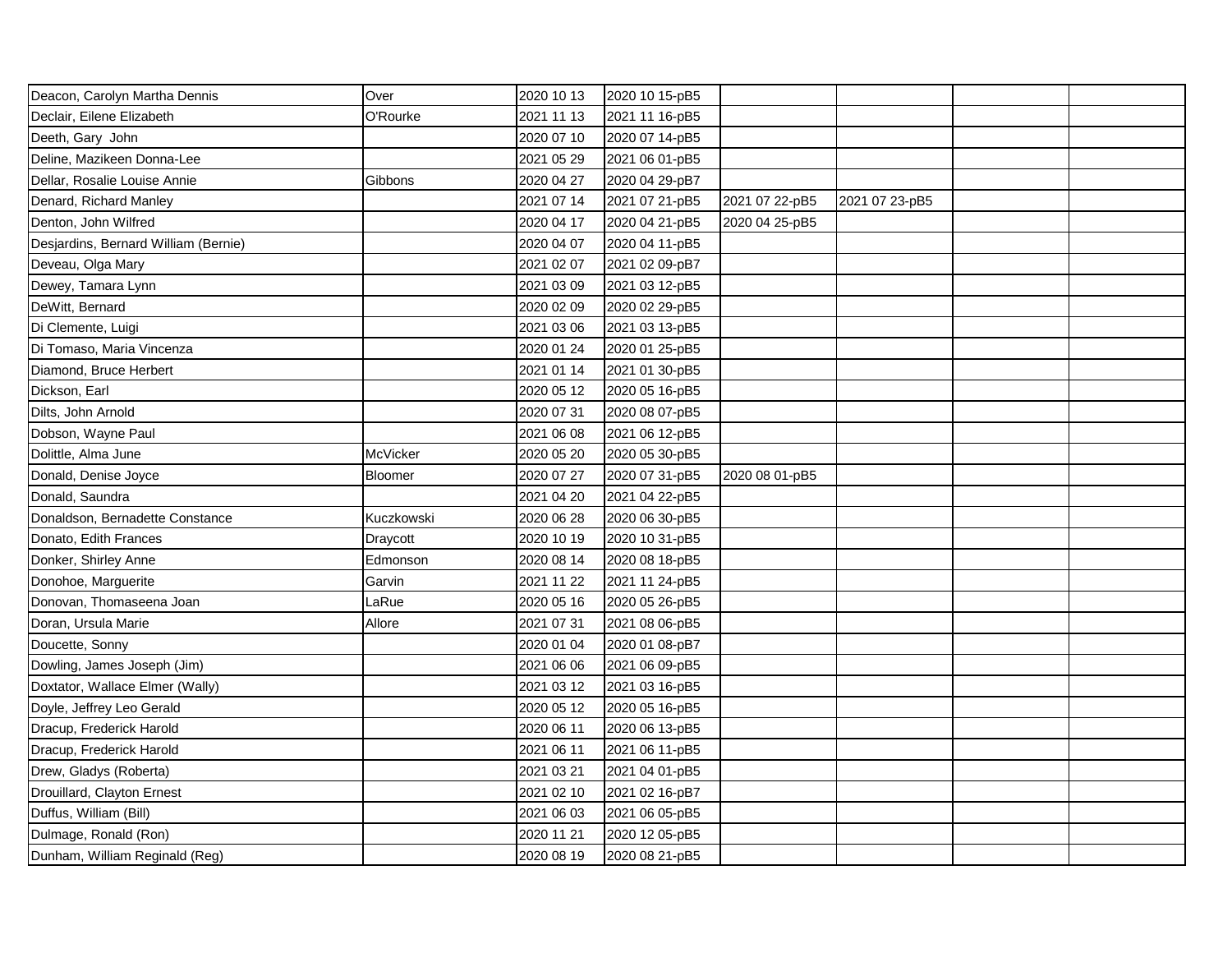| Deacon, Carolyn Martha Dennis        | Over       | 2020 10 13 | 2020 10 15-pB5 |                |                |  |
|--------------------------------------|------------|------------|----------------|----------------|----------------|--|
| Declair, Eilene Elizabeth            | O'Rourke   | 2021 11 13 | 2021 11 16-pB5 |                |                |  |
| Deeth, Gary John                     |            | 2020 07 10 | 2020 07 14-pB5 |                |                |  |
| Deline, Mazikeen Donna-Lee           |            | 2021 05 29 | 2021 06 01-pB5 |                |                |  |
| Dellar, Rosalie Louise Annie         | Gibbons    | 2020 04 27 | 2020 04 29-pB7 |                |                |  |
| Denard, Richard Manley               |            | 2021 07 14 | 2021 07 21-pB5 | 2021 07 22-pB5 | 2021 07 23-pB5 |  |
| Denton, John Wilfred                 |            | 2020 04 17 | 2020 04 21-pB5 | 2020 04 25-pB5 |                |  |
| Desjardins, Bernard William (Bernie) |            | 2020 04 07 | 2020 04 11-pB5 |                |                |  |
| Deveau, Olga Mary                    |            | 2021 02 07 | 2021 02 09-pB7 |                |                |  |
| Dewey, Tamara Lynn                   |            | 2021 03 09 | 2021 03 12-pB5 |                |                |  |
| DeWitt, Bernard                      |            | 2020 02 09 | 2020 02 29-pB5 |                |                |  |
| Di Clemente, Luigi                   |            | 2021 03 06 | 2021 03 13-pB5 |                |                |  |
| Di Tomaso, Maria Vincenza            |            | 2020 01 24 | 2020 01 25-pB5 |                |                |  |
| Diamond, Bruce Herbert               |            | 2021 01 14 | 2021 01 30-pB5 |                |                |  |
| Dickson, Earl                        |            | 2020 05 12 | 2020 05 16-pB5 |                |                |  |
| Dilts, John Arnold                   |            | 2020 07 31 | 2020 08 07-pB5 |                |                |  |
| Dobson, Wayne Paul                   |            | 2021 06 08 | 2021 06 12-pB5 |                |                |  |
| Dolittle, Alma June                  | McVicker   | 2020 05 20 | 2020 05 30-pB5 |                |                |  |
| Donald, Denise Joyce                 | Bloomer    | 2020 07 27 | 2020 07 31-pB5 | 2020 08 01-pB5 |                |  |
| Donald, Saundra                      |            | 2021 04 20 | 2021 04 22-pB5 |                |                |  |
| Donaldson, Bernadette Constance      | Kuczkowski | 2020 06 28 | 2020 06 30-pB5 |                |                |  |
| Donato, Edith Frances                | Draycott   | 2020 10 19 | 2020 10 31-pB5 |                |                |  |
| Donker, Shirley Anne                 | Edmonson   | 2020 08 14 | 2020 08 18-pB5 |                |                |  |
| Donohoe, Marguerite                  | Garvin     | 2021 11 22 | 2021 11 24-pB5 |                |                |  |
| Donovan, Thomaseena Joan             | LaRue      | 2020 05 16 | 2020 05 26-pB5 |                |                |  |
| Doran, Ursula Marie                  | Allore     | 2021 07 31 | 2021 08 06-pB5 |                |                |  |
| Doucette, Sonny                      |            | 2020 01 04 | 2020 01 08-pB7 |                |                |  |
| Dowling, James Joseph (Jim)          |            | 2021 06 06 | 2021 06 09-pB5 |                |                |  |
| Doxtator, Wallace Elmer (Wally)      |            | 2021 03 12 | 2021 03 16-pB5 |                |                |  |
| Doyle, Jeffrey Leo Gerald            |            | 2020 05 12 | 2020 05 16-pB5 |                |                |  |
| Dracup, Frederick Harold             |            | 2020 06 11 | 2020 06 13-pB5 |                |                |  |
| Dracup, Frederick Harold             |            | 2021 06 11 | 2021 06 11-pB5 |                |                |  |
| Drew, Gladys (Roberta)               |            | 2021 03 21 | 2021 04 01-pB5 |                |                |  |
| Drouillard, Clayton Ernest           |            | 2021 02 10 | 2021 02 16-pB7 |                |                |  |
| Duffus, William (Bill)               |            | 2021 06 03 | 2021 06 05-pB5 |                |                |  |
| Dulmage, Ronald (Ron)                |            | 2020 11 21 | 2020 12 05-pB5 |                |                |  |
| Dunham, William Reginald (Reg)       |            | 2020 08 19 | 2020 08 21-pB5 |                |                |  |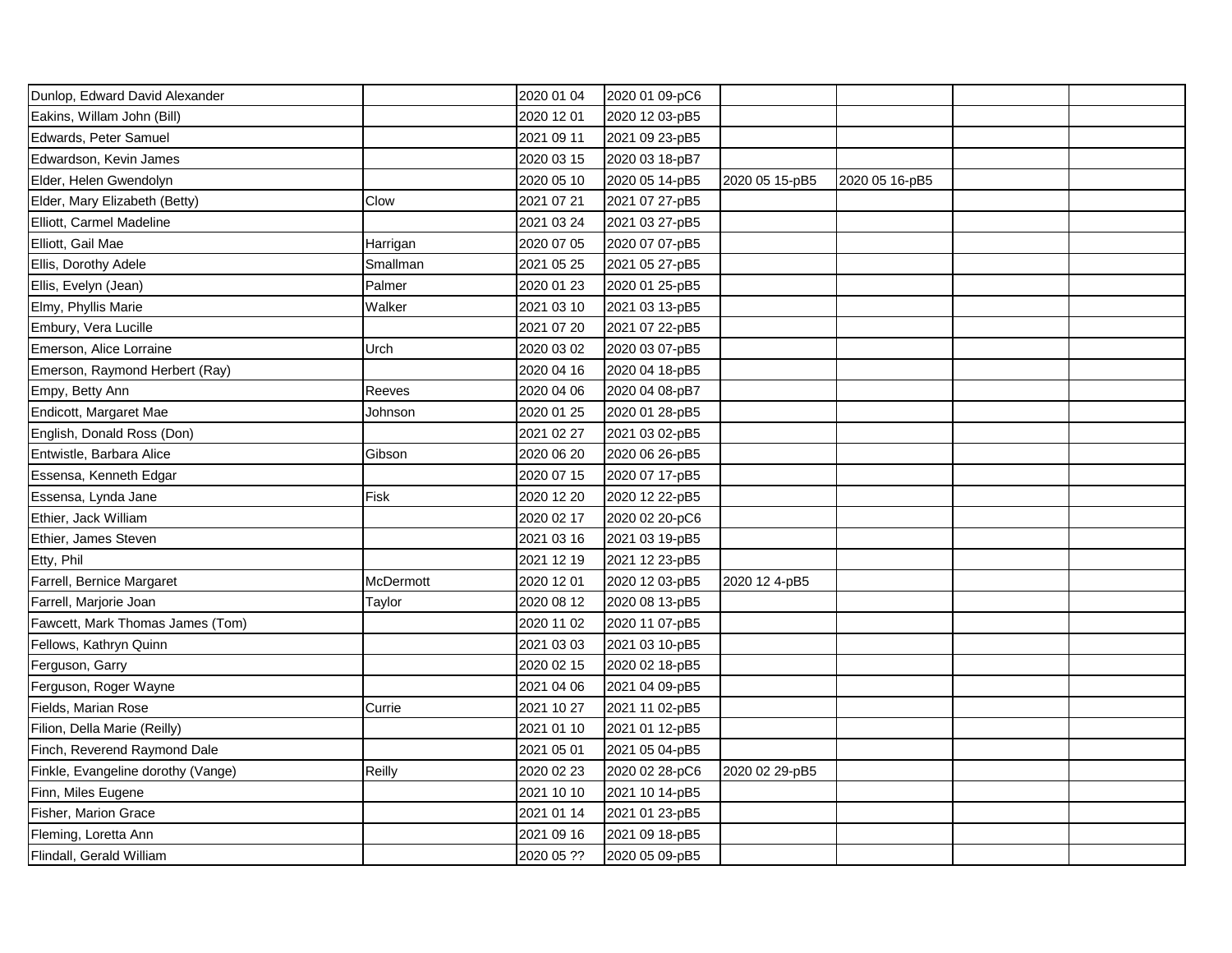| Dunlop, Edward David Alexander     |           | 2020 01 04 | 2020 01 09-pC6 |                |                |  |
|------------------------------------|-----------|------------|----------------|----------------|----------------|--|
| Eakins, Willam John (Bill)         |           | 2020 12 01 | 2020 12 03-pB5 |                |                |  |
| Edwards, Peter Samuel              |           | 2021 09 11 | 2021 09 23-pB5 |                |                |  |
| Edwardson, Kevin James             |           | 2020 03 15 | 2020 03 18-pB7 |                |                |  |
| Elder, Helen Gwendolyn             |           | 2020 05 10 | 2020 05 14-pB5 | 2020 05 15-pB5 | 2020 05 16-pB5 |  |
| Elder, Mary Elizabeth (Betty)      | Clow      | 2021 07 21 | 2021 07 27-pB5 |                |                |  |
| Elliott, Carmel Madeline           |           | 2021 03 24 | 2021 03 27-pB5 |                |                |  |
| Elliott, Gail Mae                  | Harrigan  | 2020 07 05 | 2020 07 07-pB5 |                |                |  |
| Ellis, Dorothy Adele               | Smallman  | 2021 05 25 | 2021 05 27-pB5 |                |                |  |
| Ellis, Evelyn (Jean)               | Palmer    | 2020 01 23 | 2020 01 25-pB5 |                |                |  |
| Elmy, Phyllis Marie                | Walker    | 2021 03 10 | 2021 03 13-pB5 |                |                |  |
| Embury, Vera Lucille               |           | 2021 07 20 | 2021 07 22-pB5 |                |                |  |
| Emerson, Alice Lorraine            | Urch      | 2020 03 02 | 2020 03 07-pB5 |                |                |  |
| Emerson, Raymond Herbert (Ray)     |           | 2020 04 16 | 2020 04 18-pB5 |                |                |  |
| Empy, Betty Ann                    | Reeves    | 2020 04 06 | 2020 04 08-pB7 |                |                |  |
| Endicott, Margaret Mae             | Johnson   | 2020 01 25 | 2020 01 28-pB5 |                |                |  |
| English, Donald Ross (Don)         |           | 2021 02 27 | 2021 03 02-pB5 |                |                |  |
| Entwistle, Barbara Alice           | Gibson    | 2020 06 20 | 2020 06 26-pB5 |                |                |  |
| Essensa, Kenneth Edgar             |           | 2020 07 15 | 2020 07 17-pB5 |                |                |  |
| Essensa, Lynda Jane                | Fisk      | 2020 12 20 | 2020 12 22-pB5 |                |                |  |
| Ethier, Jack William               |           | 2020 02 17 | 2020 02 20-pC6 |                |                |  |
| Ethier, James Steven               |           | 2021 03 16 | 2021 03 19-pB5 |                |                |  |
| Etty, Phil                         |           | 2021 12 19 | 2021 12 23-pB5 |                |                |  |
| Farrell, Bernice Margaret          | McDermott | 2020 12 01 | 2020 12 03-pB5 | 2020 12 4-pB5  |                |  |
| Farrell, Marjorie Joan             | Taylor    | 2020 08 12 | 2020 08 13-pB5 |                |                |  |
| Fawcett, Mark Thomas James (Tom)   |           | 2020 11 02 | 2020 11 07-pB5 |                |                |  |
| Fellows, Kathryn Quinn             |           | 2021 03 03 | 2021 03 10-pB5 |                |                |  |
| Ferguson, Garry                    |           | 2020 02 15 | 2020 02 18-pB5 |                |                |  |
| Ferguson, Roger Wayne              |           | 2021 04 06 | 2021 04 09-pB5 |                |                |  |
| Fields, Marian Rose                | Currie    | 2021 10 27 | 2021 11 02-pB5 |                |                |  |
| Filion, Della Marie (Reilly)       |           | 2021 01 10 | 2021 01 12-pB5 |                |                |  |
| Finch, Reverend Raymond Dale       |           | 2021 05 01 | 2021 05 04-pB5 |                |                |  |
| Finkle, Evangeline dorothy (Vange) | Reilly    | 2020 02 23 | 2020 02 28-pC6 | 2020 02 29-pB5 |                |  |
| Finn, Miles Eugene                 |           | 2021 10 10 | 2021 10 14-pB5 |                |                |  |
| Fisher, Marion Grace               |           | 2021 01 14 | 2021 01 23-pB5 |                |                |  |
| Fleming, Loretta Ann               |           | 2021 09 16 | 2021 09 18-pB5 |                |                |  |
| Flindall, Gerald William           |           | 2020 05 ?? | 2020 05 09-pB5 |                |                |  |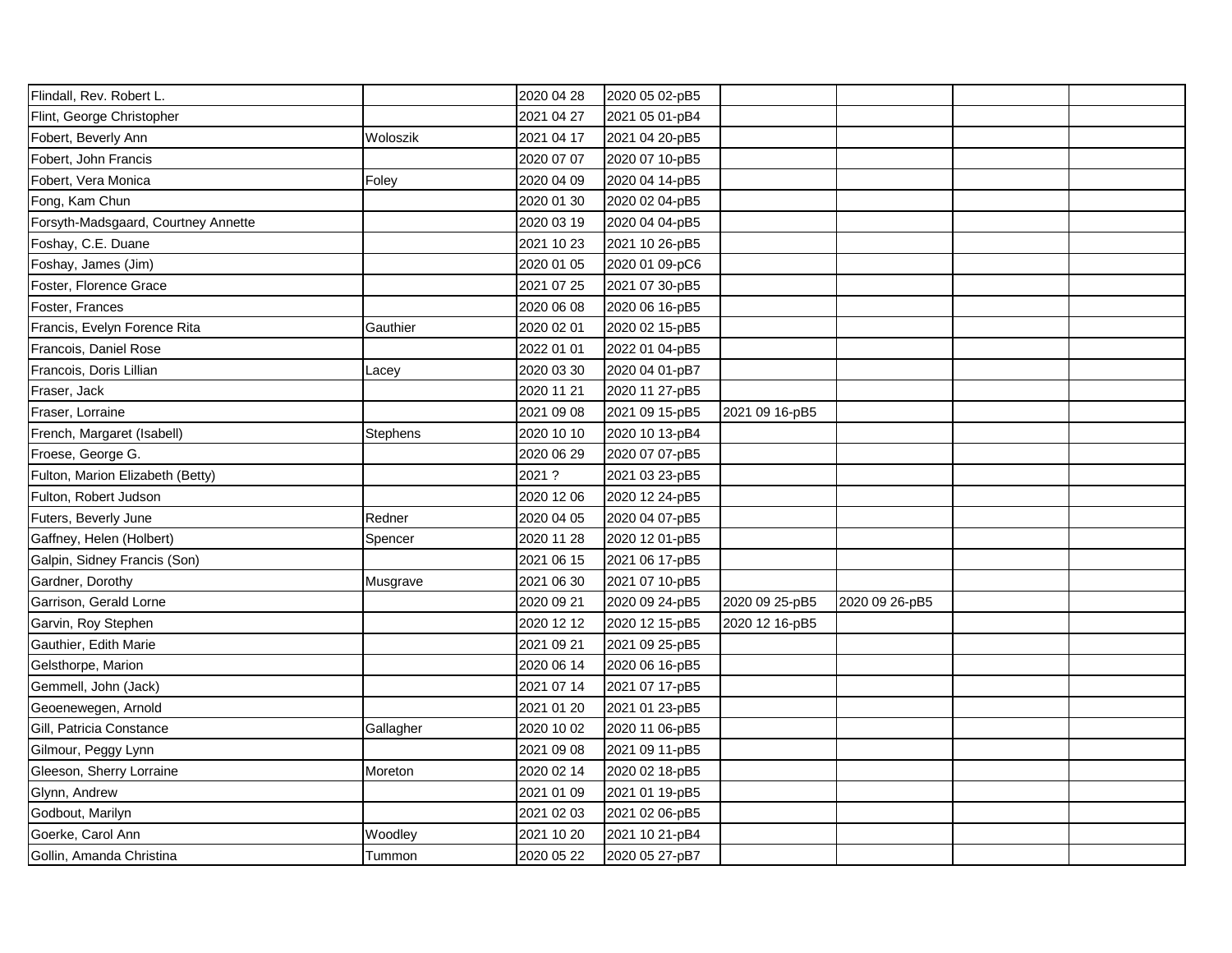| Flindall, Rev. Robert L.            |           | 2020 04 28 | 2020 05 02-pB5 |                |                |  |
|-------------------------------------|-----------|------------|----------------|----------------|----------------|--|
| Flint, George Christopher           |           | 2021 04 27 | 2021 05 01-pB4 |                |                |  |
| Fobert, Beverly Ann                 | Woloszik  | 2021 04 17 | 2021 04 20-pB5 |                |                |  |
| Fobert, John Francis                |           | 2020 07 07 | 2020 07 10-pB5 |                |                |  |
| Fobert, Vera Monica                 | Foley     | 2020 04 09 | 2020 04 14-pB5 |                |                |  |
| Fong, Kam Chun                      |           | 2020 01 30 | 2020 02 04-pB5 |                |                |  |
| Forsyth-Madsgaard, Courtney Annette |           | 2020 03 19 | 2020 04 04-pB5 |                |                |  |
| Foshay, C.E. Duane                  |           | 2021 10 23 | 2021 10 26-pB5 |                |                |  |
| Foshay, James (Jim)                 |           | 2020 01 05 | 2020 01 09-pC6 |                |                |  |
| Foster, Florence Grace              |           | 2021 07 25 | 2021 07 30-pB5 |                |                |  |
| Foster, Frances                     |           | 2020 06 08 | 2020 06 16-pB5 |                |                |  |
| Francis, Evelyn Forence Rita        | Gauthier  | 2020 02 01 | 2020 02 15-pB5 |                |                |  |
| Francois, Daniel Rose               |           | 2022 01 01 | 2022 01 04-pB5 |                |                |  |
| Francois, Doris Lillian             | Lacey     | 2020 03 30 | 2020 04 01-pB7 |                |                |  |
| Fraser, Jack                        |           | 2020 11 21 | 2020 11 27-pB5 |                |                |  |
| Fraser, Lorraine                    |           | 2021 09 08 | 2021 09 15-pB5 | 2021 09 16-pB5 |                |  |
| French, Margaret (Isabell)          | Stephens  | 2020 10 10 | 2020 10 13-pB4 |                |                |  |
| Froese, George G.                   |           | 2020 06 29 | 2020 07 07-pB5 |                |                |  |
| Fulton, Marion Elizabeth (Betty)    |           | 2021 ?     | 2021 03 23-pB5 |                |                |  |
| Fulton, Robert Judson               |           | 2020 12 06 | 2020 12 24-pB5 |                |                |  |
| Futers, Beverly June                | Redner    | 2020 04 05 | 2020 04 07-pB5 |                |                |  |
| Gaffney, Helen (Holbert)            | Spencer   | 2020 11 28 | 2020 12 01-pB5 |                |                |  |
| Galpin, Sidney Francis (Son)        |           | 2021 06 15 | 2021 06 17-pB5 |                |                |  |
| Gardner, Dorothy                    | Musgrave  | 2021 06 30 | 2021 07 10-pB5 |                |                |  |
| Garrison, Gerald Lorne              |           | 2020 09 21 | 2020 09 24-pB5 | 2020 09 25-pB5 | 2020 09 26-pB5 |  |
| Garvin, Roy Stephen                 |           | 2020 12 12 | 2020 12 15-pB5 | 2020 12 16-pB5 |                |  |
| Gauthier, Edith Marie               |           | 2021 09 21 | 2021 09 25-pB5 |                |                |  |
| Gelsthorpe, Marion                  |           | 2020 06 14 | 2020 06 16-pB5 |                |                |  |
| Gemmell, John (Jack)                |           | 2021 07 14 | 2021 07 17-pB5 |                |                |  |
| Geoenewegen, Arnold                 |           | 2021 01 20 | 2021 01 23-pB5 |                |                |  |
| Gill, Patricia Constance            | Gallagher | 2020 10 02 | 2020 11 06-pB5 |                |                |  |
| Gilmour, Peggy Lynn                 |           | 2021 09 08 | 2021 09 11-pB5 |                |                |  |
| Gleeson, Sherry Lorraine            | Moreton   | 2020 02 14 | 2020 02 18-pB5 |                |                |  |
| Glynn, Andrew                       |           | 2021 01 09 | 2021 01 19-pB5 |                |                |  |
| Godbout, Marilyn                    |           | 2021 02 03 | 2021 02 06-pB5 |                |                |  |
| Goerke, Carol Ann                   | Woodley   | 2021 10 20 | 2021 10 21-pB4 |                |                |  |
| Gollin, Amanda Christina            | Tummon    | 2020 05 22 | 2020 05 27-pB7 |                |                |  |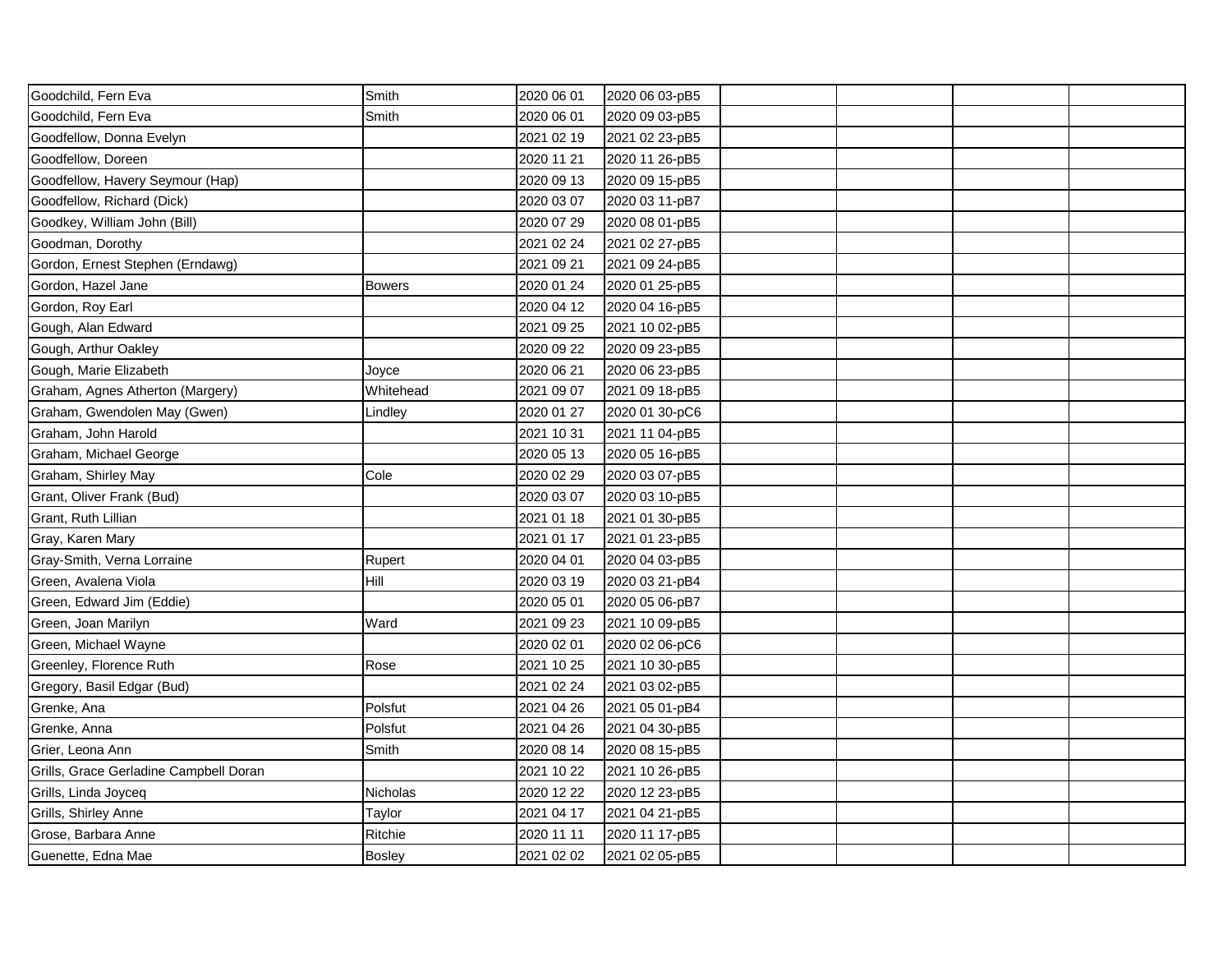| Goodchild, Fern Eva                    | Smith         | 2020 06 01 | 2020 06 03-pB5 |  |  |
|----------------------------------------|---------------|------------|----------------|--|--|
| Goodchild, Fern Eva                    | Smith         | 2020 06 01 | 2020 09 03-pB5 |  |  |
| Goodfellow, Donna Evelyn               |               | 2021 02 19 | 2021 02 23-pB5 |  |  |
| Goodfellow, Doreen                     |               | 2020 11 21 | 2020 11 26-pB5 |  |  |
| Goodfellow, Havery Seymour (Hap)       |               | 2020 09 13 | 2020 09 15-pB5 |  |  |
| Goodfellow, Richard (Dick)             |               | 2020 03 07 | 2020 03 11-pB7 |  |  |
| Goodkey, William John (Bill)           |               | 2020 07 29 | 2020 08 01-pB5 |  |  |
| Goodman, Dorothy                       |               | 2021 02 24 | 2021 02 27-pB5 |  |  |
| Gordon, Ernest Stephen (Erndawg)       |               | 2021 09 21 | 2021 09 24-pB5 |  |  |
| Gordon, Hazel Jane                     | <b>Bowers</b> | 2020 01 24 | 2020 01 25-pB5 |  |  |
| Gordon, Roy Earl                       |               | 2020 04 12 | 2020 04 16-pB5 |  |  |
| Gough, Alan Edward                     |               | 2021 09 25 | 2021 10 02-pB5 |  |  |
| Gough, Arthur Oakley                   |               | 2020 09 22 | 2020 09 23-pB5 |  |  |
| Gough, Marie Elizabeth                 | Joyce         | 2020 06 21 | 2020 06 23-pB5 |  |  |
| Graham, Agnes Atherton (Margery)       | Whitehead     | 2021 09 07 | 2021 09 18-pB5 |  |  |
| Graham, Gwendolen May (Gwen)           | Lindley       | 2020 01 27 | 2020 01 30-pC6 |  |  |
| Graham, John Harold                    |               | 2021 10 31 | 2021 11 04-pB5 |  |  |
| Graham, Michael George                 |               | 2020 05 13 | 2020 05 16-pB5 |  |  |
| Graham, Shirley May                    | Cole          | 2020 02 29 | 2020 03 07-pB5 |  |  |
| Grant, Oliver Frank (Bud)              |               | 2020 03 07 | 2020 03 10-pB5 |  |  |
| Grant, Ruth Lillian                    |               | 2021 01 18 | 2021 01 30-pB5 |  |  |
| Gray, Karen Mary                       |               | 2021 01 17 | 2021 01 23-pB5 |  |  |
| Gray-Smith, Verna Lorraine             | Rupert        | 2020 04 01 | 2020 04 03-pB5 |  |  |
| Green, Avalena Viola                   | Hill          | 2020 03 19 | 2020 03 21-pB4 |  |  |
| Green, Edward Jim (Eddie)              |               | 2020 05 01 | 2020 05 06-pB7 |  |  |
| Green, Joan Marilyn                    | Ward          | 2021 09 23 | 2021 10 09-pB5 |  |  |
| Green, Michael Wayne                   |               | 2020 02 01 | 2020 02 06-pC6 |  |  |
| Greenley, Florence Ruth                | Rose          | 2021 10 25 | 2021 10 30-pB5 |  |  |
| Gregory, Basil Edgar (Bud)             |               | 2021 02 24 | 2021 03 02-pB5 |  |  |
| Grenke, Ana                            | Polsfut       | 2021 04 26 | 2021 05 01-pB4 |  |  |
| Grenke, Anna                           | Polsfut       | 2021 04 26 | 2021 04 30-pB5 |  |  |
| Grier, Leona Ann                       | Smith         | 2020 08 14 | 2020 08 15-pB5 |  |  |
| Grills, Grace Gerladine Campbell Doran |               | 2021 10 22 | 2021 10 26-pB5 |  |  |
| Grills, Linda Joyceq                   | Nicholas      | 2020 12 22 | 2020 12 23-pB5 |  |  |
| Grills, Shirley Anne                   | Taylor        | 2021 04 17 | 2021 04 21-pB5 |  |  |
| Grose, Barbara Anne                    | Ritchie       | 2020 11 11 | 2020 11 17-pB5 |  |  |
| Guenette, Edna Mae                     | <b>Bosley</b> | 2021 02 02 | 2021 02 05-pB5 |  |  |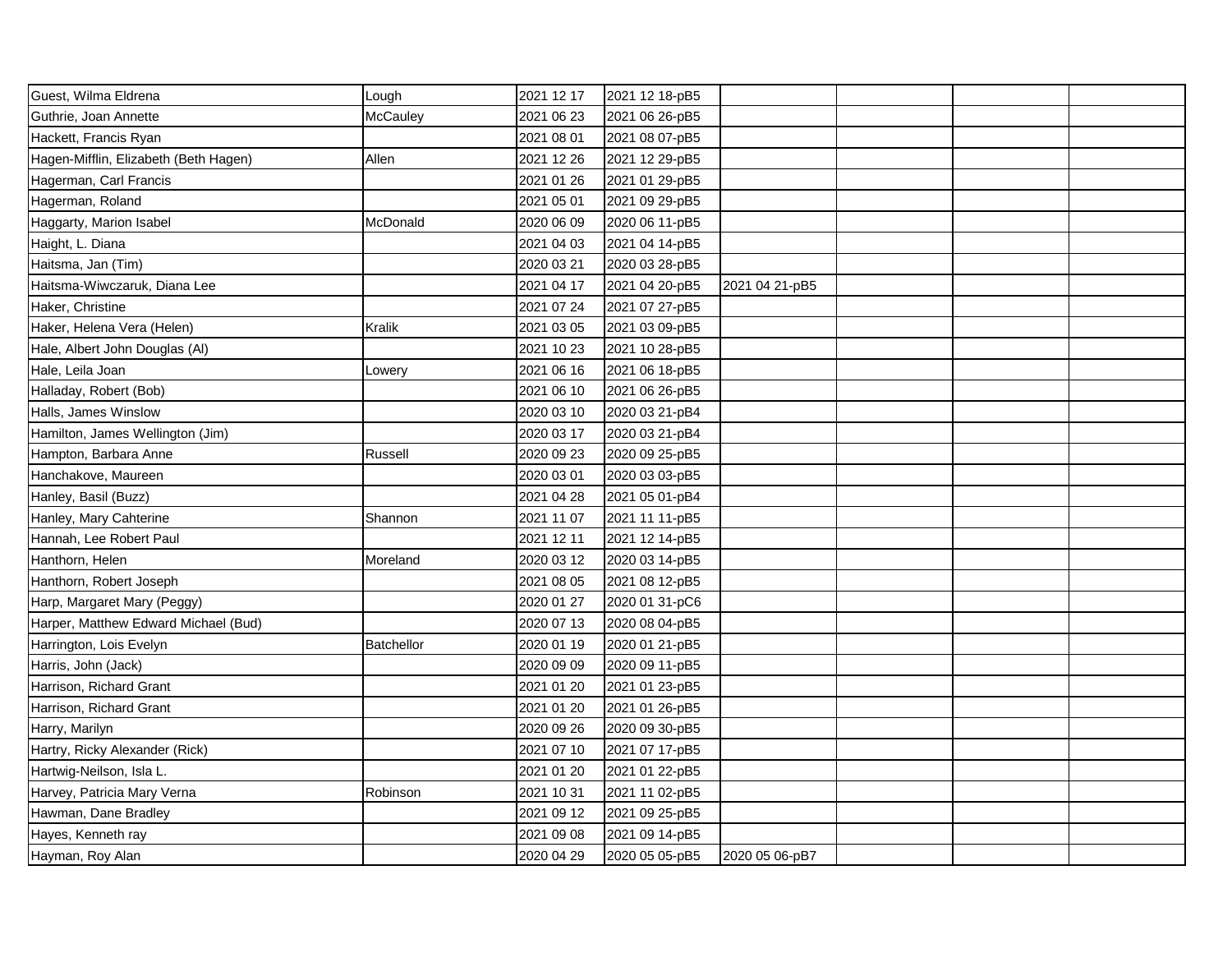| Guest, Wilma Eldrena                  | Lough             | 2021 12 17 | 2021 12 18-pB5 |                |  |  |
|---------------------------------------|-------------------|------------|----------------|----------------|--|--|
| Guthrie, Joan Annette                 | McCauley          | 2021 06 23 | 2021 06 26-pB5 |                |  |  |
| Hackett, Francis Ryan                 |                   | 2021 08 01 | 2021 08 07-pB5 |                |  |  |
| Hagen-Mifflin, Elizabeth (Beth Hagen) | Allen             | 2021 12 26 | 2021 12 29-pB5 |                |  |  |
| Hagerman, Carl Francis                |                   | 2021 01 26 | 2021 01 29-pB5 |                |  |  |
| Hagerman, Roland                      |                   | 2021 05 01 | 2021 09 29-pB5 |                |  |  |
| Haggarty, Marion Isabel               | McDonald          | 2020 06 09 | 2020 06 11-pB5 |                |  |  |
| Haight, L. Diana                      |                   | 2021 04 03 | 2021 04 14-pB5 |                |  |  |
| Haitsma, Jan (Tim)                    |                   | 2020 03 21 | 2020 03 28-pB5 |                |  |  |
| Haitsma-Wiwczaruk, Diana Lee          |                   | 2021 04 17 | 2021 04 20-pB5 | 2021 04 21-pB5 |  |  |
| Haker, Christine                      |                   | 2021 07 24 | 2021 07 27-pB5 |                |  |  |
| Haker, Helena Vera (Helen)            | Kralik            | 2021 03 05 | 2021 03 09-pB5 |                |  |  |
| Hale, Albert John Douglas (Al)        |                   | 2021 10 23 | 2021 10 28-pB5 |                |  |  |
| Hale, Leila Joan                      | Lowery            | 2021 06 16 | 2021 06 18-pB5 |                |  |  |
| Halladay, Robert (Bob)                |                   | 2021 06 10 | 2021 06 26-pB5 |                |  |  |
| Halls, James Winslow                  |                   | 2020 03 10 | 2020 03 21-pB4 |                |  |  |
| Hamilton, James Wellington (Jim)      |                   | 2020 03 17 | 2020 03 21-pB4 |                |  |  |
| Hampton, Barbara Anne                 | Russell           | 2020 09 23 | 2020 09 25-pB5 |                |  |  |
| Hanchakove, Maureen                   |                   | 2020 03 01 | 2020 03 03-pB5 |                |  |  |
| Hanley, Basil (Buzz)                  |                   | 2021 04 28 | 2021 05 01-pB4 |                |  |  |
| Hanley, Mary Cahterine                | Shannon           | 2021 11 07 | 2021 11 11-pB5 |                |  |  |
| Hannah, Lee Robert Paul               |                   | 2021 12 11 | 2021 12 14-pB5 |                |  |  |
| Hanthorn, Helen                       | Moreland          | 2020 03 12 | 2020 03 14-pB5 |                |  |  |
| Hanthorn, Robert Joseph               |                   | 2021 08 05 | 2021 08 12-pB5 |                |  |  |
| Harp, Margaret Mary (Peggy)           |                   | 2020 01 27 | 2020 01 31-pC6 |                |  |  |
| Harper, Matthew Edward Michael (Bud)  |                   | 2020 07 13 | 2020 08 04-pB5 |                |  |  |
| Harrington, Lois Evelyn               | <b>Batchellor</b> | 2020 01 19 | 2020 01 21-pB5 |                |  |  |
| Harris, John (Jack)                   |                   | 2020 09 09 | 2020 09 11-pB5 |                |  |  |
| Harrison, Richard Grant               |                   | 2021 01 20 | 2021 01 23-pB5 |                |  |  |
| Harrison, Richard Grant               |                   | 2021 01 20 | 2021 01 26-pB5 |                |  |  |
| Harry, Marilyn                        |                   | 2020 09 26 | 2020 09 30-pB5 |                |  |  |
| Hartry, Ricky Alexander (Rick)        |                   | 2021 07 10 | 2021 07 17-pB5 |                |  |  |
| Hartwig-Neilson, Isla L.              |                   | 2021 01 20 | 2021 01 22-pB5 |                |  |  |
| Harvey, Patricia Mary Verna           | Robinson          | 2021 10 31 | 2021 11 02-pB5 |                |  |  |
| Hawman, Dane Bradley                  |                   | 2021 09 12 | 2021 09 25-pB5 |                |  |  |
| Hayes, Kenneth ray                    |                   | 2021 09 08 | 2021 09 14-pB5 |                |  |  |
| Hayman, Roy Alan                      |                   | 2020 04 29 | 2020 05 05-pB5 | 2020 05 06-pB7 |  |  |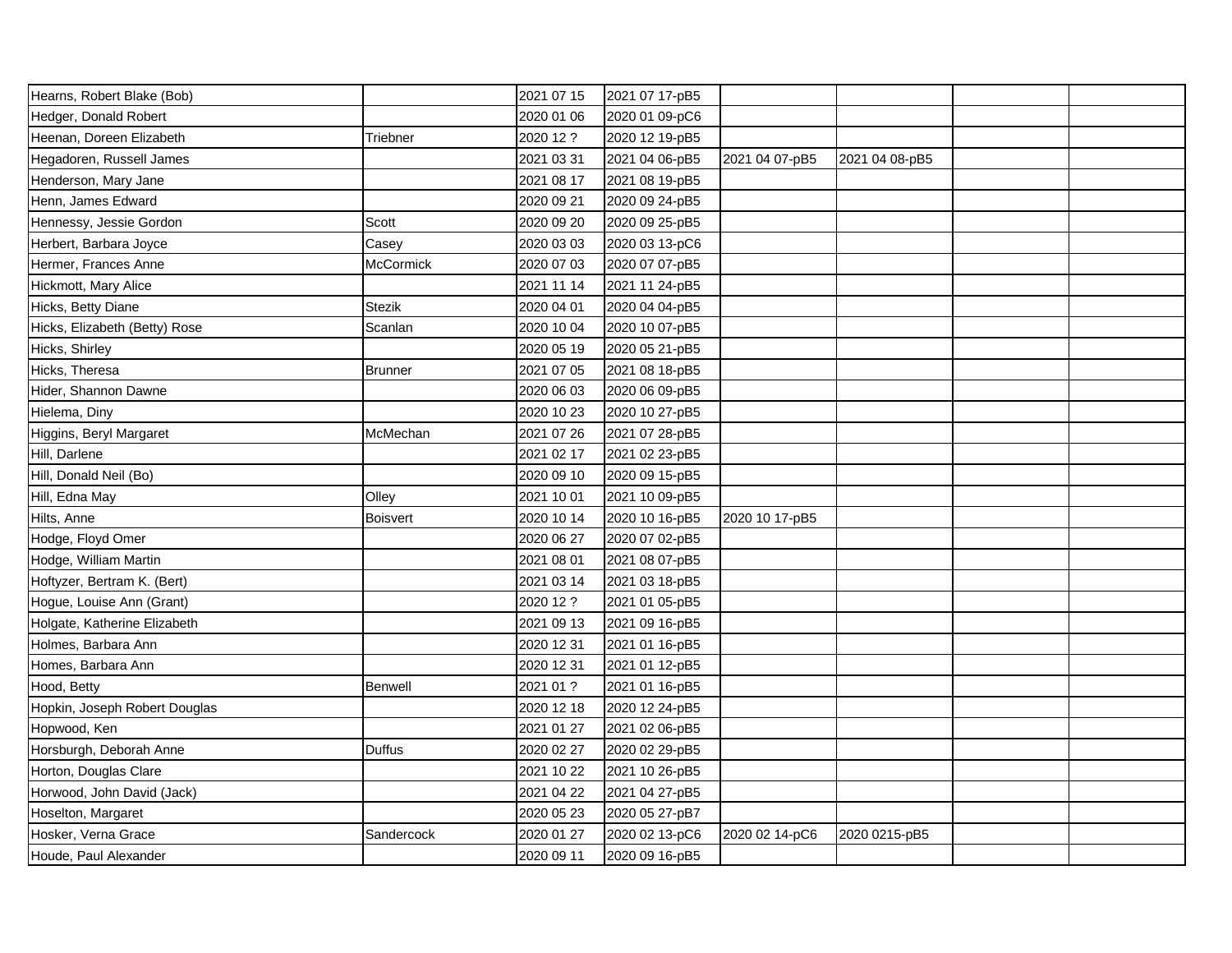| Hearns, Robert Blake (Bob)    |                 | 2021 07 15 | 2021 07 17-pB5 |                |                |  |
|-------------------------------|-----------------|------------|----------------|----------------|----------------|--|
| Hedger, Donald Robert         |                 | 2020 01 06 | 2020 01 09-pC6 |                |                |  |
| Heenan, Doreen Elizabeth      | Triebner        | 2020 12 ?  | 2020 12 19-pB5 |                |                |  |
| Hegadoren, Russell James      |                 | 2021 03 31 | 2021 04 06-pB5 | 2021 04 07-pB5 | 2021 04 08-pB5 |  |
| Henderson, Mary Jane          |                 | 2021 08 17 | 2021 08 19-pB5 |                |                |  |
| Henn, James Edward            |                 | 2020 09 21 | 2020 09 24-pB5 |                |                |  |
| Hennessy, Jessie Gordon       | Scott           | 2020 09 20 | 2020 09 25-pB5 |                |                |  |
| Herbert, Barbara Joyce        | Casey           | 2020 03 03 | 2020 03 13-pC6 |                |                |  |
| Hermer, Frances Anne          | McCormick       | 2020 07 03 | 2020 07 07-pB5 |                |                |  |
| Hickmott, Mary Alice          |                 | 2021 11 14 | 2021 11 24-pB5 |                |                |  |
| Hicks, Betty Diane            | Stezik          | 2020 04 01 | 2020 04 04-pB5 |                |                |  |
| Hicks, Elizabeth (Betty) Rose | Scanlan         | 2020 10 04 | 2020 10 07-pB5 |                |                |  |
| Hicks, Shirley                |                 | 2020 05 19 | 2020 05 21-pB5 |                |                |  |
| Hicks, Theresa                | Brunner         | 2021 07 05 | 2021 08 18-pB5 |                |                |  |
| Hider, Shannon Dawne          |                 | 2020 06 03 | 2020 06 09-pB5 |                |                |  |
| Hielema, Diny                 |                 | 2020 10 23 | 2020 10 27-pB5 |                |                |  |
| Higgins, Beryl Margaret       | McMechan        | 2021 07 26 | 2021 07 28-pB5 |                |                |  |
| Hill, Darlene                 |                 | 2021 02 17 | 2021 02 23-pB5 |                |                |  |
| Hill, Donald Neil (Bo)        |                 | 2020 09 10 | 2020 09 15-pB5 |                |                |  |
| Hill, Edna May                | Olley           | 2021 10 01 | 2021 10 09-pB5 |                |                |  |
| Hilts, Anne                   | <b>Boisvert</b> | 2020 10 14 | 2020 10 16-pB5 | 2020 10 17-pB5 |                |  |
| Hodge, Floyd Omer             |                 | 2020 06 27 | 2020 07 02-pB5 |                |                |  |
| Hodge, William Martin         |                 | 2021 08 01 | 2021 08 07-pB5 |                |                |  |
| Hoftyzer, Bertram K. (Bert)   |                 | 2021 03 14 | 2021 03 18-pB5 |                |                |  |
| Hogue, Louise Ann (Grant)     |                 | 2020 12 ?  | 2021 01 05-pB5 |                |                |  |
| Holgate, Katherine Elizabeth  |                 | 2021 09 13 | 2021 09 16-pB5 |                |                |  |
| Holmes, Barbara Ann           |                 | 2020 12 31 | 2021 01 16-pB5 |                |                |  |
| Homes, Barbara Ann            |                 | 2020 12 31 | 2021 01 12-pB5 |                |                |  |
| Hood, Betty                   | Benwell         | 2021 01 ?  | 2021 01 16-pB5 |                |                |  |
| Hopkin, Joseph Robert Douglas |                 | 2020 12 18 | 2020 12 24-pB5 |                |                |  |
| Hopwood, Ken                  |                 | 2021 01 27 | 2021 02 06-pB5 |                |                |  |
| Horsburgh, Deborah Anne       | Duffus          | 2020 02 27 | 2020 02 29-pB5 |                |                |  |
| Horton, Douglas Clare         |                 | 2021 10 22 | 2021 10 26-pB5 |                |                |  |
| Horwood, John David (Jack)    |                 | 2021 04 22 | 2021 04 27-pB5 |                |                |  |
| Hoselton, Margaret            |                 | 2020 05 23 | 2020 05 27-pB7 |                |                |  |
| Hosker, Verna Grace           | Sandercock      | 2020 01 27 | 2020 02 13-pC6 | 2020 02 14-pC6 | 2020 0215-pB5  |  |
| Houde, Paul Alexander         |                 | 2020 09 11 | 2020 09 16-pB5 |                |                |  |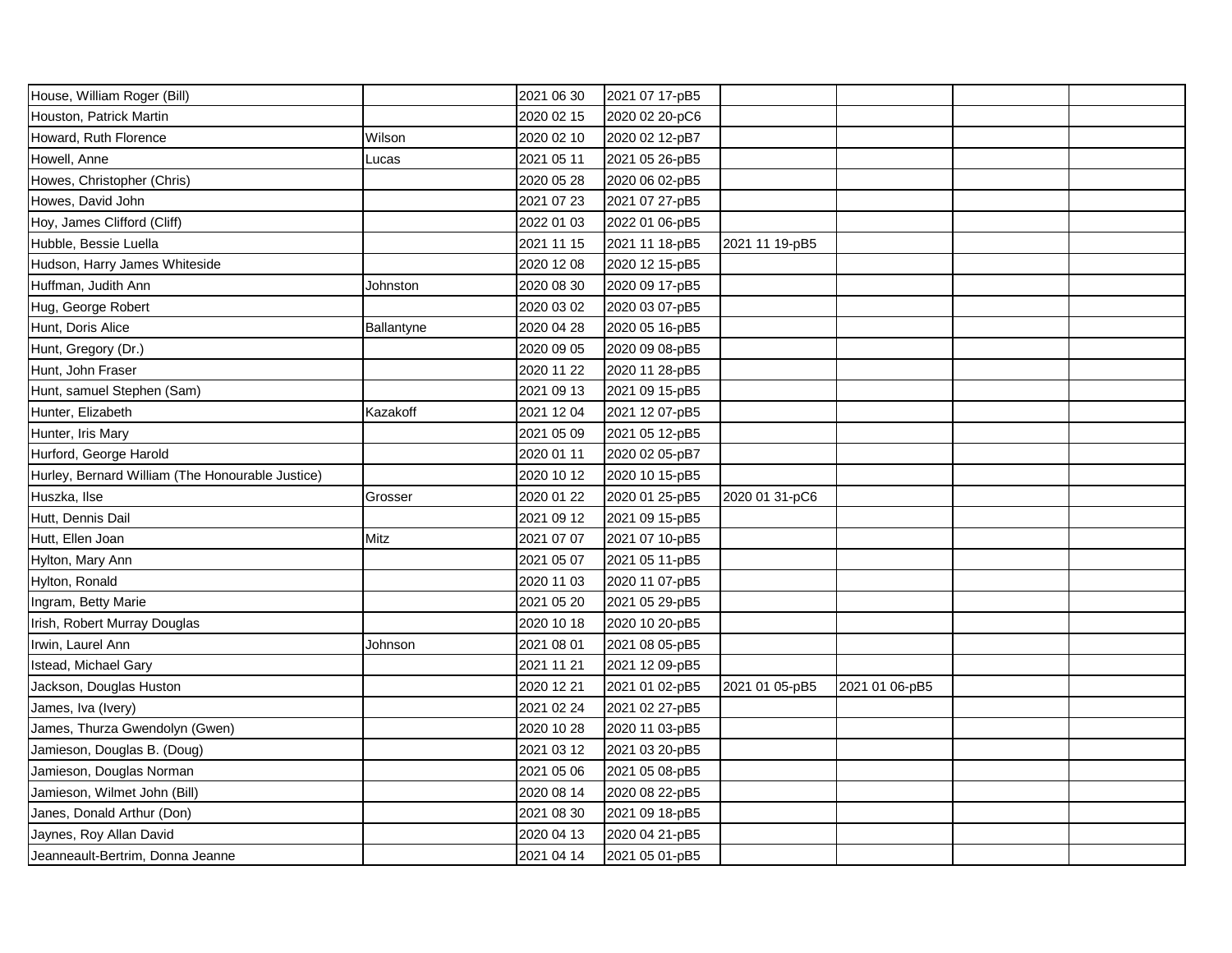| House, William Roger (Bill)                      |            | 2021 06 30 | 2021 07 17-pB5 |                |                |  |
|--------------------------------------------------|------------|------------|----------------|----------------|----------------|--|
| Houston, Patrick Martin                          |            | 2020 02 15 | 2020 02 20-pC6 |                |                |  |
| Howard, Ruth Florence                            | Wilson     | 2020 02 10 | 2020 02 12-pB7 |                |                |  |
| Howell, Anne                                     | Lucas      | 2021 05 11 | 2021 05 26-pB5 |                |                |  |
| Howes, Christopher (Chris)                       |            | 2020 05 28 | 2020 06 02-pB5 |                |                |  |
| Howes, David John                                |            | 2021 07 23 | 2021 07 27-pB5 |                |                |  |
| Hoy, James Clifford (Cliff)                      |            | 2022 01 03 | 2022 01 06-pB5 |                |                |  |
| Hubble, Bessie Luella                            |            | 2021 11 15 | 2021 11 18-pB5 | 2021 11 19-pB5 |                |  |
| Hudson, Harry James Whiteside                    |            | 2020 12 08 | 2020 12 15-pB5 |                |                |  |
| Huffman, Judith Ann                              | Johnston   | 2020 08 30 | 2020 09 17-pB5 |                |                |  |
| Hug, George Robert                               |            | 2020 03 02 | 2020 03 07-pB5 |                |                |  |
| Hunt, Doris Alice                                | Ballantyne | 2020 04 28 | 2020 05 16-pB5 |                |                |  |
| Hunt, Gregory (Dr.)                              |            | 2020 09 05 | 2020 09 08-pB5 |                |                |  |
| Hunt, John Fraser                                |            | 2020 11 22 | 2020 11 28-pB5 |                |                |  |
| Hunt, samuel Stephen (Sam)                       |            | 2021 09 13 | 2021 09 15-pB5 |                |                |  |
| Hunter, Elizabeth                                | Kazakoff   | 2021 12 04 | 2021 12 07-pB5 |                |                |  |
| Hunter, Iris Mary                                |            | 2021 05 09 | 2021 05 12-pB5 |                |                |  |
| Hurford, George Harold                           |            | 2020 01 11 | 2020 02 05-pB7 |                |                |  |
| Hurley, Bernard William (The Honourable Justice) |            | 2020 10 12 | 2020 10 15-pB5 |                |                |  |
| Huszka, Ilse                                     | Grosser    | 2020 01 22 | 2020 01 25-pB5 | 2020 01 31-pC6 |                |  |
| Hutt, Dennis Dail                                |            | 2021 09 12 | 2021 09 15-pB5 |                |                |  |
| Hutt, Ellen Joan                                 | Mitz       | 2021 07 07 | 2021 07 10-pB5 |                |                |  |
| Hylton, Mary Ann                                 |            | 2021 05 07 | 2021 05 11-pB5 |                |                |  |
| Hylton, Ronald                                   |            | 2020 11 03 | 2020 11 07-pB5 |                |                |  |
| Ingram, Betty Marie                              |            | 2021 05 20 | 2021 05 29-pB5 |                |                |  |
| Irish, Robert Murray Douglas                     |            | 2020 10 18 | 2020 10 20-pB5 |                |                |  |
| Irwin, Laurel Ann                                | Johnson    | 2021 08 01 | 2021 08 05-pB5 |                |                |  |
| Istead, Michael Gary                             |            | 2021 11 21 | 2021 12 09-pB5 |                |                |  |
| Jackson, Douglas Huston                          |            | 2020 12 21 | 2021 01 02-pB5 | 2021 01 05-pB5 | 2021 01 06-pB5 |  |
| James, Iva (Ivery)                               |            | 2021 02 24 | 2021 02 27-pB5 |                |                |  |
| James, Thurza Gwendolyn (Gwen)                   |            | 2020 10 28 | 2020 11 03-pB5 |                |                |  |
| Jamieson, Douglas B. (Doug)                      |            | 2021 03 12 | 2021 03 20-pB5 |                |                |  |
| Jamieson, Douglas Norman                         |            | 2021 05 06 | 2021 05 08-pB5 |                |                |  |
| Jamieson, Wilmet John (Bill)                     |            | 2020 08 14 | 2020 08 22-pB5 |                |                |  |
| Janes, Donald Arthur (Don)                       |            | 2021 08 30 | 2021 09 18-pB5 |                |                |  |
| Jaynes, Roy Allan David                          |            | 2020 04 13 | 2020 04 21-pB5 |                |                |  |
| Jeanneault-Bertrim, Donna Jeanne                 |            | 2021 04 14 | 2021 05 01-pB5 |                |                |  |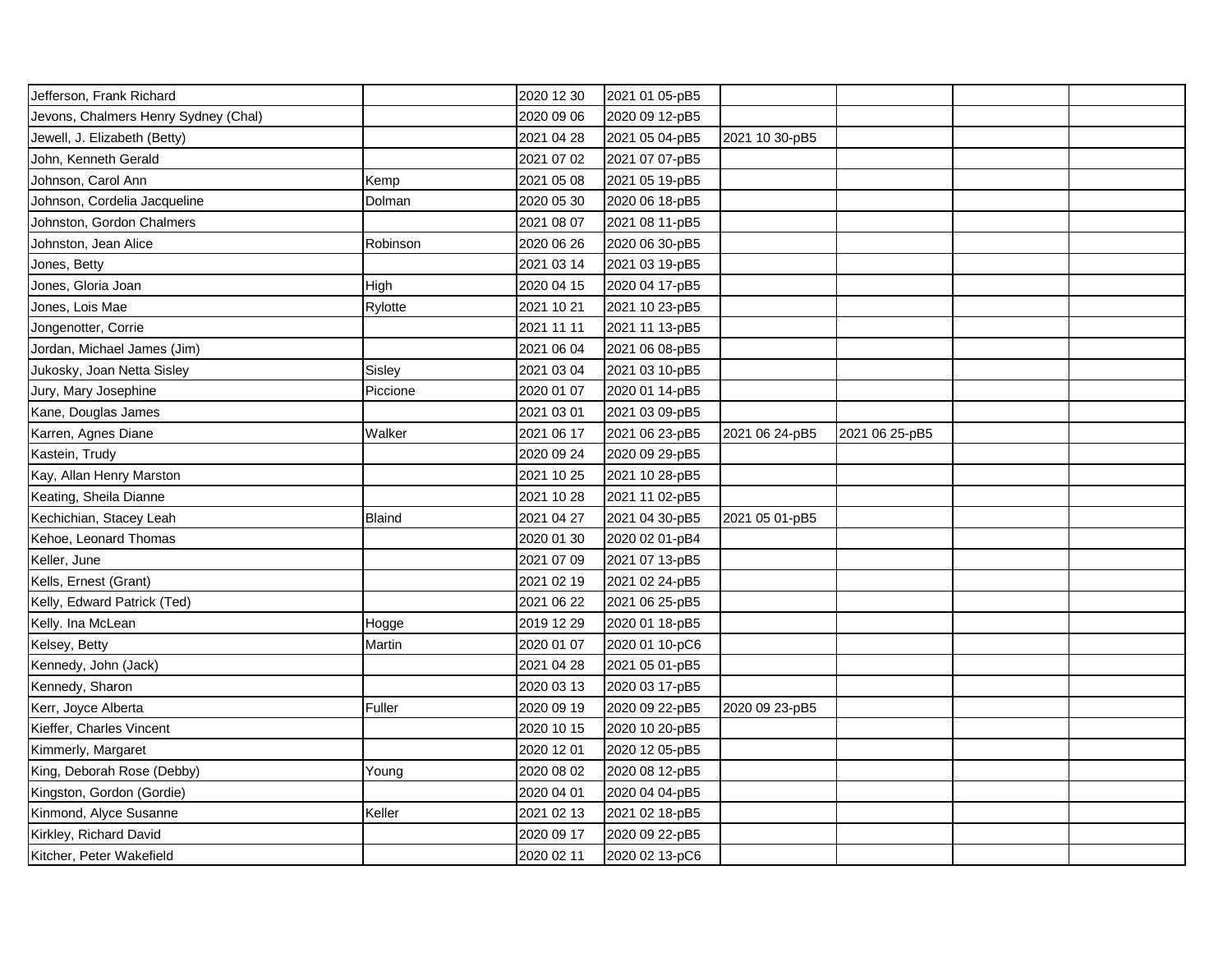| Jefferson, Frank Richard             |               | 2020 12 30 | 2021 01 05-pB5 |                |                |  |
|--------------------------------------|---------------|------------|----------------|----------------|----------------|--|
| Jevons, Chalmers Henry Sydney (Chal) |               | 2020 09 06 | 2020 09 12-pB5 |                |                |  |
| Jewell, J. Elizabeth (Betty)         |               | 2021 04 28 | 2021 05 04-pB5 | 2021 10 30-pB5 |                |  |
| John, Kenneth Gerald                 |               | 2021 07 02 | 2021 07 07-pB5 |                |                |  |
| Johnson, Carol Ann                   | Kemp          | 2021 05 08 | 2021 05 19-pB5 |                |                |  |
| Johnson, Cordelia Jacqueline         | Dolman        | 2020 05 30 | 2020 06 18-pB5 |                |                |  |
| Johnston, Gordon Chalmers            |               | 2021 08 07 | 2021 08 11-pB5 |                |                |  |
| Johnston, Jean Alice                 | Robinson      | 2020 06 26 | 2020 06 30-pB5 |                |                |  |
| Jones, Betty                         |               | 2021 03 14 | 2021 03 19-pB5 |                |                |  |
| Jones, Gloria Joan                   | High          | 2020 04 15 | 2020 04 17-pB5 |                |                |  |
| Jones, Lois Mae                      | Rylotte       | 2021 10 21 | 2021 10 23-pB5 |                |                |  |
| Jongenotter, Corrie                  |               | 2021 11 11 | 2021 11 13-pB5 |                |                |  |
| Jordan, Michael James (Jim)          |               | 2021 06 04 | 2021 06 08-pB5 |                |                |  |
| Jukosky, Joan Netta Sisley           | Sisley        | 2021 03 04 | 2021 03 10-pB5 |                |                |  |
| Jury, Mary Josephine                 | Piccione      | 2020 01 07 | 2020 01 14-pB5 |                |                |  |
| Kane, Douglas James                  |               | 2021 03 01 | 2021 03 09-pB5 |                |                |  |
| Karren, Agnes Diane                  | Walker        | 2021 06 17 | 2021 06 23-pB5 | 2021 06 24-pB5 | 2021 06 25-pB5 |  |
| Kastein, Trudy                       |               | 2020 09 24 | 2020 09 29-pB5 |                |                |  |
| Kay, Allan Henry Marston             |               | 2021 10 25 | 2021 10 28-pB5 |                |                |  |
| Keating, Sheila Dianne               |               | 2021 10 28 | 2021 11 02-pB5 |                |                |  |
| Kechichian, Stacey Leah              | <b>Blaind</b> | 2021 04 27 | 2021 04 30-pB5 | 2021 05 01-pB5 |                |  |
| Kehoe, Leonard Thomas                |               | 2020 01 30 | 2020 02 01-pB4 |                |                |  |
| Keller, June                         |               | 2021 07 09 | 2021 07 13-pB5 |                |                |  |
| Kells, Ernest (Grant)                |               | 2021 02 19 | 2021 02 24-pB5 |                |                |  |
| Kelly, Edward Patrick (Ted)          |               | 2021 06 22 | 2021 06 25-pB5 |                |                |  |
| Kelly. Ina McLean                    | Hogge         | 2019 12 29 | 2020 01 18-pB5 |                |                |  |
| Kelsey, Betty                        | Martin        | 2020 01 07 | 2020 01 10-pC6 |                |                |  |
| Kennedy, John (Jack)                 |               | 2021 04 28 | 2021 05 01-pB5 |                |                |  |
| Kennedy, Sharon                      |               | 2020 03 13 | 2020 03 17-pB5 |                |                |  |
| Kerr, Joyce Alberta                  | Fuller        | 2020 09 19 | 2020 09 22-pB5 | 2020 09 23-pB5 |                |  |
| Kieffer, Charles Vincent             |               | 2020 10 15 | 2020 10 20-pB5 |                |                |  |
| Kimmerly, Margaret                   |               | 2020 12 01 | 2020 12 05-pB5 |                |                |  |
| King, Deborah Rose (Debby)           | Young         | 2020 08 02 | 2020 08 12-pB5 |                |                |  |
| Kingston, Gordon (Gordie)            |               | 2020 04 01 | 2020 04 04-pB5 |                |                |  |
| Kinmond, Alyce Susanne               | Keller        | 2021 02 13 | 2021 02 18-pB5 |                |                |  |
| Kirkley, Richard David               |               | 2020 09 17 | 2020 09 22-pB5 |                |                |  |
| Kitcher, Peter Wakefield             |               | 2020 02 11 | 2020 02 13-pC6 |                |                |  |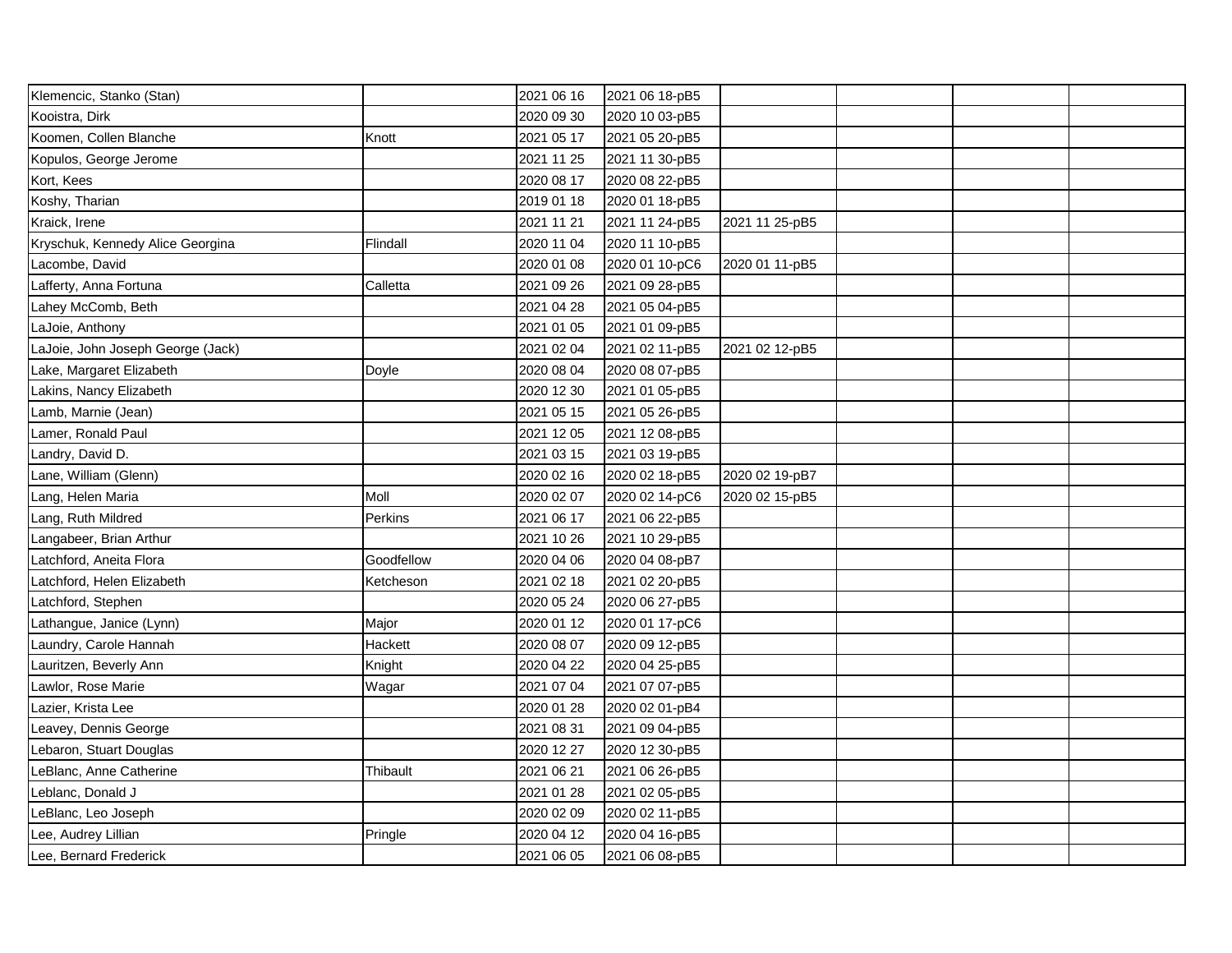| Klemencic, Stanko (Stan)          |            | 2021 06 16 | 2021 06 18-pB5 |                |  |  |
|-----------------------------------|------------|------------|----------------|----------------|--|--|
| Kooistra, Dirk                    |            | 2020 09 30 | 2020 10 03-pB5 |                |  |  |
| Koomen, Collen Blanche            | Knott      | 2021 05 17 | 2021 05 20-pB5 |                |  |  |
| Kopulos, George Jerome            |            | 2021 11 25 | 2021 11 30-pB5 |                |  |  |
| Kort, Kees                        |            | 2020 08 17 | 2020 08 22-pB5 |                |  |  |
| Koshy, Tharian                    |            | 2019 01 18 | 2020 01 18-pB5 |                |  |  |
| Kraick, Irene                     |            | 2021 11 21 | 2021 11 24-pB5 | 2021 11 25-pB5 |  |  |
| Kryschuk, Kennedy Alice Georgina  | Flindall   | 2020 11 04 | 2020 11 10-pB5 |                |  |  |
| Lacombe, David                    |            | 2020 01 08 | 2020 01 10-pC6 | 2020 01 11-pB5 |  |  |
| Lafferty, Anna Fortuna            | Calletta   | 2021 09 26 | 2021 09 28-pB5 |                |  |  |
| Lahey McComb, Beth                |            | 2021 04 28 | 2021 05 04-pB5 |                |  |  |
| LaJoie, Anthony                   |            | 2021 01 05 | 2021 01 09-pB5 |                |  |  |
| LaJoie, John Joseph George (Jack) |            | 2021 02 04 | 2021 02 11-pB5 | 2021 02 12-pB5 |  |  |
| Lake, Margaret Elizabeth          | Doyle      | 2020 08 04 | 2020 08 07-pB5 |                |  |  |
| Lakins, Nancy Elizabeth           |            | 2020 12 30 | 2021 01 05-pB5 |                |  |  |
| Lamb, Marnie (Jean)               |            | 2021 05 15 | 2021 05 26-pB5 |                |  |  |
| Lamer, Ronald Paul                |            | 2021 12 05 | 2021 12 08-pB5 |                |  |  |
| Landry, David D.                  |            | 2021 03 15 | 2021 03 19-pB5 |                |  |  |
| Lane, William (Glenn)             |            | 2020 02 16 | 2020 02 18-pB5 | 2020 02 19-pB7 |  |  |
| Lang, Helen Maria                 | Moll       | 2020 02 07 | 2020 02 14-pC6 | 2020 02 15-pB5 |  |  |
| Lang, Ruth Mildred                | Perkins    | 2021 06 17 | 2021 06 22-pB5 |                |  |  |
| Langabeer, Brian Arthur           |            | 2021 10 26 | 2021 10 29-pB5 |                |  |  |
| Latchford, Aneita Flora           | Goodfellow | 2020 04 06 | 2020 04 08-pB7 |                |  |  |
| Latchford, Helen Elizabeth        | Ketcheson  | 2021 02 18 | 2021 02 20-pB5 |                |  |  |
| Latchford, Stephen                |            | 2020 05 24 | 2020 06 27-pB5 |                |  |  |
| Lathangue, Janice (Lynn)          | Major      | 2020 01 12 | 2020 01 17-pC6 |                |  |  |
| Laundry, Carole Hannah            | Hackett    | 2020 08 07 | 2020 09 12-pB5 |                |  |  |
| Lauritzen, Beverly Ann            | Knight     | 2020 04 22 | 2020 04 25-pB5 |                |  |  |
| Lawlor, Rose Marie                | Wagar      | 2021 07 04 | 2021 07 07-pB5 |                |  |  |
| Lazier, Krista Lee                |            | 2020 01 28 | 2020 02 01-pB4 |                |  |  |
| Leavey, Dennis George             |            | 2021 08 31 | 2021 09 04-pB5 |                |  |  |
| Lebaron, Stuart Douglas           |            | 2020 12 27 | 2020 12 30-pB5 |                |  |  |
| LeBlanc, Anne Catherine           | Thibault   | 2021 06 21 | 2021 06 26-pB5 |                |  |  |
| Leblanc, Donald J                 |            | 2021 01 28 | 2021 02 05-pB5 |                |  |  |
| LeBlanc, Leo Joseph               |            | 2020 02 09 | 2020 02 11-pB5 |                |  |  |
| Lee, Audrey Lillian               | Pringle    | 2020 04 12 | 2020 04 16-pB5 |                |  |  |
| Lee, Bernard Frederick            |            | 2021 06 05 | 2021 06 08-pB5 |                |  |  |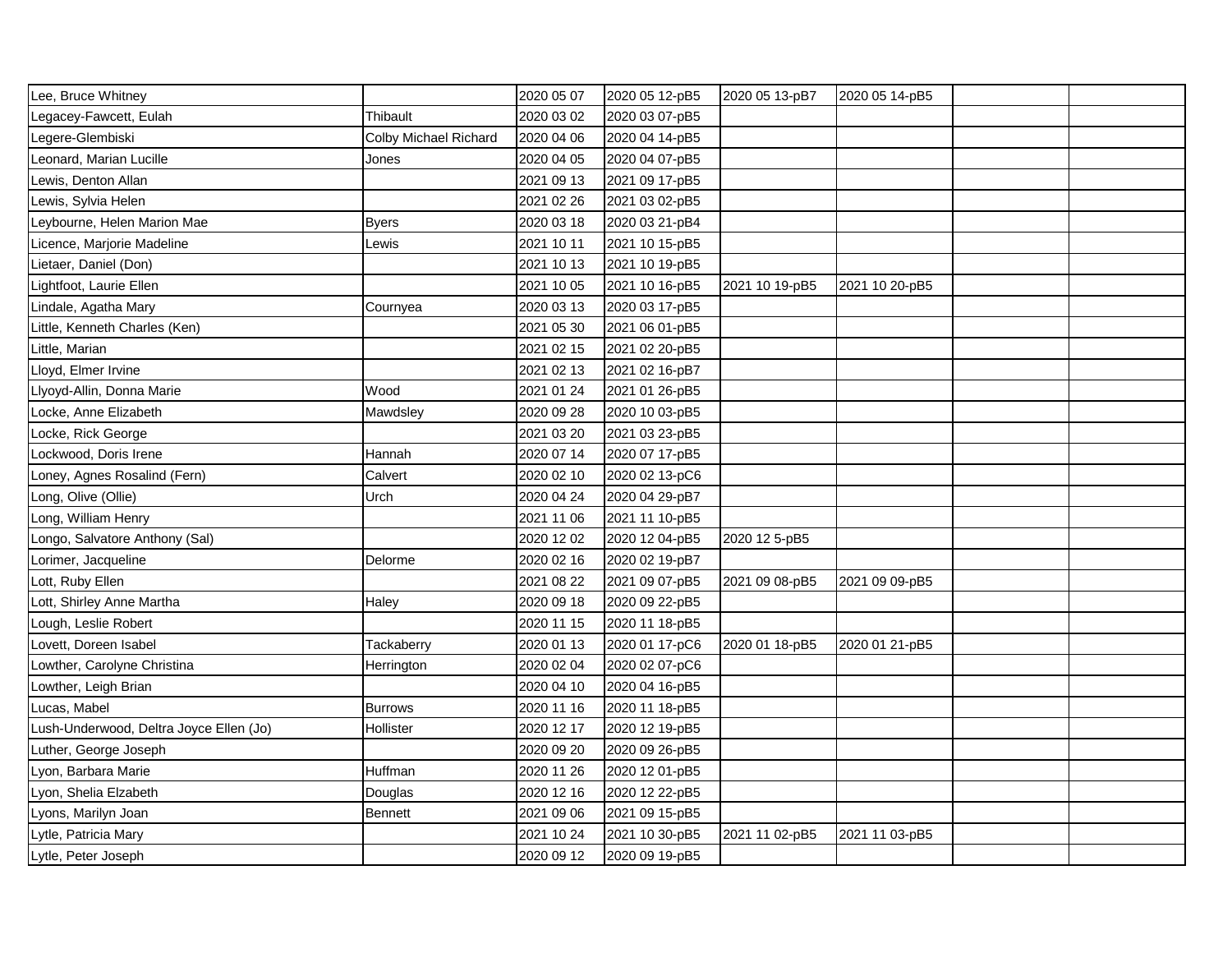| Lee, Bruce Whitney                      |                       | 2020 05 07 | 2020 05 12-pB5 | 2020 05 13-pB7 | 2020 05 14-pB5 |  |
|-----------------------------------------|-----------------------|------------|----------------|----------------|----------------|--|
| Legacey-Fawcett, Eulah                  | Thibault              | 2020 03 02 | 2020 03 07-pB5 |                |                |  |
| egere-Glembiski                         | Colby Michael Richard | 2020 04 06 | 2020 04 14-pB5 |                |                |  |
| Leonard, Marian Lucille                 | Jones                 | 2020 04 05 | 2020 04 07-pB5 |                |                |  |
| Lewis, Denton Allan                     |                       | 2021 09 13 | 2021 09 17-pB5 |                |                |  |
| Lewis, Sylvia Helen                     |                       | 2021 02 26 | 2021 03 02-pB5 |                |                |  |
| Leybourne, Helen Marion Mae             | <b>Byers</b>          | 2020 03 18 | 2020 03 21-pB4 |                |                |  |
| Licence, Marjorie Madeline              | Lewis                 | 2021 10 11 | 2021 10 15-pB5 |                |                |  |
| Lietaer, Daniel (Don)                   |                       | 2021 10 13 | 2021 10 19-pB5 |                |                |  |
| Lightfoot, Laurie Ellen                 |                       | 2021 10 05 | 2021 10 16-pB5 | 2021 10 19-pB5 | 2021 10 20-pB5 |  |
| Lindale, Agatha Mary                    | Cournyea              | 2020 03 13 | 2020 03 17-pB5 |                |                |  |
| Little, Kenneth Charles (Ken)           |                       | 2021 05 30 | 2021 06 01-pB5 |                |                |  |
| Little, Marian                          |                       | 2021 02 15 | 2021 02 20-pB5 |                |                |  |
| Lloyd, Elmer Irvine                     |                       | 2021 02 13 | 2021 02 16-pB7 |                |                |  |
| Llyoyd-Allin, Donna Marie               | Wood                  | 2021 01 24 | 2021 01 26-pB5 |                |                |  |
| Locke, Anne Elizabeth                   | Mawdsley              | 2020 09 28 | 2020 10 03-pB5 |                |                |  |
| Locke, Rick George                      |                       | 2021 03 20 | 2021 03 23-pB5 |                |                |  |
| Lockwood, Doris Irene                   | Hannah                | 2020 07 14 | 2020 07 17-pB5 |                |                |  |
| oney, Agnes Rosalind (Fern)             | Calvert               | 2020 02 10 | 2020 02 13-pC6 |                |                |  |
| Long, Olive (Ollie)                     | Urch                  | 2020 04 24 | 2020 04 29-pB7 |                |                |  |
| Long, William Henry                     |                       | 2021 11 06 | 2021 11 10-pB5 |                |                |  |
| Longo, Salvatore Anthony (Sal)          |                       | 2020 12 02 | 2020 12 04-pB5 | 2020 12 5-pB5  |                |  |
| Lorimer, Jacqueline                     | Delorme               | 2020 02 16 | 2020 02 19-pB7 |                |                |  |
| Lott, Ruby Ellen                        |                       | 2021 08 22 | 2021 09 07-pB5 | 2021 09 08-pB5 | 2021 09 09-pB5 |  |
| Lott, Shirley Anne Martha               | Haley                 | 2020 09 18 | 2020 09 22-pB5 |                |                |  |
| Lough, Leslie Robert                    |                       | 2020 11 15 | 2020 11 18-pB5 |                |                |  |
| Lovett, Doreen Isabel                   | Tackaberry            | 2020 01 13 | 2020 01 17-pC6 | 2020 01 18-pB5 | 2020 01 21-pB5 |  |
| Lowther, Carolyne Christina             | Herrington            | 2020 02 04 | 2020 02 07-pC6 |                |                |  |
| Lowther, Leigh Brian                    |                       | 2020 04 10 | 2020 04 16-pB5 |                |                |  |
| Lucas, Mabel                            | <b>Burrows</b>        | 2020 11 16 | 2020 11 18-pB5 |                |                |  |
| Lush-Underwood, Deltra Joyce Ellen (Jo) | Hollister             | 2020 12 17 | 2020 12 19-pB5 |                |                |  |
| Luther, George Joseph                   |                       | 2020 09 20 | 2020 09 26-pB5 |                |                |  |
| Lyon, Barbara Marie                     | Huffman               | 2020 11 26 | 2020 12 01-pB5 |                |                |  |
| Lyon, Shelia Elzabeth                   | Douglas               | 2020 12 16 | 2020 12 22-pB5 |                |                |  |
| Lyons, Marilyn Joan                     | <b>Bennett</b>        | 2021 09 06 | 2021 09 15-pB5 |                |                |  |
| Lytle, Patricia Mary                    |                       | 2021 10 24 | 2021 10 30-pB5 | 2021 11 02-pB5 | 2021 11 03-pB5 |  |
| Lytle, Peter Joseph                     |                       | 2020 09 12 | 2020 09 19-pB5 |                |                |  |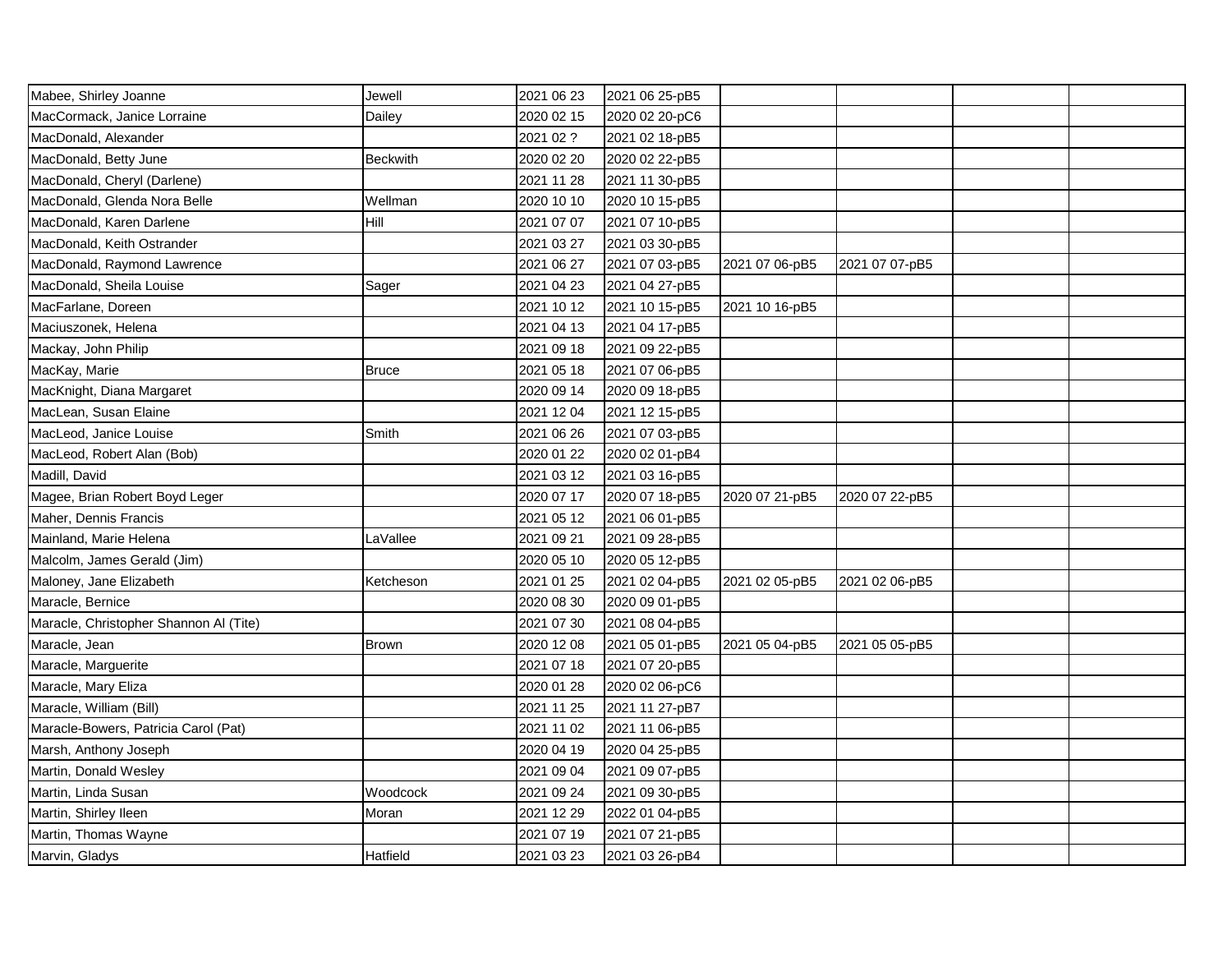| Mabee, Shirley Joanne                  | Jewell          | 2021 06 23 | 2021 06 25-pB5 |                |                |  |
|----------------------------------------|-----------------|------------|----------------|----------------|----------------|--|
| MacCormack, Janice Lorraine            | Dailey          | 2020 02 15 | 2020 02 20-pC6 |                |                |  |
| MacDonald, Alexander                   |                 | 2021 02 ?  | 2021 02 18-pB5 |                |                |  |
| MacDonald, Betty June                  | <b>Beckwith</b> | 2020 02 20 | 2020 02 22-pB5 |                |                |  |
| MacDonald, Cheryl (Darlene)            |                 | 2021 11 28 | 2021 11 30-pB5 |                |                |  |
| MacDonald, Glenda Nora Belle           | Wellman         | 2020 10 10 | 2020 10 15-pB5 |                |                |  |
| MacDonald, Karen Darlene               | Hill            | 2021 07 07 | 2021 07 10-pB5 |                |                |  |
| MacDonald, Keith Ostrander             |                 | 2021 03 27 | 2021 03 30-pB5 |                |                |  |
| MacDonald, Raymond Lawrence            |                 | 2021 06 27 | 2021 07 03-pB5 | 2021 07 06-pB5 | 2021 07 07-pB5 |  |
| MacDonald, Sheila Louise               | Sager           | 2021 04 23 | 2021 04 27-pB5 |                |                |  |
| MacFarlane, Doreen                     |                 | 2021 10 12 | 2021 10 15-pB5 | 2021 10 16-pB5 |                |  |
| Maciuszonek, Helena                    |                 | 2021 04 13 | 2021 04 17-pB5 |                |                |  |
| Mackay, John Philip                    |                 | 2021 09 18 | 2021 09 22-pB5 |                |                |  |
| MacKay, Marie                          | <b>Bruce</b>    | 2021 05 18 | 2021 07 06-pB5 |                |                |  |
| MacKnight, Diana Margaret              |                 | 2020 09 14 | 2020 09 18-pB5 |                |                |  |
| MacLean, Susan Elaine                  |                 | 2021 12 04 | 2021 12 15-pB5 |                |                |  |
| MacLeod, Janice Louise                 | Smith           | 2021 06 26 | 2021 07 03-pB5 |                |                |  |
| MacLeod, Robert Alan (Bob)             |                 | 2020 01 22 | 2020 02 01-pB4 |                |                |  |
| Madill, David                          |                 | 2021 03 12 | 2021 03 16-pB5 |                |                |  |
| Magee, Brian Robert Boyd Leger         |                 | 2020 07 17 | 2020 07 18-pB5 | 2020 07 21-pB5 | 2020 07 22-pB5 |  |
| Maher, Dennis Francis                  |                 | 2021 05 12 | 2021 06 01-pB5 |                |                |  |
| Mainland, Marie Helena                 | LaVallee        | 2021 09 21 | 2021 09 28-pB5 |                |                |  |
| Malcolm, James Gerald (Jim)            |                 | 2020 05 10 | 2020 05 12-pB5 |                |                |  |
| Maloney, Jane Elizabeth                | Ketcheson       | 2021 01 25 | 2021 02 04-pB5 | 2021 02 05-pB5 | 2021 02 06-pB5 |  |
| Maracle, Bernice                       |                 | 2020 08 30 | 2020 09 01-pB5 |                |                |  |
| Maracle, Christopher Shannon Al (Tite) |                 | 2021 07 30 | 2021 08 04-pB5 |                |                |  |
| Maracle, Jean                          | <b>Brown</b>    | 2020 12 08 | 2021 05 01-pB5 | 2021 05 04-pB5 | 2021 05 05-pB5 |  |
| Maracle, Marguerite                    |                 | 2021 07 18 | 2021 07 20-pB5 |                |                |  |
| Maracle, Mary Eliza                    |                 | 2020 01 28 | 2020 02 06-pC6 |                |                |  |
| Maracle, William (Bill)                |                 | 2021 11 25 | 2021 11 27-pB7 |                |                |  |
| Maracle-Bowers, Patricia Carol (Pat)   |                 | 2021 11 02 | 2021 11 06-pB5 |                |                |  |
| Marsh, Anthony Joseph                  |                 | 2020 04 19 | 2020 04 25-pB5 |                |                |  |
| Martin, Donald Wesley                  |                 | 2021 09 04 | 2021 09 07-pB5 |                |                |  |
| Martin, Linda Susan                    | Woodcock        | 2021 09 24 | 2021 09 30-pB5 |                |                |  |
| Martin, Shirley Ileen                  | Moran           | 2021 12 29 | 2022 01 04-pB5 |                |                |  |
| Martin, Thomas Wayne                   |                 | 2021 07 19 | 2021 07 21-pB5 |                |                |  |
| Marvin, Gladys                         | Hatfield        | 2021 03 23 | 2021 03 26-pB4 |                |                |  |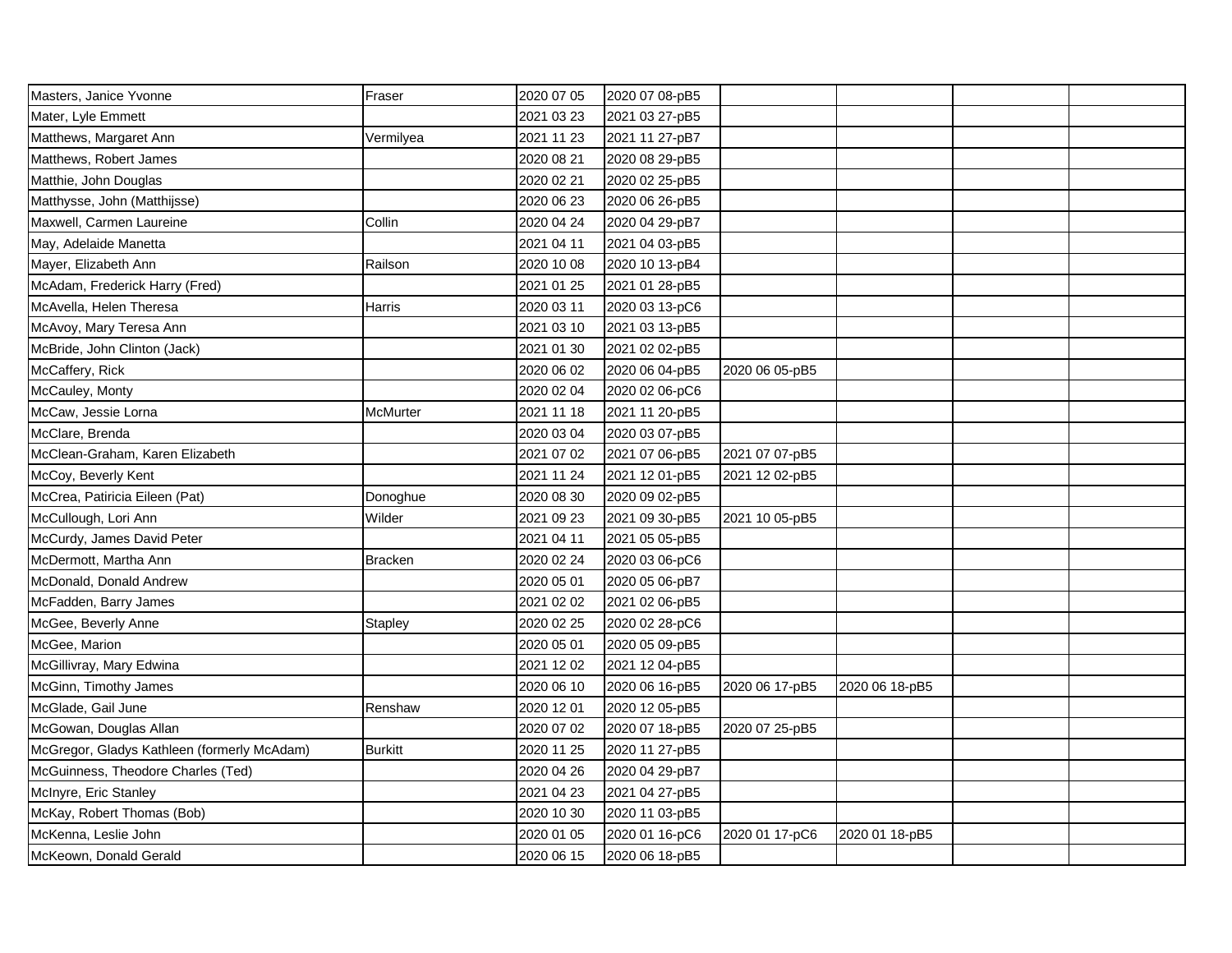| Masters, Janice Yvonne                      | Fraser         | 2020 07 05 | 2020 07 08-pB5 |                |                |  |
|---------------------------------------------|----------------|------------|----------------|----------------|----------------|--|
| Mater, Lyle Emmett                          |                | 2021 03 23 | 2021 03 27-pB5 |                |                |  |
| Matthews, Margaret Ann                      | Vermilyea      | 2021 11 23 | 2021 11 27-pB7 |                |                |  |
| Matthews, Robert James                      |                | 2020 08 21 | 2020 08 29-pB5 |                |                |  |
| Matthie, John Douglas                       |                | 2020 02 21 | 2020 02 25-pB5 |                |                |  |
| Matthysse, John (Matthijsse)                |                | 2020 06 23 | 2020 06 26-pB5 |                |                |  |
| Maxwell, Carmen Laureine                    | Collin         | 2020 04 24 | 2020 04 29-pB7 |                |                |  |
| May, Adelaide Manetta                       |                | 2021 04 11 | 2021 04 03-pB5 |                |                |  |
| Mayer, Elizabeth Ann                        | Railson        | 2020 10 08 | 2020 10 13-pB4 |                |                |  |
| McAdam, Frederick Harry (Fred)              |                | 2021 01 25 | 2021 01 28-pB5 |                |                |  |
| McAvella, Helen Theresa                     | Harris         | 2020 03 11 | 2020 03 13-pC6 |                |                |  |
| McAvoy, Mary Teresa Ann                     |                | 2021 03 10 | 2021 03 13-pB5 |                |                |  |
| McBride, John Clinton (Jack)                |                | 2021 01 30 | 2021 02 02-pB5 |                |                |  |
| McCaffery, Rick                             |                | 2020 06 02 | 2020 06 04-pB5 | 2020 06 05-pB5 |                |  |
| McCauley, Monty                             |                | 2020 02 04 | 2020 02 06-pC6 |                |                |  |
| McCaw, Jessie Lorna                         | McMurter       | 2021 11 18 | 2021 11 20-pB5 |                |                |  |
| McClare, Brenda                             |                | 2020 03 04 | 2020 03 07-pB5 |                |                |  |
| McClean-Graham, Karen Elizabeth             |                | 2021 07 02 | 2021 07 06-pB5 | 2021 07 07-pB5 |                |  |
| McCoy, Beverly Kent                         |                | 2021 11 24 | 2021 12 01-pB5 | 2021 12 02-pB5 |                |  |
| McCrea, Patiricia Eileen (Pat)              | Donoghue       | 2020 08 30 | 2020 09 02-pB5 |                |                |  |
| McCullough, Lori Ann                        | Wilder         | 2021 09 23 | 2021 09 30-pB5 | 2021 10 05-pB5 |                |  |
| McCurdy, James David Peter                  |                | 2021 04 11 | 2021 05 05-pB5 |                |                |  |
| McDermott, Martha Ann                       | <b>Bracken</b> | 2020 02 24 | 2020 03 06-pC6 |                |                |  |
| McDonald, Donald Andrew                     |                | 2020 05 01 | 2020 05 06-pB7 |                |                |  |
| McFadden, Barry James                       |                | 2021 02 02 | 2021 02 06-pB5 |                |                |  |
| McGee, Beverly Anne                         | Stapley        | 2020 02 25 | 2020 02 28-pC6 |                |                |  |
| McGee, Marion                               |                | 2020 05 01 | 2020 05 09-pB5 |                |                |  |
| McGillivray, Mary Edwina                    |                | 2021 12 02 | 2021 12 04-pB5 |                |                |  |
| McGinn, Timothy James                       |                | 2020 06 10 | 2020 06 16-pB5 | 2020 06 17-pB5 | 2020 06 18-pB5 |  |
| McGlade, Gail June                          | Renshaw        | 2020 12 01 | 2020 12 05-pB5 |                |                |  |
| McGowan, Douglas Allan                      |                | 2020 07 02 | 2020 07 18-pB5 | 2020 07 25-pB5 |                |  |
| McGregor, Gladys Kathleen (formerly McAdam) | <b>Burkitt</b> | 2020 11 25 | 2020 11 27-pB5 |                |                |  |
| McGuinness, Theodore Charles (Ted)          |                | 2020 04 26 | 2020 04 29-pB7 |                |                |  |
| McInyre, Eric Stanley                       |                | 2021 04 23 | 2021 04 27-pB5 |                |                |  |
| McKay, Robert Thomas (Bob)                  |                | 2020 10 30 | 2020 11 03-pB5 |                |                |  |
| McKenna, Leslie John                        |                | 2020 01 05 | 2020 01 16-pC6 | 2020 01 17-pC6 | 2020 01 18-pB5 |  |
| McKeown, Donald Gerald                      |                | 2020 06 15 | 2020 06 18-pB5 |                |                |  |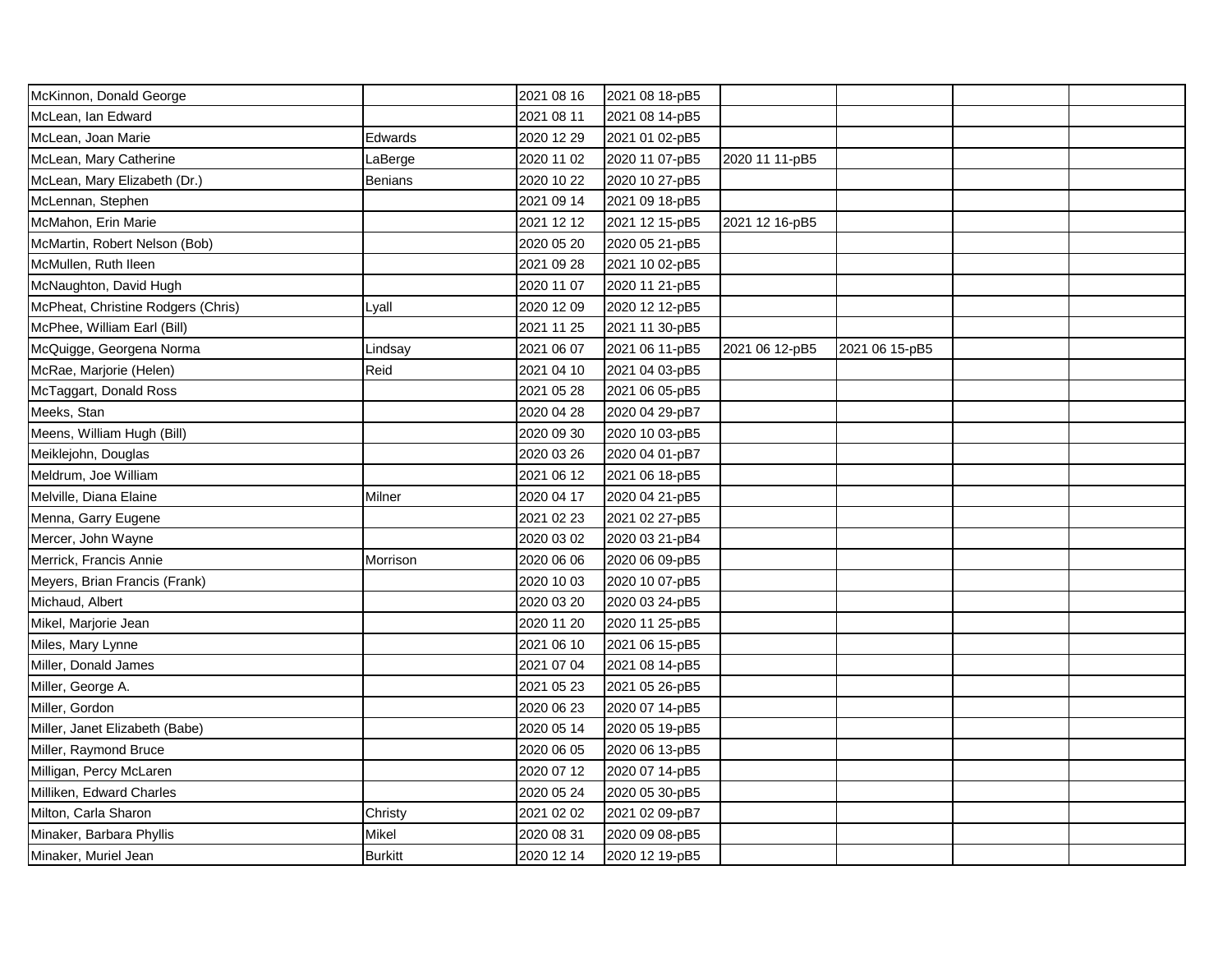| McKinnon, Donald George            |                | 2021 08 16 | 2021 08 18-pB5 |                |                |  |
|------------------------------------|----------------|------------|----------------|----------------|----------------|--|
| McLean, Ian Edward                 |                | 2021 08 11 | 2021 08 14-pB5 |                |                |  |
| McLean, Joan Marie                 | Edwards        | 2020 12 29 | 2021 01 02-pB5 |                |                |  |
| McLean, Mary Catherine             | LaBerge        | 2020 11 02 | 2020 11 07-pB5 | 2020 11 11-pB5 |                |  |
| McLean, Mary Elizabeth (Dr.)       | <b>Benians</b> | 2020 10 22 | 2020 10 27-pB5 |                |                |  |
| McLennan, Stephen                  |                | 2021 09 14 | 2021 09 18-pB5 |                |                |  |
| McMahon, Erin Marie                |                | 2021 12 12 | 2021 12 15-pB5 | 2021 12 16-pB5 |                |  |
| McMartin, Robert Nelson (Bob)      |                | 2020 05 20 | 2020 05 21-pB5 |                |                |  |
| McMullen, Ruth Ileen               |                | 2021 09 28 | 2021 10 02-pB5 |                |                |  |
| McNaughton, David Hugh             |                | 2020 11 07 | 2020 11 21-pB5 |                |                |  |
| McPheat, Christine Rodgers (Chris) | Lyall          | 2020 12 09 | 2020 12 12-pB5 |                |                |  |
| McPhee, William Earl (Bill)        |                | 2021 11 25 | 2021 11 30-pB5 |                |                |  |
| McQuigge, Georgena Norma           | Lindsay        | 2021 06 07 | 2021 06 11-pB5 | 2021 06 12-pB5 | 2021 06 15-pB5 |  |
| McRae, Marjorie (Helen)            | Reid           | 2021 04 10 | 2021 04 03-pB5 |                |                |  |
| McTaggart, Donald Ross             |                | 2021 05 28 | 2021 06 05-pB5 |                |                |  |
| Meeks, Stan                        |                | 2020 04 28 | 2020 04 29-pB7 |                |                |  |
| Meens, William Hugh (Bill)         |                | 2020 09 30 | 2020 10 03-pB5 |                |                |  |
| Meiklejohn, Douglas                |                | 2020 03 26 | 2020 04 01-pB7 |                |                |  |
| Meldrum, Joe William               |                | 2021 06 12 | 2021 06 18-pB5 |                |                |  |
| Melville, Diana Elaine             | Milner         | 2020 04 17 | 2020 04 21-pB5 |                |                |  |
| Menna, Garry Eugene                |                | 2021 02 23 | 2021 02 27-pB5 |                |                |  |
| Mercer, John Wayne                 |                | 2020 03 02 | 2020 03 21-pB4 |                |                |  |
| Merrick, Francis Annie             | Morrison       | 2020 06 06 | 2020 06 09-pB5 |                |                |  |
| Meyers, Brian Francis (Frank)      |                | 2020 10 03 | 2020 10 07-pB5 |                |                |  |
| Michaud, Albert                    |                | 2020 03 20 | 2020 03 24-pB5 |                |                |  |
| Mikel, Marjorie Jean               |                | 2020 11 20 | 2020 11 25-pB5 |                |                |  |
| Miles, Mary Lynne                  |                | 2021 06 10 | 2021 06 15-pB5 |                |                |  |
| Miller, Donald James               |                | 2021 07 04 | 2021 08 14-pB5 |                |                |  |
| Miller, George A.                  |                | 2021 05 23 | 2021 05 26-pB5 |                |                |  |
| Miller, Gordon                     |                | 2020 06 23 | 2020 07 14-pB5 |                |                |  |
| Miller, Janet Elizabeth (Babe)     |                | 2020 05 14 | 2020 05 19-pB5 |                |                |  |
| Miller, Raymond Bruce              |                | 2020 06 05 | 2020 06 13-pB5 |                |                |  |
| Milligan, Percy McLaren            |                | 2020 07 12 | 2020 07 14-pB5 |                |                |  |
| Milliken, Edward Charles           |                | 2020 05 24 | 2020 05 30-pB5 |                |                |  |
| Milton, Carla Sharon               | Christy        | 2021 02 02 | 2021 02 09-pB7 |                |                |  |
| Minaker, Barbara Phyllis           | Mikel          | 2020 08 31 | 2020 09 08-pB5 |                |                |  |
| Minaker, Muriel Jean               | <b>Burkitt</b> | 2020 12 14 | 2020 12 19-pB5 |                |                |  |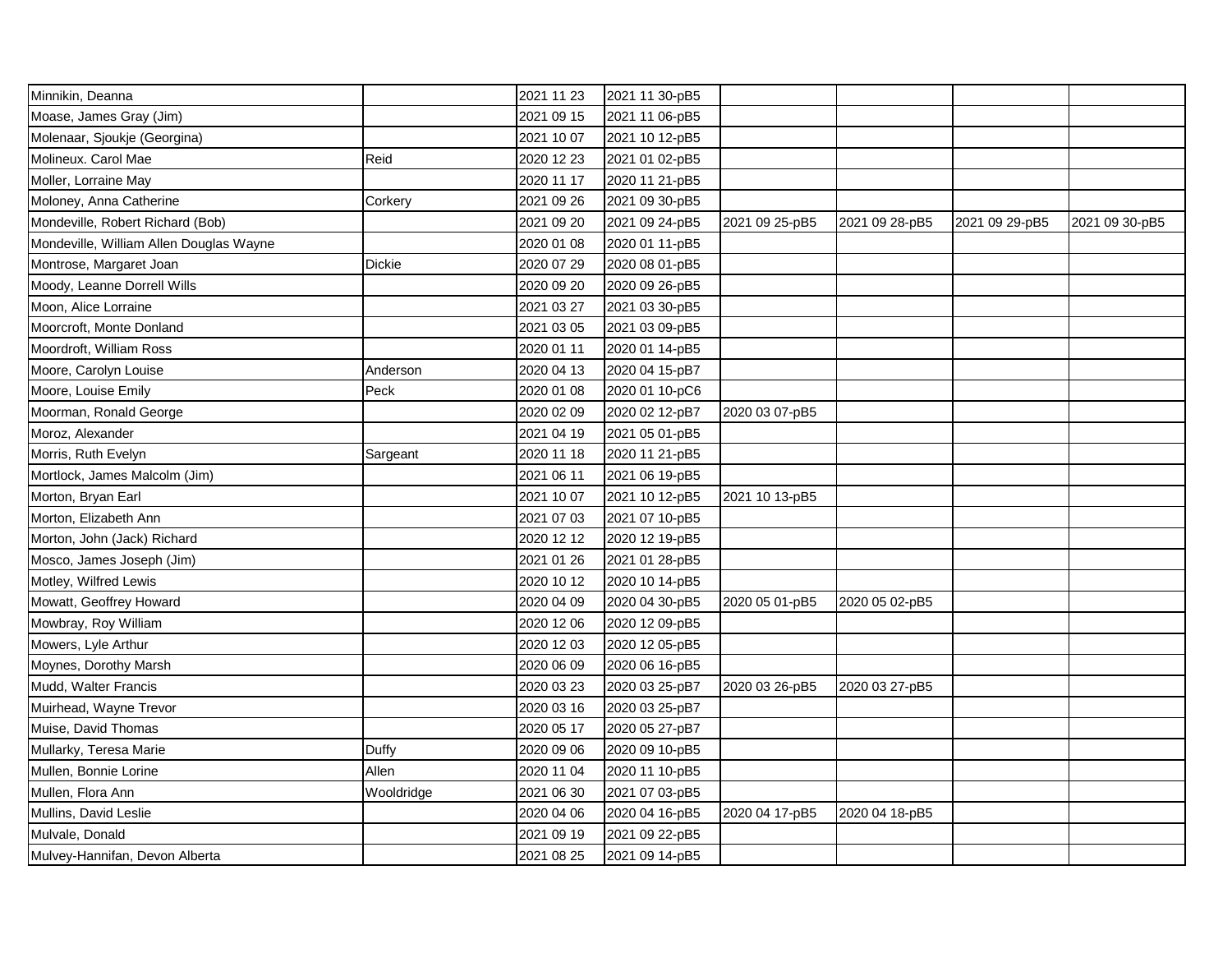| Minnikin, Deanna                        |            | 2021 11 23 | 2021 11 30-pB5 |                |                |                |                |
|-----------------------------------------|------------|------------|----------------|----------------|----------------|----------------|----------------|
| Moase, James Gray (Jim)                 |            | 2021 09 15 | 2021 11 06-pB5 |                |                |                |                |
| Molenaar, Sjoukje (Georgina)            |            | 2021 10 07 | 2021 10 12-pB5 |                |                |                |                |
| Molineux. Carol Mae                     | Reid       | 2020 12 23 | 2021 01 02-pB5 |                |                |                |                |
| Moller, Lorraine May                    |            | 2020 11 17 | 2020 11 21-pB5 |                |                |                |                |
| Moloney, Anna Catherine                 | Corkery    | 2021 09 26 | 2021 09 30-pB5 |                |                |                |                |
| Mondeville, Robert Richard (Bob)        |            | 2021 09 20 | 2021 09 24-pB5 | 2021 09 25-pB5 | 2021 09 28-pB5 | 2021 09 29-pB5 | 2021 09 30-pB5 |
| Mondeville, William Allen Douglas Wayne |            | 2020 01 08 | 2020 01 11-pB5 |                |                |                |                |
| Montrose, Margaret Joan                 | Dickie     | 2020 07 29 | 2020 08 01-pB5 |                |                |                |                |
| Moody, Leanne Dorrell Wills             |            | 2020 09 20 | 2020 09 26-pB5 |                |                |                |                |
| Moon, Alice Lorraine                    |            | 2021 03 27 | 2021 03 30-pB5 |                |                |                |                |
| Moorcroft, Monte Donland                |            | 2021 03 05 | 2021 03 09-pB5 |                |                |                |                |
| Moordroft, William Ross                 |            | 2020 01 11 | 2020 01 14-pB5 |                |                |                |                |
| Moore, Carolyn Louise                   | Anderson   | 2020 04 13 | 2020 04 15-pB7 |                |                |                |                |
| Moore, Louise Emily                     | Peck       | 2020 01 08 | 2020 01 10-pC6 |                |                |                |                |
| Moorman, Ronald George                  |            | 2020 02 09 | 2020 02 12-pB7 | 2020 03 07-pB5 |                |                |                |
| Moroz, Alexander                        |            | 2021 04 19 | 2021 05 01-pB5 |                |                |                |                |
| Morris, Ruth Evelyn                     | Sargeant   | 2020 11 18 | 2020 11 21-pB5 |                |                |                |                |
| Mortlock, James Malcolm (Jim)           |            | 2021 06 11 | 2021 06 19-pB5 |                |                |                |                |
| Morton, Bryan Earl                      |            | 2021 10 07 | 2021 10 12-pB5 | 2021 10 13-pB5 |                |                |                |
| Morton, Elizabeth Ann                   |            | 2021 07 03 | 2021 07 10-pB5 |                |                |                |                |
| Morton, John (Jack) Richard             |            | 2020 12 12 | 2020 12 19-pB5 |                |                |                |                |
| Mosco, James Joseph (Jim)               |            | 2021 01 26 | 2021 01 28-pB5 |                |                |                |                |
| Motley, Wilfred Lewis                   |            | 2020 10 12 | 2020 10 14-pB5 |                |                |                |                |
| Mowatt, Geoffrey Howard                 |            | 2020 04 09 | 2020 04 30-pB5 | 2020 05 01-pB5 | 2020 05 02-pB5 |                |                |
| Mowbray, Roy William                    |            | 2020 12 06 | 2020 12 09-pB5 |                |                |                |                |
| Mowers, Lyle Arthur                     |            | 2020 12 03 | 2020 12 05-pB5 |                |                |                |                |
| Moynes, Dorothy Marsh                   |            | 2020 06 09 | 2020 06 16-pB5 |                |                |                |                |
| Mudd, Walter Francis                    |            | 2020 03 23 | 2020 03 25-pB7 | 2020 03 26-pB5 | 2020 03 27-pB5 |                |                |
| Muirhead, Wayne Trevor                  |            | 2020 03 16 | 2020 03 25-pB7 |                |                |                |                |
| Muise, David Thomas                     |            | 2020 05 17 | 2020 05 27-pB7 |                |                |                |                |
| Mullarky, Teresa Marie                  | Duffy      | 2020 09 06 | 2020 09 10-pB5 |                |                |                |                |
| Mullen, Bonnie Lorine                   | Allen      | 2020 11 04 | 2020 11 10-pB5 |                |                |                |                |
| Mullen, Flora Ann                       | Wooldridge | 2021 06 30 | 2021 07 03-pB5 |                |                |                |                |
| Mullins, David Leslie                   |            | 2020 04 06 | 2020 04 16-pB5 | 2020 04 17-pB5 | 2020 04 18-pB5 |                |                |
| Mulvale, Donald                         |            | 2021 09 19 | 2021 09 22-pB5 |                |                |                |                |
| Mulvey-Hannifan, Devon Alberta          |            | 2021 08 25 | 2021 09 14-pB5 |                |                |                |                |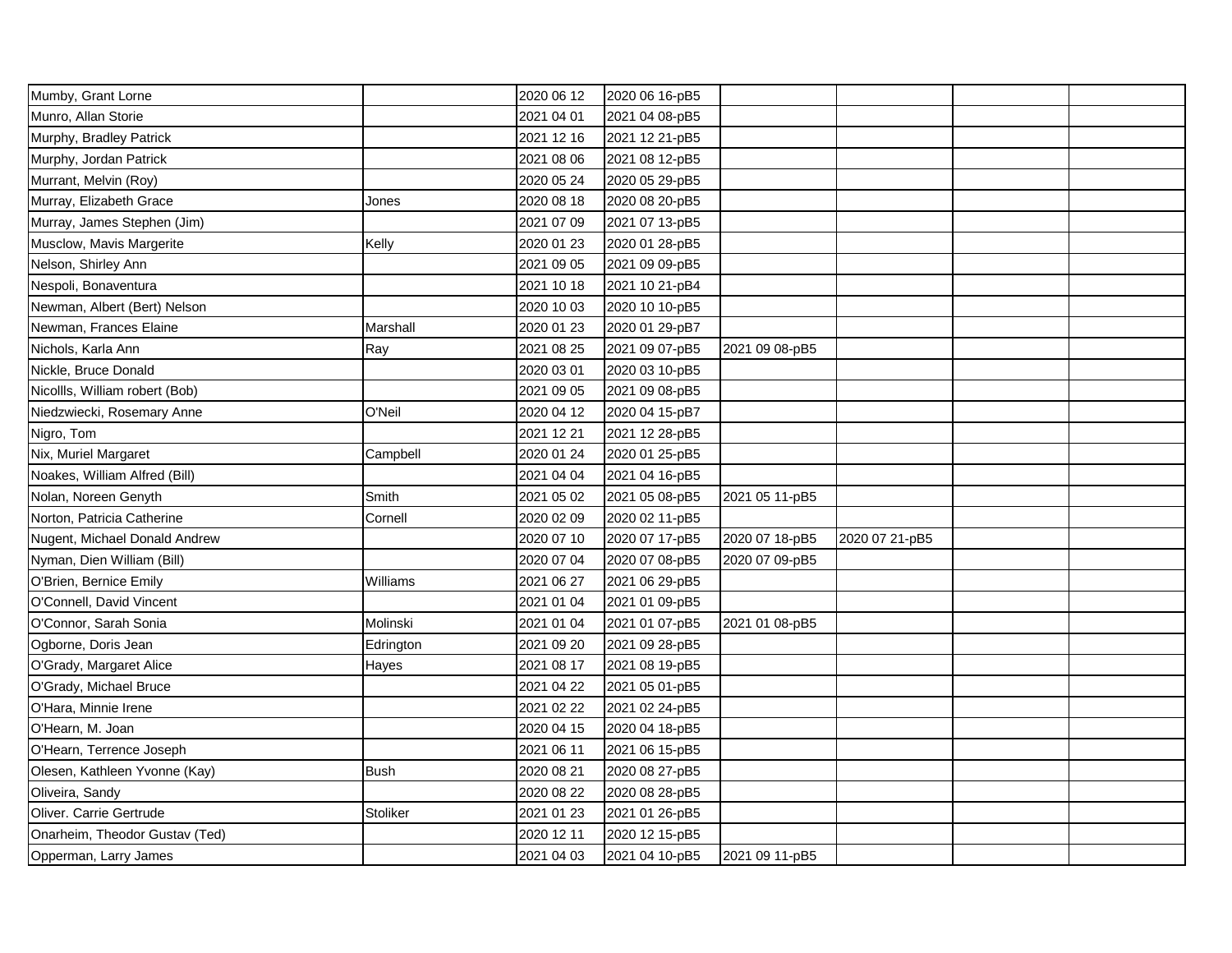| Mumby, Grant Lorne             |             | 2020 06 12 | 2020 06 16-pB5 |                |                |  |
|--------------------------------|-------------|------------|----------------|----------------|----------------|--|
| Munro, Allan Storie            |             | 2021 04 01 | 2021 04 08-pB5 |                |                |  |
| Murphy, Bradley Patrick        |             | 2021 12 16 | 2021 12 21-pB5 |                |                |  |
| Murphy, Jordan Patrick         |             | 2021 08 06 | 2021 08 12-pB5 |                |                |  |
| Murrant, Melvin (Roy)          |             | 2020 05 24 | 2020 05 29-pB5 |                |                |  |
| Murray, Elizabeth Grace        | Jones       | 2020 08 18 | 2020 08 20-pB5 |                |                |  |
| Murray, James Stephen (Jim)    |             | 2021 07 09 | 2021 07 13-pB5 |                |                |  |
| Musclow, Mavis Margerite       | Kelly       | 2020 01 23 | 2020 01 28-pB5 |                |                |  |
| Nelson, Shirley Ann            |             | 2021 09 05 | 2021 09 09-pB5 |                |                |  |
| Nespoli, Bonaventura           |             | 2021 10 18 | 2021 10 21-pB4 |                |                |  |
| Newman, Albert (Bert) Nelson   |             | 2020 10 03 | 2020 10 10-pB5 |                |                |  |
| Newman, Frances Elaine         | Marshall    | 2020 01 23 | 2020 01 29-pB7 |                |                |  |
| Nichols, Karla Ann             | Ray         | 2021 08 25 | 2021 09 07-pB5 | 2021 09 08-pB5 |                |  |
| Nickle, Bruce Donald           |             | 2020 03 01 | 2020 03 10-pB5 |                |                |  |
| Nicollls, William robert (Bob) |             | 2021 09 05 | 2021 09 08-pB5 |                |                |  |
| Niedzwiecki, Rosemary Anne     | O'Neil      | 2020 04 12 | 2020 04 15-pB7 |                |                |  |
| Nigro, Tom                     |             | 2021 12 21 | 2021 12 28-pB5 |                |                |  |
| Nix, Muriel Margaret           | Campbell    | 2020 01 24 | 2020 01 25-pB5 |                |                |  |
| Noakes, William Alfred (Bill)  |             | 2021 04 04 | 2021 04 16-pB5 |                |                |  |
| Nolan, Noreen Genyth           | Smith       | 2021 05 02 | 2021 05 08-pB5 | 2021 05 11-pB5 |                |  |
| Norton, Patricia Catherine     | Cornell     | 2020 02 09 | 2020 02 11-pB5 |                |                |  |
| Nugent, Michael Donald Andrew  |             | 2020 07 10 | 2020 07 17-pB5 | 2020 07 18-pB5 | 2020 07 21-pB5 |  |
| Nyman, Dien William (Bill)     |             | 2020 07 04 | 2020 07 08-pB5 | 2020 07 09-pB5 |                |  |
| O'Brien, Bernice Emily         | Williams    | 2021 06 27 | 2021 06 29-pB5 |                |                |  |
| O'Connell, David Vincent       |             | 2021 01 04 | 2021 01 09-pB5 |                |                |  |
| O'Connor, Sarah Sonia          | Molinski    | 2021 01 04 | 2021 01 07-pB5 | 2021 01 08-pB5 |                |  |
| Ogborne, Doris Jean            | Edrington   | 2021 09 20 | 2021 09 28-pB5 |                |                |  |
| O'Grady, Margaret Alice        | Hayes       | 2021 08 17 | 2021 08 19-pB5 |                |                |  |
| O'Grady, Michael Bruce         |             | 2021 04 22 | 2021 05 01-pB5 |                |                |  |
| O'Hara, Minnie Irene           |             | 2021 02 22 | 2021 02 24-pB5 |                |                |  |
| O'Hearn, M. Joan               |             | 2020 04 15 | 2020 04 18-pB5 |                |                |  |
| O'Hearn, Terrence Joseph       |             | 2021 06 11 | 2021 06 15-pB5 |                |                |  |
| Olesen, Kathleen Yvonne (Kay)  | <b>Bush</b> | 2020 08 21 | 2020 08 27-pB5 |                |                |  |
| Oliveira, Sandy                |             | 2020 08 22 | 2020 08 28-pB5 |                |                |  |
| Oliver. Carrie Gertrude        | Stoliker    | 2021 01 23 | 2021 01 26-pB5 |                |                |  |
| Onarheim, Theodor Gustav (Ted) |             | 2020 12 11 | 2020 12 15-pB5 |                |                |  |
| Opperman, Larry James          |             | 2021 04 03 | 2021 04 10-pB5 | 2021 09 11-pB5 |                |  |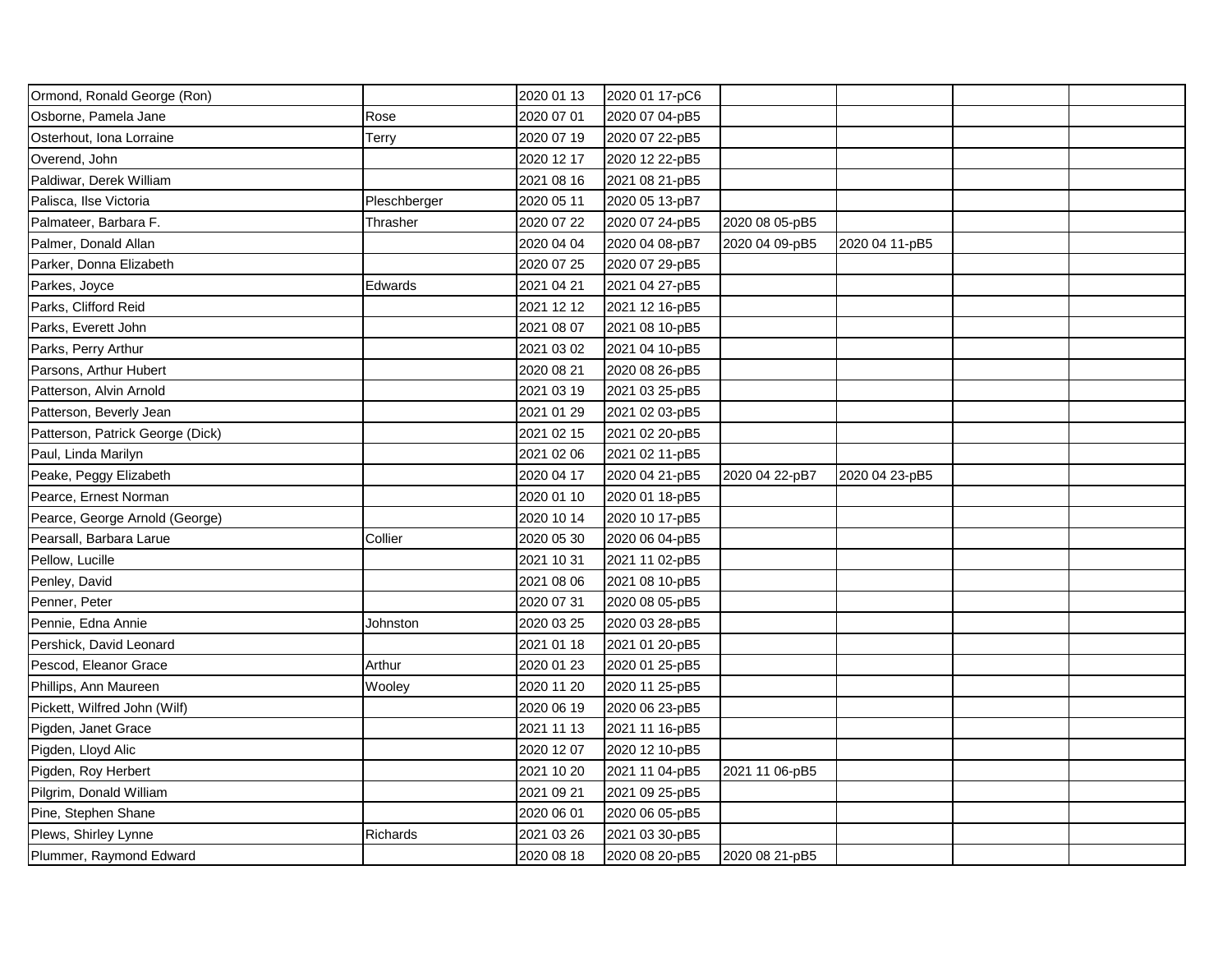| Ormond, Ronald George (Ron)      |              | 2020 01 13 | 2020 01 17-pC6 |                |                |  |
|----------------------------------|--------------|------------|----------------|----------------|----------------|--|
| Osborne, Pamela Jane             | Rose         | 2020 07 01 | 2020 07 04-pB5 |                |                |  |
| Osterhout, Iona Lorraine         | Terry        | 2020 07 19 | 2020 07 22-pB5 |                |                |  |
| Overend, John                    |              | 2020 12 17 | 2020 12 22-pB5 |                |                |  |
| Paldiwar, Derek William          |              | 2021 08 16 | 2021 08 21-pB5 |                |                |  |
| Palisca, Ilse Victoria           | Pleschberger | 2020 05 11 | 2020 05 13-pB7 |                |                |  |
| Palmateer, Barbara F.            | Thrasher     | 2020 07 22 | 2020 07 24-pB5 | 2020 08 05-pB5 |                |  |
| Palmer, Donald Allan             |              | 2020 04 04 | 2020 04 08-pB7 | 2020 04 09-pB5 | 2020 04 11-pB5 |  |
| Parker, Donna Elizabeth          |              | 2020 07 25 | 2020 07 29-pB5 |                |                |  |
| Parkes, Joyce                    | Edwards      | 2021 04 21 | 2021 04 27-pB5 |                |                |  |
| Parks, Clifford Reid             |              | 2021 12 12 | 2021 12 16-pB5 |                |                |  |
| Parks, Everett John              |              | 2021 08 07 | 2021 08 10-pB5 |                |                |  |
| Parks, Perry Arthur              |              | 2021 03 02 | 2021 04 10-pB5 |                |                |  |
| Parsons, Arthur Hubert           |              | 2020 08 21 | 2020 08 26-pB5 |                |                |  |
| Patterson, Alvin Arnold          |              | 2021 03 19 | 2021 03 25-pB5 |                |                |  |
| Patterson, Beverly Jean          |              | 2021 01 29 | 2021 02 03-pB5 |                |                |  |
| Patterson, Patrick George (Dick) |              | 2021 02 15 | 2021 02 20-pB5 |                |                |  |
| Paul, Linda Marilyn              |              | 2021 02 06 | 2021 02 11-pB5 |                |                |  |
| Peake, Peggy Elizabeth           |              | 2020 04 17 | 2020 04 21-pB5 | 2020 04 22-pB7 | 2020 04 23-pB5 |  |
| Pearce, Ernest Norman            |              | 2020 01 10 | 2020 01 18-pB5 |                |                |  |
| Pearce, George Arnold (George)   |              | 2020 10 14 | 2020 10 17-pB5 |                |                |  |
| Pearsall, Barbara Larue          | Collier      | 2020 05 30 | 2020 06 04-pB5 |                |                |  |
| Pellow, Lucille                  |              | 2021 10 31 | 2021 11 02-pB5 |                |                |  |
| Penley, David                    |              | 2021 08 06 | 2021 08 10-pB5 |                |                |  |
| Penner, Peter                    |              | 2020 07 31 | 2020 08 05-pB5 |                |                |  |
| Pennie, Edna Annie               | Johnston     | 2020 03 25 | 2020 03 28-pB5 |                |                |  |
| Pershick, David Leonard          |              | 2021 01 18 | 2021 01 20-pB5 |                |                |  |
| Pescod, Eleanor Grace            | Arthur       | 2020 01 23 | 2020 01 25-pB5 |                |                |  |
| Phillips, Ann Maureen            | Wooley       | 2020 11 20 | 2020 11 25-pB5 |                |                |  |
| Pickett, Wilfred John (Wilf)     |              | 2020 06 19 | 2020 06 23-pB5 |                |                |  |
| Pigden, Janet Grace              |              | 2021 11 13 | 2021 11 16-pB5 |                |                |  |
| Pigden, Lloyd Alic               |              | 2020 12 07 | 2020 12 10-pB5 |                |                |  |
| Pigden, Roy Herbert              |              | 2021 10 20 | 2021 11 04-pB5 | 2021 11 06-pB5 |                |  |
| Pilgrim, Donald William          |              | 2021 09 21 | 2021 09 25-pB5 |                |                |  |
| Pine, Stephen Shane              |              | 2020 06 01 | 2020 06 05-pB5 |                |                |  |
| Plews, Shirley Lynne             | Richards     | 2021 03 26 | 2021 03 30-pB5 |                |                |  |
| Plummer, Raymond Edward          |              | 2020 08 18 | 2020 08 20-pB5 | 2020 08 21-pB5 |                |  |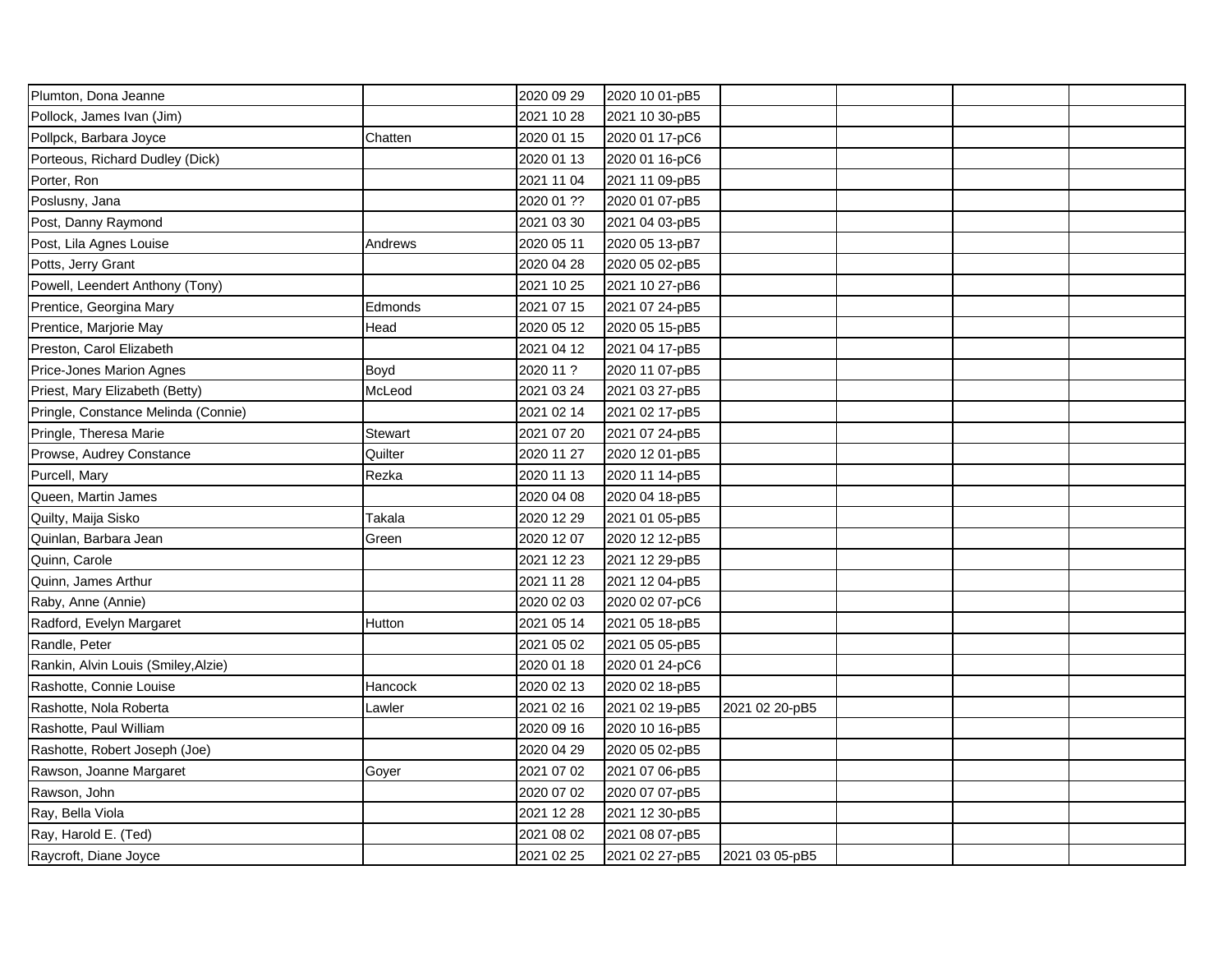| Plumton, Dona Jeanne                |                | 2020 09 29 | 2020 10 01-pB5 |                |  |  |
|-------------------------------------|----------------|------------|----------------|----------------|--|--|
| Pollock, James Ivan (Jim)           |                | 2021 10 28 | 2021 10 30-pB5 |                |  |  |
| Pollpck, Barbara Joyce              | Chatten        | 2020 01 15 | 2020 01 17-pC6 |                |  |  |
| Porteous, Richard Dudley (Dick)     |                | 2020 01 13 | 2020 01 16-pC6 |                |  |  |
| Porter, Ron                         |                | 2021 11 04 | 2021 11 09-pB5 |                |  |  |
| Poslusny, Jana                      |                | 2020 01 ?? | 2020 01 07-pB5 |                |  |  |
| Post, Danny Raymond                 |                | 2021 03 30 | 2021 04 03-pB5 |                |  |  |
| Post, Lila Agnes Louise             | Andrews        | 2020 05 11 | 2020 05 13-pB7 |                |  |  |
| Potts, Jerry Grant                  |                | 2020 04 28 | 2020 05 02-pB5 |                |  |  |
| Powell, Leendert Anthony (Tony)     |                | 2021 10 25 | 2021 10 27-pB6 |                |  |  |
| Prentice, Georgina Mary             | Edmonds        | 2021 07 15 | 2021 07 24-pB5 |                |  |  |
| Prentice, Marjorie May              | Head           | 2020 05 12 | 2020 05 15-pB5 |                |  |  |
| Preston, Carol Elizabeth            |                | 2021 04 12 | 2021 04 17-pB5 |                |  |  |
| Price-Jones Marion Agnes            | Boyd           | 2020 11 ?  | 2020 11 07-pB5 |                |  |  |
| Priest, Mary Elizabeth (Betty)      | McLeod         | 2021 03 24 | 2021 03 27-pB5 |                |  |  |
| Pringle, Constance Melinda (Connie) |                | 2021 02 14 | 2021 02 17-pB5 |                |  |  |
| Pringle, Theresa Marie              | <b>Stewart</b> | 2021 07 20 | 2021 07 24-pB5 |                |  |  |
| Prowse, Audrey Constance            | Quilter        | 2020 11 27 | 2020 12 01-pB5 |                |  |  |
| Purcell, Mary                       | Rezka          | 2020 11 13 | 2020 11 14-pB5 |                |  |  |
| Queen, Martin James                 |                | 2020 04 08 | 2020 04 18-pB5 |                |  |  |
| Quilty, Maija Sisko                 | Takala         | 2020 12 29 | 2021 01 05-pB5 |                |  |  |
| Quinlan, Barbara Jean               | Green          | 2020 12 07 | 2020 12 12-pB5 |                |  |  |
| Quinn, Carole                       |                | 2021 12 23 | 2021 12 29-pB5 |                |  |  |
| Quinn, James Arthur                 |                | 2021 11 28 | 2021 12 04-pB5 |                |  |  |
| Raby, Anne (Annie)                  |                | 2020 02 03 | 2020 02 07-pC6 |                |  |  |
| Radford, Evelyn Margaret            | Hutton         | 2021 05 14 | 2021 05 18-pB5 |                |  |  |
| Randle, Peter                       |                | 2021 05 02 | 2021 05 05-pB5 |                |  |  |
| Rankin, Alvin Louis (Smiley, Alzie) |                | 2020 01 18 | 2020 01 24-pC6 |                |  |  |
| Rashotte, Connie Louise             | Hancock        | 2020 02 13 | 2020 02 18-pB5 |                |  |  |
| Rashotte, Nola Roberta              | Lawler         | 2021 02 16 | 2021 02 19-pB5 | 2021 02 20-pB5 |  |  |
| Rashotte, Paul William              |                | 2020 09 16 | 2020 10 16-pB5 |                |  |  |
| Rashotte, Robert Joseph (Joe)       |                | 2020 04 29 | 2020 05 02-pB5 |                |  |  |
| Rawson, Joanne Margaret             | Goyer          | 2021 07 02 | 2021 07 06-pB5 |                |  |  |
| Rawson, John                        |                | 2020 07 02 | 2020 07 07-pB5 |                |  |  |
| Ray, Bella Viola                    |                | 2021 12 28 | 2021 12 30-pB5 |                |  |  |
| Ray, Harold E. (Ted)                |                | 2021 08 02 | 2021 08 07-pB5 |                |  |  |
| Raycroft, Diane Joyce               |                | 2021 02 25 | 2021 02 27-pB5 | 2021 03 05-pB5 |  |  |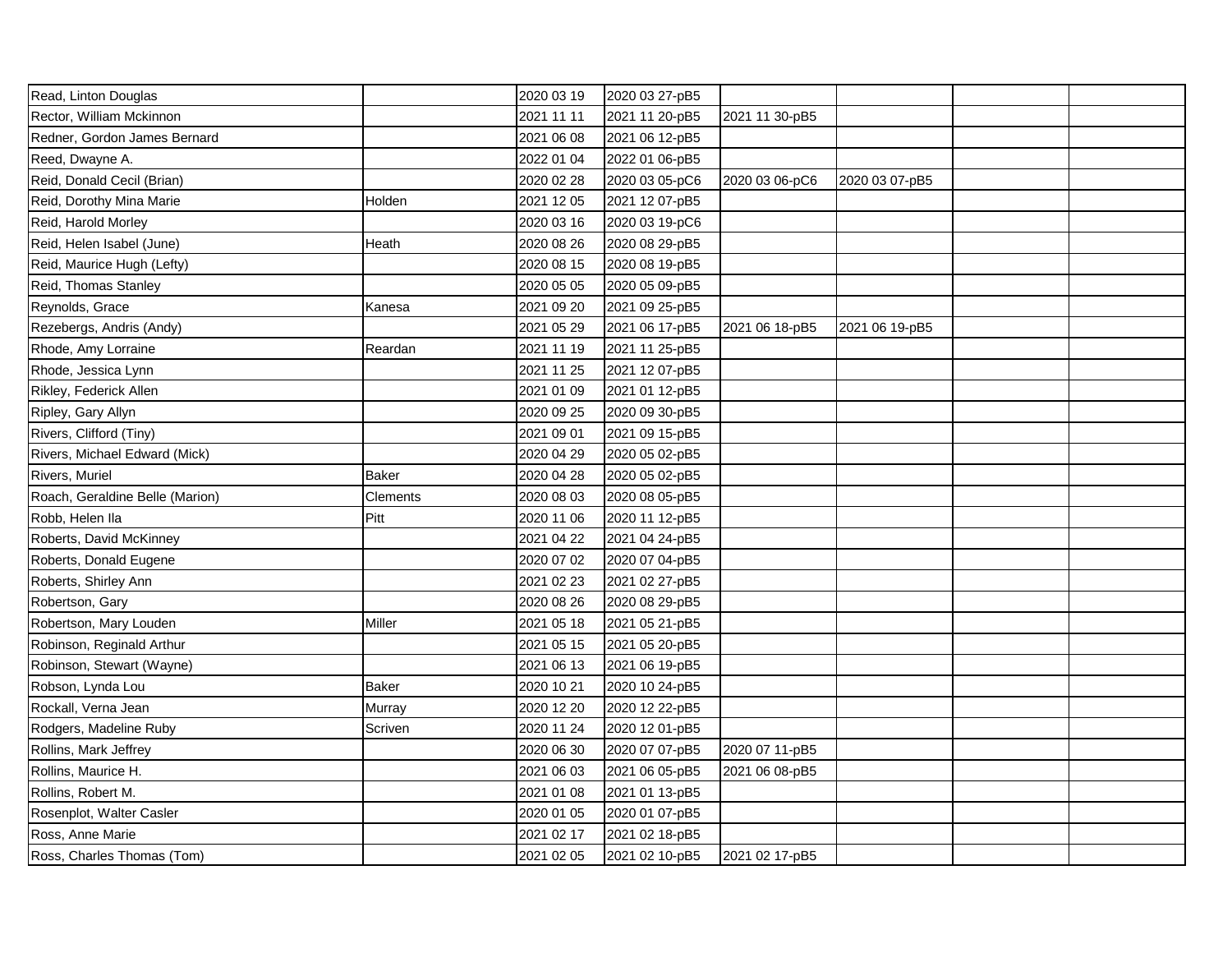| Read, Linton Douglas            |              | 2020 03 19 | 2020 03 27-pB5 |                |                |  |
|---------------------------------|--------------|------------|----------------|----------------|----------------|--|
| Rector, William Mckinnon        |              | 2021 11 11 | 2021 11 20-pB5 | 2021 11 30-pB5 |                |  |
| Redner, Gordon James Bernard    |              | 2021 06 08 | 2021 06 12-pB5 |                |                |  |
| Reed, Dwayne A.                 |              | 2022 01 04 | 2022 01 06-pB5 |                |                |  |
| Reid, Donald Cecil (Brian)      |              | 2020 02 28 | 2020 03 05-pC6 | 2020 03 06-pC6 | 2020 03 07-pB5 |  |
| Reid, Dorothy Mina Marie        | Holden       | 2021 12 05 | 2021 12 07-pB5 |                |                |  |
| Reid, Harold Morley             |              | 2020 03 16 | 2020 03 19-pC6 |                |                |  |
| Reid, Helen Isabel (June)       | Heath        | 2020 08 26 | 2020 08 29-pB5 |                |                |  |
| Reid, Maurice Hugh (Lefty)      |              | 2020 08 15 | 2020 08 19-pB5 |                |                |  |
| Reid, Thomas Stanley            |              | 2020 05 05 | 2020 05 09-pB5 |                |                |  |
| Reynolds, Grace                 | Kanesa       | 2021 09 20 | 2021 09 25-pB5 |                |                |  |
| Rezebergs, Andris (Andy)        |              | 2021 05 29 | 2021 06 17-pB5 | 2021 06 18-pB5 | 2021 06 19-pB5 |  |
| Rhode, Amy Lorraine             | Reardan      | 2021 11 19 | 2021 11 25-pB5 |                |                |  |
| Rhode, Jessica Lynn             |              | 2021 11 25 | 2021 12 07-pB5 |                |                |  |
| Rikley, Federick Allen          |              | 2021 01 09 | 2021 01 12-pB5 |                |                |  |
| Ripley, Gary Allyn              |              | 2020 09 25 | 2020 09 30-pB5 |                |                |  |
| Rivers, Clifford (Tiny)         |              | 2021 09 01 | 2021 09 15-pB5 |                |                |  |
| Rivers, Michael Edward (Mick)   |              | 2020 04 29 | 2020 05 02-pB5 |                |                |  |
| Rivers, Muriel                  | <b>Baker</b> | 2020 04 28 | 2020 05 02-pB5 |                |                |  |
| Roach, Geraldine Belle (Marion) | Clements     | 2020 08 03 | 2020 08 05-pB5 |                |                |  |
| Robb, Helen Ila                 | Pitt         | 2020 11 06 | 2020 11 12-pB5 |                |                |  |
| Roberts, David McKinney         |              | 2021 04 22 | 2021 04 24-pB5 |                |                |  |
| Roberts, Donald Eugene          |              | 2020 07 02 | 2020 07 04-pB5 |                |                |  |
| Roberts, Shirley Ann            |              | 2021 02 23 | 2021 02 27-pB5 |                |                |  |
| Robertson, Gary                 |              | 2020 08 26 | 2020 08 29-pB5 |                |                |  |
| Robertson, Mary Louden          | Miller       | 2021 05 18 | 2021 05 21-pB5 |                |                |  |
| Robinson, Reginald Arthur       |              | 2021 05 15 | 2021 05 20-pB5 |                |                |  |
| Robinson, Stewart (Wayne)       |              | 2021 06 13 | 2021 06 19-pB5 |                |                |  |
| Robson, Lynda Lou               | <b>Baker</b> | 2020 10 21 | 2020 10 24-pB5 |                |                |  |
| Rockall, Verna Jean             | Murray       | 2020 12 20 | 2020 12 22-pB5 |                |                |  |
| Rodgers, Madeline Ruby          | Scriven      | 2020 11 24 | 2020 12 01-pB5 |                |                |  |
| Rollins, Mark Jeffrey           |              | 2020 06 30 | 2020 07 07-pB5 | 2020 07 11-pB5 |                |  |
| Rollins, Maurice H.             |              | 2021 06 03 | 2021 06 05-pB5 | 2021 06 08-pB5 |                |  |
| Rollins, Robert M.              |              | 2021 01 08 | 2021 01 13-pB5 |                |                |  |
| Rosenplot, Walter Casler        |              | 2020 01 05 | 2020 01 07-pB5 |                |                |  |
| Ross, Anne Marie                |              | 2021 02 17 | 2021 02 18-pB5 |                |                |  |
| Ross, Charles Thomas (Tom)      |              | 2021 02 05 | 2021 02 10-pB5 | 2021 02 17-pB5 |                |  |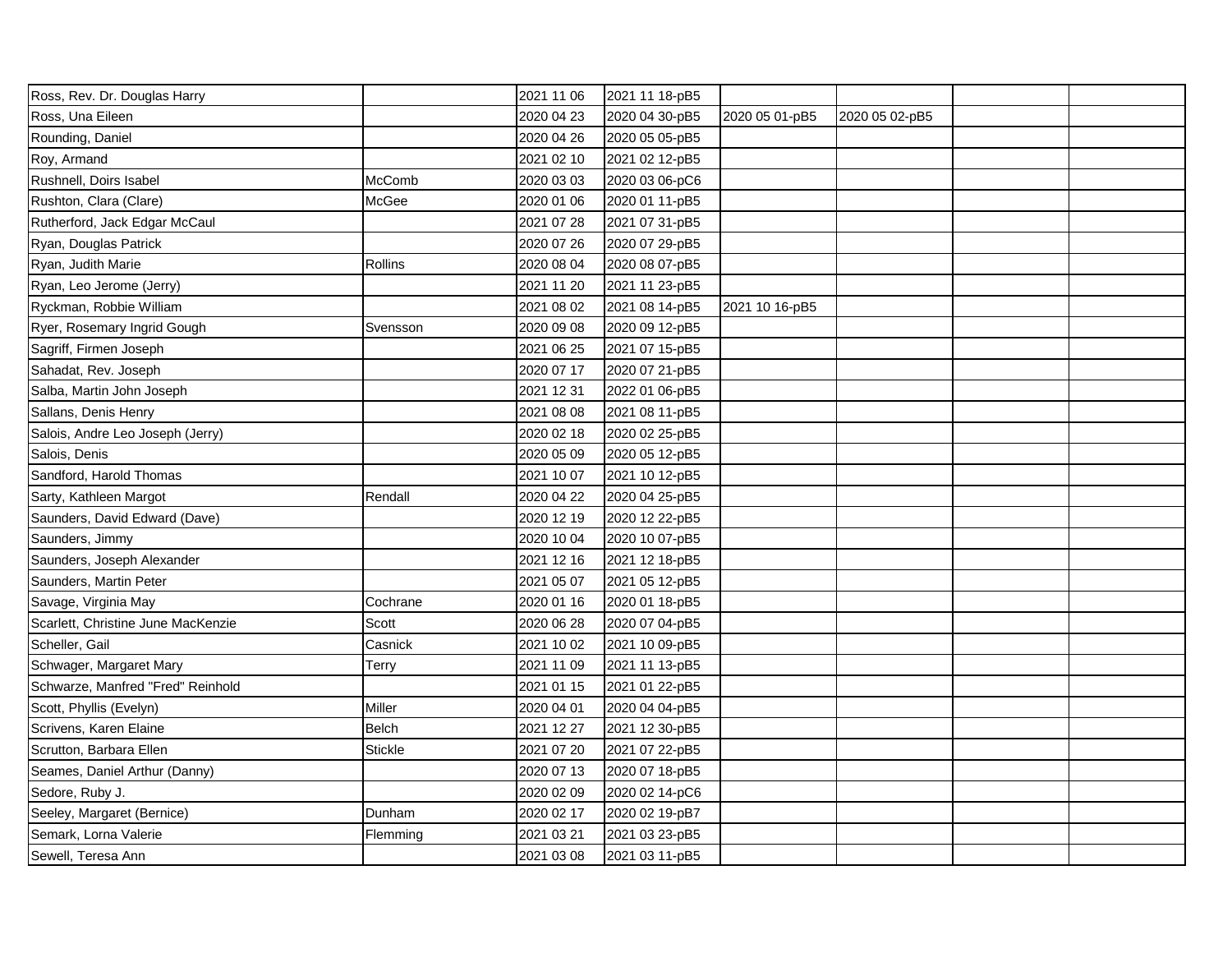| Ross, Rev. Dr. Douglas Harry       |              | 2021 11 06 | 2021 11 18-pB5 |                |                |  |
|------------------------------------|--------------|------------|----------------|----------------|----------------|--|
| Ross, Una Eileen                   |              | 2020 04 23 | 2020 04 30-pB5 | 2020 05 01-pB5 | 2020 05 02-pB5 |  |
| Rounding, Daniel                   |              | 2020 04 26 | 2020 05 05-pB5 |                |                |  |
| Roy, Armand                        |              | 2021 02 10 | 2021 02 12-pB5 |                |                |  |
| Rushnell, Doirs Isabel             | McComb       | 2020 03 03 | 2020 03 06-pC6 |                |                |  |
| Rushton, Clara (Clare)             | McGee        | 2020 01 06 | 2020 01 11-pB5 |                |                |  |
| Rutherford, Jack Edgar McCaul      |              | 2021 07 28 | 2021 07 31-pB5 |                |                |  |
| Ryan, Douglas Patrick              |              | 2020 07 26 | 2020 07 29-pB5 |                |                |  |
| Ryan, Judith Marie                 | Rollins      | 2020 08 04 | 2020 08 07-pB5 |                |                |  |
| Ryan, Leo Jerome (Jerry)           |              | 2021 11 20 | 2021 11 23-pB5 |                |                |  |
| Ryckman, Robbie William            |              | 2021 08 02 | 2021 08 14-pB5 | 2021 10 16-pB5 |                |  |
| Ryer, Rosemary Ingrid Gough        | Svensson     | 2020 09 08 | 2020 09 12-pB5 |                |                |  |
| Sagriff, Firmen Joseph             |              | 2021 06 25 | 2021 07 15-pB5 |                |                |  |
| Sahadat, Rev. Joseph               |              | 2020 07 17 | 2020 07 21-pB5 |                |                |  |
| Salba, Martin John Joseph          |              | 2021 12 31 | 2022 01 06-pB5 |                |                |  |
| Sallans, Denis Henry               |              | 2021 08 08 | 2021 08 11-pB5 |                |                |  |
| Salois, Andre Leo Joseph (Jerry)   |              | 2020 02 18 | 2020 02 25-pB5 |                |                |  |
| Salois, Denis                      |              | 2020 05 09 | 2020 05 12-pB5 |                |                |  |
| Sandford, Harold Thomas            |              | 2021 10 07 | 2021 10 12-pB5 |                |                |  |
| Sarty, Kathleen Margot             | Rendall      | 2020 04 22 | 2020 04 25-pB5 |                |                |  |
| Saunders, David Edward (Dave)      |              | 2020 12 19 | 2020 12 22-pB5 |                |                |  |
| Saunders, Jimmy                    |              | 2020 10 04 | 2020 10 07-pB5 |                |                |  |
| Saunders, Joseph Alexander         |              | 2021 12 16 | 2021 12 18-pB5 |                |                |  |
| Saunders, Martin Peter             |              | 2021 05 07 | 2021 05 12-pB5 |                |                |  |
| Savage, Virginia May               | Cochrane     | 2020 01 16 | 2020 01 18-pB5 |                |                |  |
| Scarlett, Christine June MacKenzie | Scott        | 2020 06 28 | 2020 07 04-pB5 |                |                |  |
| Scheller, Gail                     | Casnick      | 2021 10 02 | 2021 10 09-pB5 |                |                |  |
| Schwager, Margaret Mary            | Terry        | 2021 11 09 | 2021 11 13-pB5 |                |                |  |
| Schwarze, Manfred "Fred" Reinhold  |              | 2021 01 15 | 2021 01 22-pB5 |                |                |  |
| Scott, Phyllis (Evelyn)            | Miller       | 2020 04 01 | 2020 04 04-pB5 |                |                |  |
| Scrivens, Karen Elaine             | <b>Belch</b> | 2021 12 27 | 2021 12 30-pB5 |                |                |  |
| Scrutton, Barbara Ellen            | Stickle      | 2021 07 20 | 2021 07 22-pB5 |                |                |  |
| Seames, Daniel Arthur (Danny)      |              | 2020 07 13 | 2020 07 18-pB5 |                |                |  |
| Sedore, Ruby J.                    |              | 2020 02 09 | 2020 02 14-pC6 |                |                |  |
| Seeley, Margaret (Bernice)         | Dunham       | 2020 02 17 | 2020 02 19-pB7 |                |                |  |
| Semark, Lorna Valerie              | Flemming     | 2021 03 21 | 2021 03 23-pB5 |                |                |  |
| Sewell, Teresa Ann                 |              | 2021 03 08 | 2021 03 11-pB5 |                |                |  |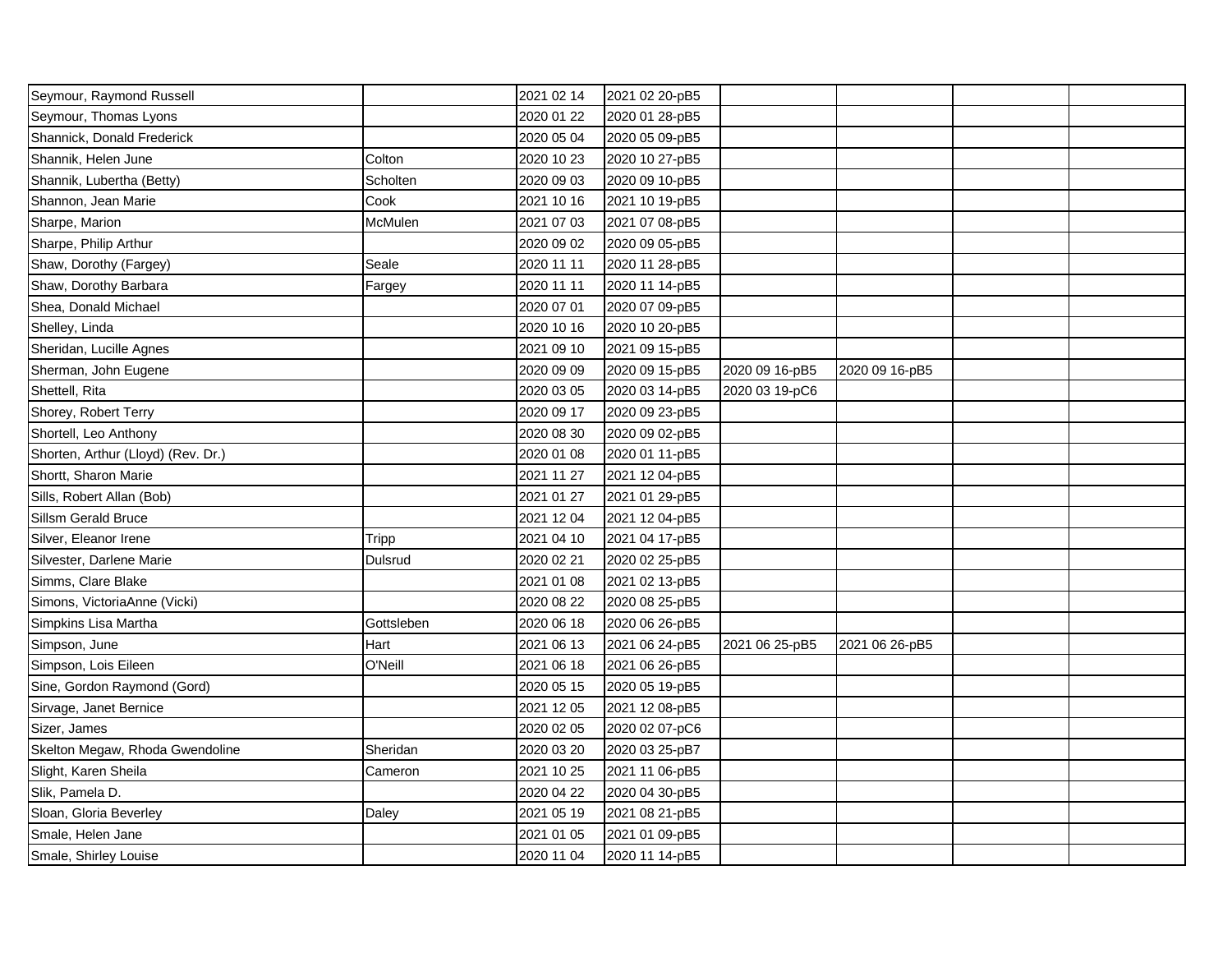| Seymour, Raymond Russell           |              | 2021 02 14 | 2021 02 20-pB5 |                |                |  |
|------------------------------------|--------------|------------|----------------|----------------|----------------|--|
| Seymour, Thomas Lyons              |              | 2020 01 22 | 2020 01 28-pB5 |                |                |  |
| Shannick, Donald Frederick         |              | 2020 05 04 | 2020 05 09-pB5 |                |                |  |
| Shannik, Helen June                | Colton       | 2020 10 23 | 2020 10 27-pB5 |                |                |  |
| Shannik, Lubertha (Betty)          | Scholten     | 2020 09 03 | 2020 09 10-pB5 |                |                |  |
| Shannon, Jean Marie                | Cook         | 2021 10 16 | 2021 10 19-pB5 |                |                |  |
| Sharpe, Marion                     | McMulen      | 2021 07 03 | 2021 07 08-pB5 |                |                |  |
| Sharpe, Philip Arthur              |              | 2020 09 02 | 2020 09 05-pB5 |                |                |  |
| Shaw, Dorothy (Fargey)             | Seale        | 2020 11 11 | 2020 11 28-pB5 |                |                |  |
| Shaw, Dorothy Barbara              | Fargey       | 2020 11 11 | 2020 11 14-pB5 |                |                |  |
| Shea, Donald Michael               |              | 2020 07 01 | 2020 07 09-pB5 |                |                |  |
| Shelley, Linda                     |              | 2020 10 16 | 2020 10 20-pB5 |                |                |  |
| Sheridan, Lucille Agnes            |              | 2021 09 10 | 2021 09 15-pB5 |                |                |  |
| Sherman, John Eugene               |              | 2020 09 09 | 2020 09 15-pB5 | 2020 09 16-pB5 | 2020 09 16-pB5 |  |
| Shettell, Rita                     |              | 2020 03 05 | 2020 03 14-pB5 | 2020 03 19-pC6 |                |  |
| Shorey, Robert Terry               |              | 2020 09 17 | 2020 09 23-pB5 |                |                |  |
| Shortell, Leo Anthony              |              | 2020 08 30 | 2020 09 02-pB5 |                |                |  |
| Shorten, Arthur (Lloyd) (Rev. Dr.) |              | 2020 01 08 | 2020 01 11-pB5 |                |                |  |
| Shortt, Sharon Marie               |              | 2021 11 27 | 2021 12 04-pB5 |                |                |  |
| Sills, Robert Allan (Bob)          |              | 2021 01 27 | 2021 01 29-pB5 |                |                |  |
| Sillsm Gerald Bruce                |              | 2021 12 04 | 2021 12 04-pB5 |                |                |  |
| Silver, Eleanor Irene              | <b>Tripp</b> | 2021 04 10 | 2021 04 17-pB5 |                |                |  |
| Silvester, Darlene Marie           | Dulsrud      | 2020 02 21 | 2020 02 25-pB5 |                |                |  |
| Simms, Clare Blake                 |              | 2021 01 08 | 2021 02 13-pB5 |                |                |  |
| Simons, VictoriaAnne (Vicki)       |              | 2020 08 22 | 2020 08 25-pB5 |                |                |  |
| Simpkins Lisa Martha               | Gottsleben   | 2020 06 18 | 2020 06 26-pB5 |                |                |  |
| Simpson, June                      | Hart         | 2021 06 13 | 2021 06 24-pB5 | 2021 06 25-pB5 | 2021 06 26-pB5 |  |
| Simpson, Lois Eileen               | O'Neill      | 2021 06 18 | 2021 06 26-pB5 |                |                |  |
| Sine, Gordon Raymond (Gord)        |              | 2020 05 15 | 2020 05 19-pB5 |                |                |  |
| Sirvage, Janet Bernice             |              | 2021 12 05 | 2021 12 08-pB5 |                |                |  |
| Sizer, James                       |              | 2020 02 05 | 2020 02 07-pC6 |                |                |  |
| Skelton Megaw, Rhoda Gwendoline    | Sheridan     | 2020 03 20 | 2020 03 25-pB7 |                |                |  |
| Slight, Karen Sheila               | Cameron      | 2021 10 25 | 2021 11 06-pB5 |                |                |  |
| Slik, Pamela D.                    |              | 2020 04 22 | 2020 04 30-pB5 |                |                |  |
| Sloan, Gloria Beverley             | Daley        | 2021 05 19 | 2021 08 21-pB5 |                |                |  |
| Smale, Helen Jane                  |              | 2021 01 05 | 2021 01 09-pB5 |                |                |  |
| Smale, Shirley Louise              |              | 2020 11 04 | 2020 11 14-pB5 |                |                |  |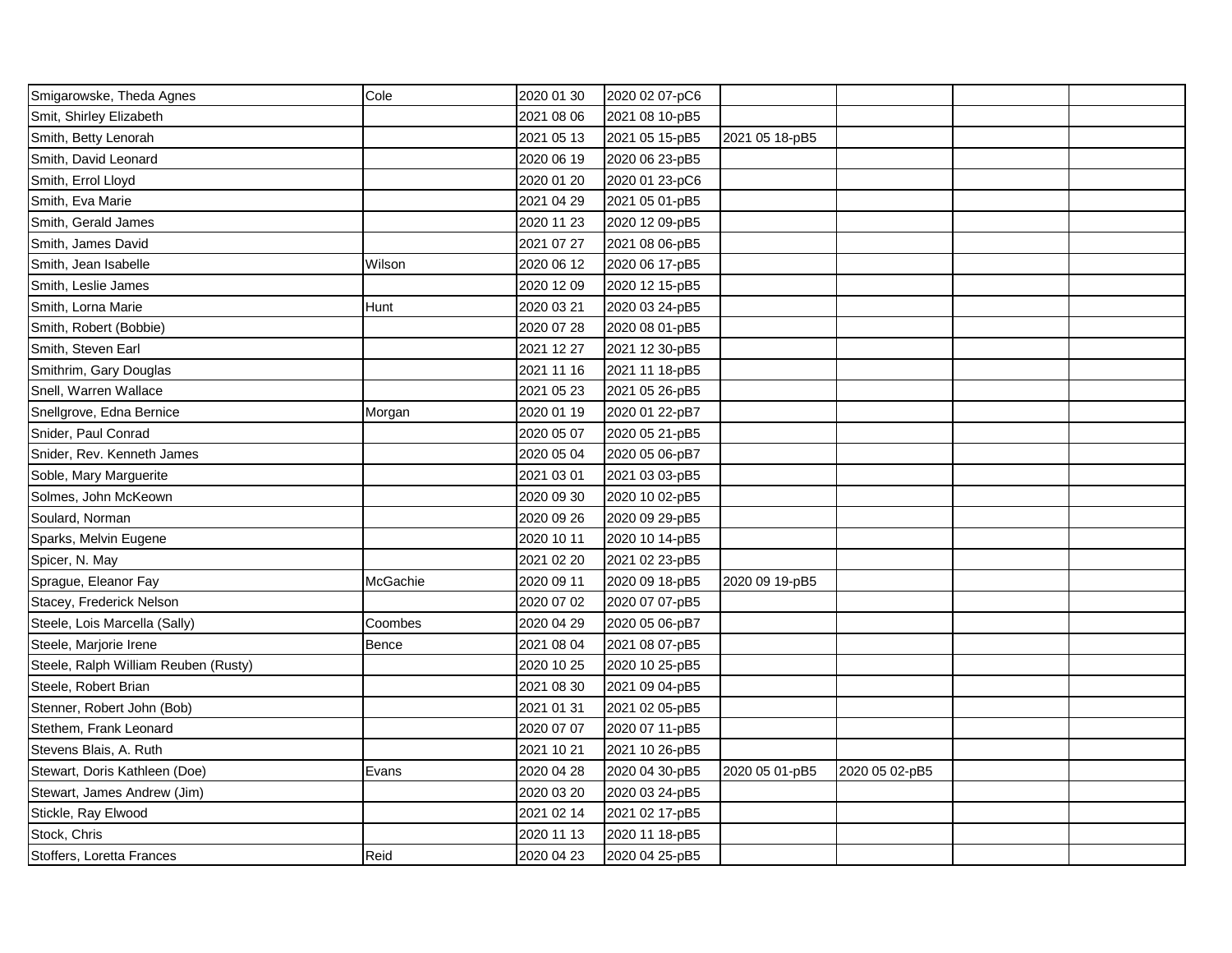| Smigarowske, Theda Agnes             | Cole     | 2020 01 30 | 2020 02 07-pC6 |                |                |  |
|--------------------------------------|----------|------------|----------------|----------------|----------------|--|
| Smit, Shirley Elizabeth              |          | 2021 08 06 | 2021 08 10-pB5 |                |                |  |
| Smith, Betty Lenorah                 |          | 2021 05 13 | 2021 05 15-pB5 | 2021 05 18-pB5 |                |  |
| Smith, David Leonard                 |          | 2020 06 19 | 2020 06 23-pB5 |                |                |  |
| Smith, Errol Lloyd                   |          | 2020 01 20 | 2020 01 23-pC6 |                |                |  |
| Smith, Eva Marie                     |          | 2021 04 29 | 2021 05 01-pB5 |                |                |  |
| Smith, Gerald James                  |          | 2020 11 23 | 2020 12 09-pB5 |                |                |  |
| Smith, James David                   |          | 2021 07 27 | 2021 08 06-pB5 |                |                |  |
| Smith, Jean Isabelle                 | Wilson   | 2020 06 12 | 2020 06 17-pB5 |                |                |  |
| Smith, Leslie James                  |          | 2020 12 09 | 2020 12 15-pB5 |                |                |  |
| Smith, Lorna Marie                   | Hunt     | 2020 03 21 | 2020 03 24-pB5 |                |                |  |
| Smith, Robert (Bobbie)               |          | 2020 07 28 | 2020 08 01-pB5 |                |                |  |
| Smith, Steven Earl                   |          | 2021 12 27 | 2021 12 30-pB5 |                |                |  |
| Smithrim, Gary Douglas               |          | 2021 11 16 | 2021 11 18-pB5 |                |                |  |
| Snell, Warren Wallace                |          | 2021 05 23 | 2021 05 26-pB5 |                |                |  |
| Snellgrove, Edna Bernice             | Morgan   | 2020 01 19 | 2020 01 22-pB7 |                |                |  |
| Snider, Paul Conrad                  |          | 2020 05 07 | 2020 05 21-pB5 |                |                |  |
| Snider, Rev. Kenneth James           |          | 2020 05 04 | 2020 05 06-pB7 |                |                |  |
| Soble, Mary Marguerite               |          | 2021 03 01 | 2021 03 03-pB5 |                |                |  |
| Solmes, John McKeown                 |          | 2020 09 30 | 2020 10 02-pB5 |                |                |  |
| Soulard, Norman                      |          | 2020 09 26 | 2020 09 29-pB5 |                |                |  |
| Sparks, Melvin Eugene                |          | 2020 10 11 | 2020 10 14-pB5 |                |                |  |
| Spicer, N. May                       |          | 2021 02 20 | 2021 02 23-pB5 |                |                |  |
| Sprague, Eleanor Fay                 | McGachie | 2020 09 11 | 2020 09 18-pB5 | 2020 09 19-pB5 |                |  |
| Stacey, Frederick Nelson             |          | 2020 07 02 | 2020 07 07-pB5 |                |                |  |
| Steele, Lois Marcella (Sally)        | Coombes  | 2020 04 29 | 2020 05 06-pB7 |                |                |  |
| Steele, Marjorie Irene               | Bence    | 2021 08 04 | 2021 08 07-pB5 |                |                |  |
| Steele, Ralph William Reuben (Rusty) |          | 2020 10 25 | 2020 10 25-pB5 |                |                |  |
| Steele, Robert Brian                 |          | 2021 08 30 | 2021 09 04-pB5 |                |                |  |
| Stenner, Robert John (Bob)           |          | 2021 01 31 | 2021 02 05-pB5 |                |                |  |
| Stethem, Frank Leonard               |          | 2020 07 07 | 2020 07 11-pB5 |                |                |  |
| Stevens Blais, A. Ruth               |          | 2021 10 21 | 2021 10 26-pB5 |                |                |  |
| Stewart, Doris Kathleen (Doe)        | Evans    | 2020 04 28 | 2020 04 30-pB5 | 2020 05 01-pB5 | 2020 05 02-pB5 |  |
| Stewart, James Andrew (Jim)          |          | 2020 03 20 | 2020 03 24-pB5 |                |                |  |
| Stickle, Ray Elwood                  |          | 2021 02 14 | 2021 02 17-pB5 |                |                |  |
| Stock, Chris                         |          | 2020 11 13 | 2020 11 18-pB5 |                |                |  |
| Stoffers, Loretta Frances            | Reid     | 2020 04 23 | 2020 04 25-pB5 |                |                |  |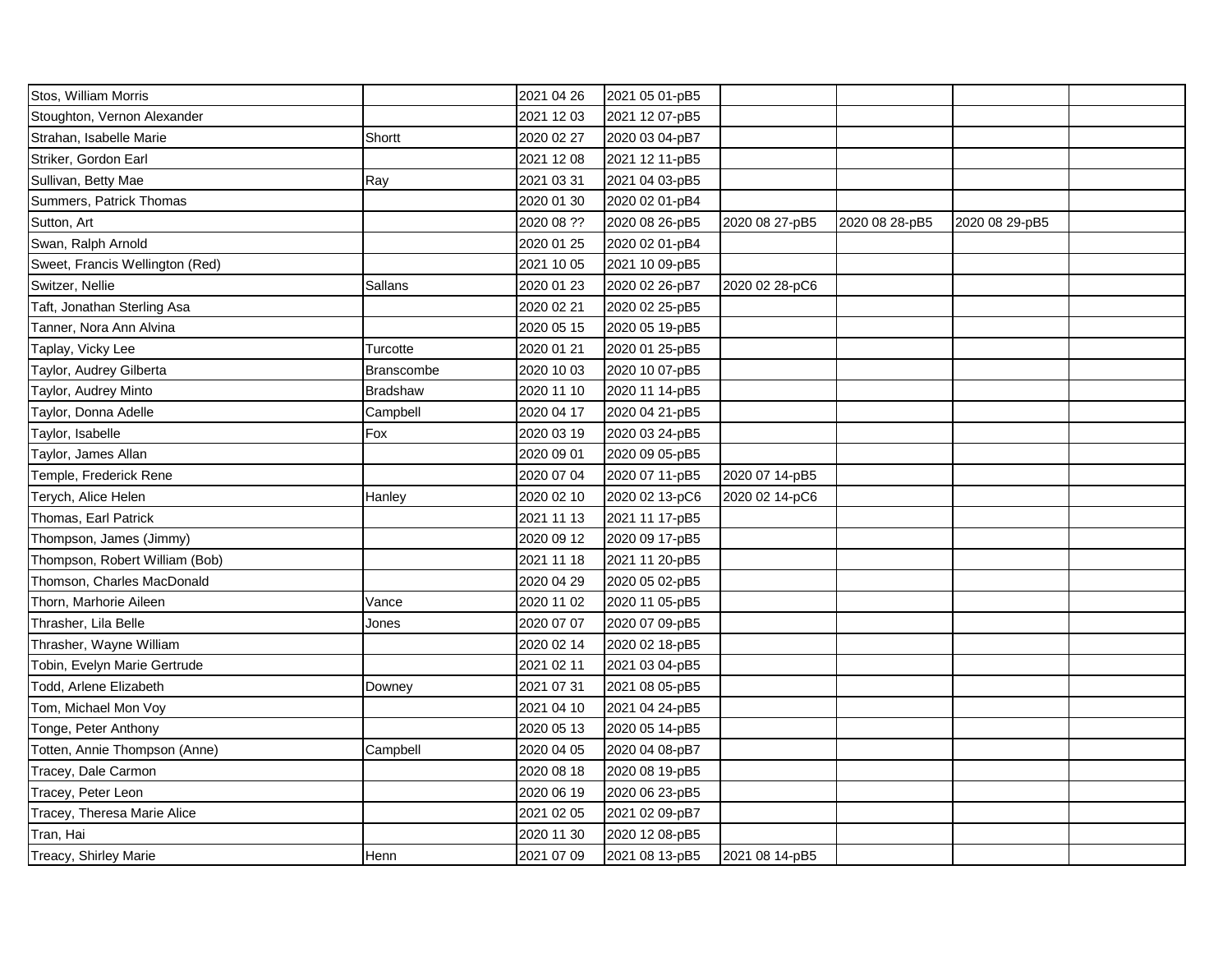| Stos, William Morris            |            | 2021 04 26 | 2021 05 01-pB5 |                |                |                |  |
|---------------------------------|------------|------------|----------------|----------------|----------------|----------------|--|
| Stoughton, Vernon Alexander     |            | 2021 12 03 | 2021 12 07-pB5 |                |                |                |  |
| Strahan, Isabelle Marie         | Shortt     | 2020 02 27 | 2020 03 04-pB7 |                |                |                |  |
| Striker, Gordon Earl            |            | 2021 12 08 | 2021 12 11-pB5 |                |                |                |  |
| Sullivan, Betty Mae             | Ray        | 2021 03 31 | 2021 04 03-pB5 |                |                |                |  |
| Summers, Patrick Thomas         |            | 2020 01 30 | 2020 02 01-pB4 |                |                |                |  |
| Sutton, Art                     |            | 2020 08 ?? | 2020 08 26-pB5 | 2020 08 27-pB5 | 2020 08 28-pB5 | 2020 08 29-pB5 |  |
| Swan, Ralph Arnold              |            | 2020 01 25 | 2020 02 01-pB4 |                |                |                |  |
| Sweet, Francis Wellington (Red) |            | 2021 10 05 | 2021 10 09-pB5 |                |                |                |  |
| Switzer, Nellie                 | Sallans    | 2020 01 23 | 2020 02 26-pB7 | 2020 02 28-pC6 |                |                |  |
| Taft, Jonathan Sterling Asa     |            | 2020 02 21 | 2020 02 25-pB5 |                |                |                |  |
| Tanner, Nora Ann Alvina         |            | 2020 05 15 | 2020 05 19-pB5 |                |                |                |  |
| Taplay, Vicky Lee               | Turcotte   | 2020 01 21 | 2020 01 25-pB5 |                |                |                |  |
| Taylor, Audrey Gilberta         | Branscombe | 2020 10 03 | 2020 10 07-pB5 |                |                |                |  |
| Taylor, Audrey Minto            | Bradshaw   | 2020 11 10 | 2020 11 14-pB5 |                |                |                |  |
| Taylor, Donna Adelle            | Campbell   | 2020 04 17 | 2020 04 21-pB5 |                |                |                |  |
| Taylor, Isabelle                | Fox        | 2020 03 19 | 2020 03 24-pB5 |                |                |                |  |
| Taylor, James Allan             |            | 2020 09 01 | 2020 09 05-pB5 |                |                |                |  |
| Temple, Frederick Rene          |            | 2020 07 04 | 2020 07 11-pB5 | 2020 07 14-pB5 |                |                |  |
| Terych, Alice Helen             | Hanley     | 2020 02 10 | 2020 02 13-pC6 | 2020 02 14-pC6 |                |                |  |
| Thomas, Earl Patrick            |            | 2021 11 13 | 2021 11 17-pB5 |                |                |                |  |
| Thompson, James (Jimmy)         |            | 2020 09 12 | 2020 09 17-pB5 |                |                |                |  |
| Thompson, Robert William (Bob)  |            | 2021 11 18 | 2021 11 20-pB5 |                |                |                |  |
| Thomson, Charles MacDonald      |            | 2020 04 29 | 2020 05 02-pB5 |                |                |                |  |
| Thorn, Marhorie Aileen          | Vance      | 2020 11 02 | 2020 11 05-pB5 |                |                |                |  |
| Thrasher, Lila Belle            | Jones      | 2020 07 07 | 2020 07 09-pB5 |                |                |                |  |
| Thrasher, Wayne William         |            | 2020 02 14 | 2020 02 18-pB5 |                |                |                |  |
| Tobin, Evelyn Marie Gertrude    |            | 2021 02 11 | 2021 03 04-pB5 |                |                |                |  |
| Todd, Arlene Elizabeth          | Downey     | 2021 07 31 | 2021 08 05-pB5 |                |                |                |  |
| Tom, Michael Mon Voy            |            | 2021 04 10 | 2021 04 24-pB5 |                |                |                |  |
| Tonge, Peter Anthony            |            | 2020 05 13 | 2020 05 14-pB5 |                |                |                |  |
| Totten, Annie Thompson (Anne)   | Campbell   | 2020 04 05 | 2020 04 08-pB7 |                |                |                |  |
| Tracey, Dale Carmon             |            | 2020 08 18 | 2020 08 19-pB5 |                |                |                |  |
| Tracey, Peter Leon              |            | 2020 06 19 | 2020 06 23-pB5 |                |                |                |  |
| Tracey, Theresa Marie Alice     |            | 2021 02 05 | 2021 02 09-pB7 |                |                |                |  |
| Tran, Hai                       |            | 2020 11 30 | 2020 12 08-pB5 |                |                |                |  |
| Treacy, Shirley Marie           | Henn       | 2021 07 09 | 2021 08 13-pB5 | 2021 08 14-pB5 |                |                |  |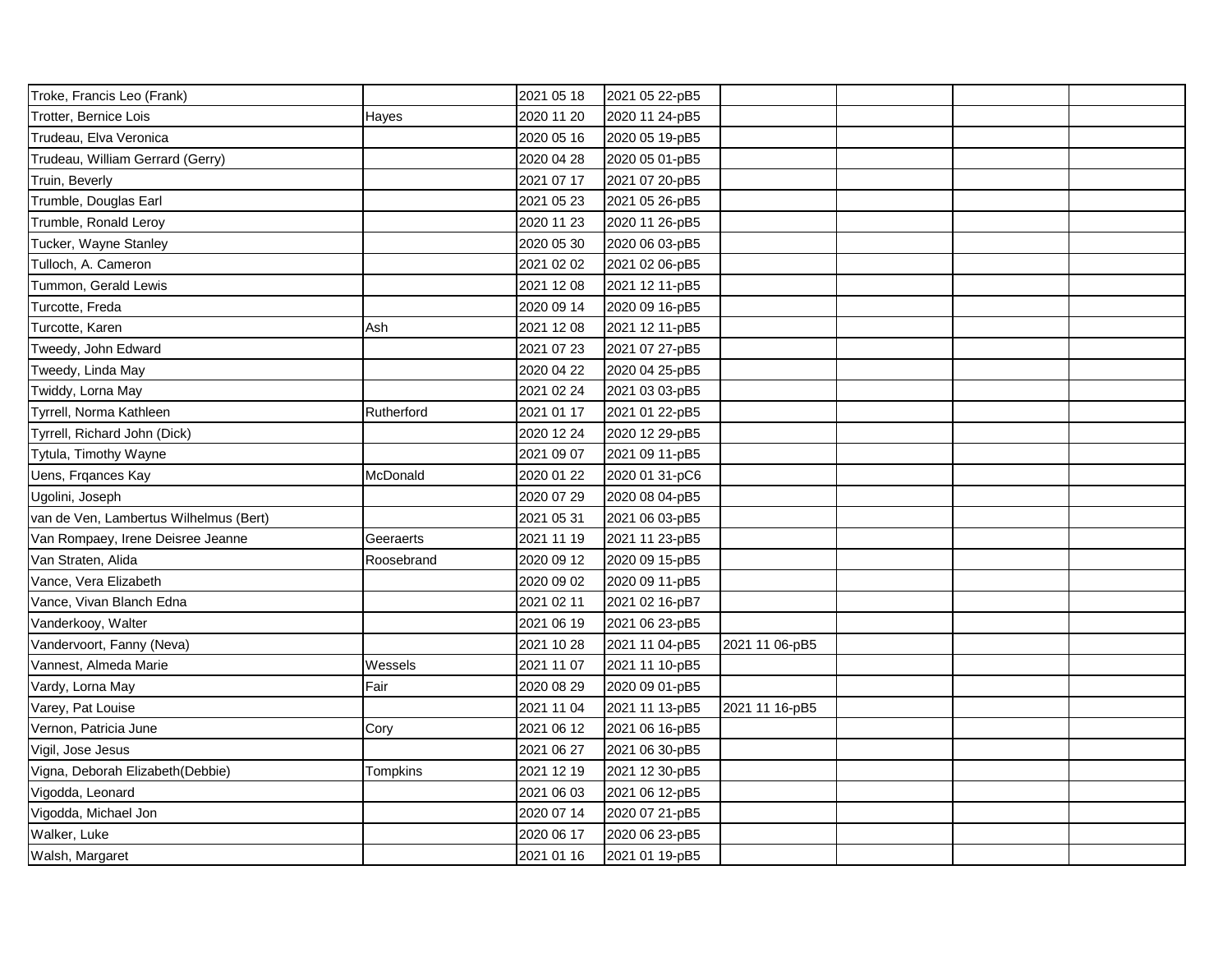| Troke, Francis Leo (Frank)             |            | 2021 05 18 | 2021 05 22-pB5 |                |  |  |
|----------------------------------------|------------|------------|----------------|----------------|--|--|
| Trotter, Bernice Lois                  | Hayes      | 2020 11 20 | 2020 11 24-pB5 |                |  |  |
| Trudeau, Elva Veronica                 |            | 2020 05 16 | 2020 05 19-pB5 |                |  |  |
| Trudeau, William Gerrard (Gerry)       |            | 2020 04 28 | 2020 05 01-pB5 |                |  |  |
| Truin, Beverly                         |            | 2021 07 17 | 2021 07 20-pB5 |                |  |  |
| Trumble, Douglas Earl                  |            | 2021 05 23 | 2021 05 26-pB5 |                |  |  |
| Trumble, Ronald Leroy                  |            | 2020 11 23 | 2020 11 26-pB5 |                |  |  |
| Tucker, Wayne Stanley                  |            | 2020 05 30 | 2020 06 03-pB5 |                |  |  |
| Tulloch, A. Cameron                    |            | 2021 02 02 | 2021 02 06-pB5 |                |  |  |
| Tummon, Gerald Lewis                   |            | 2021 12 08 | 2021 12 11-pB5 |                |  |  |
| Turcotte, Freda                        |            | 2020 09 14 | 2020 09 16-pB5 |                |  |  |
| Turcotte, Karen                        | Ash        | 2021 12 08 | 2021 12 11-pB5 |                |  |  |
| Tweedy, John Edward                    |            | 2021 07 23 | 2021 07 27-pB5 |                |  |  |
| Tweedy, Linda May                      |            | 2020 04 22 | 2020 04 25-pB5 |                |  |  |
| Twiddy, Lorna May                      |            | 2021 02 24 | 2021 03 03-pB5 |                |  |  |
| Tyrrell, Norma Kathleen                | Rutherford | 2021 01 17 | 2021 01 22-pB5 |                |  |  |
| Tyrrell, Richard John (Dick)           |            | 2020 12 24 | 2020 12 29-pB5 |                |  |  |
| Tytula, Timothy Wayne                  |            | 2021 09 07 | 2021 09 11-pB5 |                |  |  |
| Uens, Frqances Kay                     | McDonald   | 2020 01 22 | 2020 01 31-pC6 |                |  |  |
| Ugolini, Joseph                        |            | 2020 07 29 | 2020 08 04-pB5 |                |  |  |
| van de Ven, Lambertus Wilhelmus (Bert) |            | 2021 05 31 | 2021 06 03-pB5 |                |  |  |
| Van Rompaey, Irene Deisree Jeanne      | Geeraerts  | 2021 11 19 | 2021 11 23-pB5 |                |  |  |
| Van Straten, Alida                     | Roosebrand | 2020 09 12 | 2020 09 15-pB5 |                |  |  |
| Vance, Vera Elizabeth                  |            | 2020 09 02 | 2020 09 11-pB5 |                |  |  |
| Vance, Vivan Blanch Edna               |            | 2021 02 11 | 2021 02 16-pB7 |                |  |  |
| Vanderkooy, Walter                     |            | 2021 06 19 | 2021 06 23-pB5 |                |  |  |
| Vandervoort, Fanny (Neva)              |            | 2021 10 28 | 2021 11 04-pB5 | 2021 11 06-pB5 |  |  |
| Vannest, Almeda Marie                  | Wessels    | 2021 11 07 | 2021 11 10-pB5 |                |  |  |
| Vardy, Lorna May                       | Fair       | 2020 08 29 | 2020 09 01-pB5 |                |  |  |
| Varey, Pat Louise                      |            | 2021 11 04 | 2021 11 13-pB5 | 2021 11 16-pB5 |  |  |
| Vernon, Patricia June                  | Cory       | 2021 06 12 | 2021 06 16-pB5 |                |  |  |
| Vigil, Jose Jesus                      |            | 2021 06 27 | 2021 06 30-pB5 |                |  |  |
| Vigna, Deborah Elizabeth (Debbie)      | Tompkins   | 2021 12 19 | 2021 12 30-pB5 |                |  |  |
| Vigodda, Leonard                       |            | 2021 06 03 | 2021 06 12-pB5 |                |  |  |
| Vigodda, Michael Jon                   |            | 2020 07 14 | 2020 07 21-pB5 |                |  |  |
| Walker, Luke                           |            | 2020 06 17 | 2020 06 23-pB5 |                |  |  |
| Walsh, Margaret                        |            | 2021 01 16 | 2021 01 19-pB5 |                |  |  |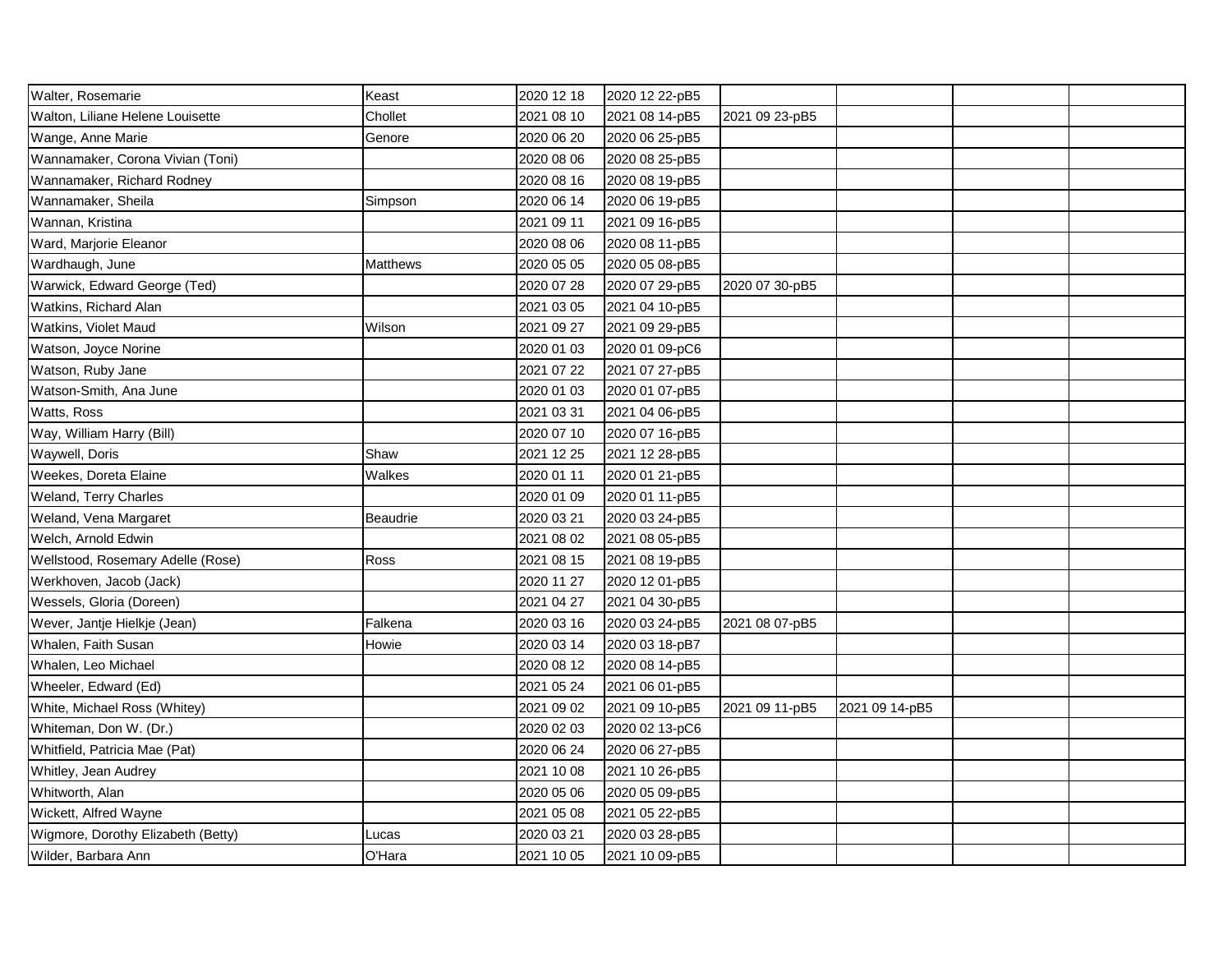| Walter, Rosemarie                  | Keast           | 2020 12 18 | 2020 12 22-pB5 |                |                |  |
|------------------------------------|-----------------|------------|----------------|----------------|----------------|--|
| Walton, Liliane Helene Louisette   | Chollet         | 2021 08 10 | 2021 08 14-pB5 | 2021 09 23-pB5 |                |  |
| Wange, Anne Marie                  | Genore          | 2020 06 20 | 2020 06 25-pB5 |                |                |  |
| Wannamaker, Corona Vivian (Toni)   |                 | 2020 08 06 | 2020 08 25-pB5 |                |                |  |
| Wannamaker, Richard Rodney         |                 | 2020 08 16 | 2020 08 19-pB5 |                |                |  |
| Wannamaker, Sheila                 | Simpson         | 2020 06 14 | 2020 06 19-pB5 |                |                |  |
| Wannan, Kristina                   |                 | 2021 09 11 | 2021 09 16-pB5 |                |                |  |
| Ward, Marjorie Eleanor             |                 | 2020 08 06 | 2020 08 11-pB5 |                |                |  |
| Wardhaugh, June                    | <b>Matthews</b> | 2020 05 05 | 2020 05 08-pB5 |                |                |  |
| Warwick, Edward George (Ted)       |                 | 2020 07 28 | 2020 07 29-pB5 | 2020 07 30-pB5 |                |  |
| Watkins, Richard Alan              |                 | 2021 03 05 | 2021 04 10-pB5 |                |                |  |
| Watkins, Violet Maud               | Wilson          | 2021 09 27 | 2021 09 29-pB5 |                |                |  |
| Watson, Joyce Norine               |                 | 2020 01 03 | 2020 01 09-pC6 |                |                |  |
| Watson, Ruby Jane                  |                 | 2021 07 22 | 2021 07 27-pB5 |                |                |  |
| Watson-Smith, Ana June             |                 | 2020 01 03 | 2020 01 07-pB5 |                |                |  |
| Watts, Ross                        |                 | 2021 03 31 | 2021 04 06-pB5 |                |                |  |
| Way, William Harry (Bill)          |                 | 2020 07 10 | 2020 07 16-pB5 |                |                |  |
| Waywell, Doris                     | Shaw            | 2021 12 25 | 2021 12 28-pB5 |                |                |  |
| Weekes, Doreta Elaine              | Walkes          | 2020 01 11 | 2020 01 21-pB5 |                |                |  |
| Weland, Terry Charles              |                 | 2020 01 09 | 2020 01 11-pB5 |                |                |  |
| Weland, Vena Margaret              | Beaudrie        | 2020 03 21 | 2020 03 24-pB5 |                |                |  |
| Welch, Arnold Edwin                |                 | 2021 08 02 | 2021 08 05-pB5 |                |                |  |
| Wellstood, Rosemary Adelle (Rose)  | Ross            | 2021 08 15 | 2021 08 19-pB5 |                |                |  |
| Werkhoven, Jacob (Jack)            |                 | 2020 11 27 | 2020 12 01-pB5 |                |                |  |
| Wessels, Gloria (Doreen)           |                 | 2021 04 27 | 2021 04 30-pB5 |                |                |  |
| Wever, Jantje Hielkje (Jean)       | Falkena         | 2020 03 16 | 2020 03 24-pB5 | 2021 08 07-pB5 |                |  |
| Whalen, Faith Susan                | Howie           | 2020 03 14 | 2020 03 18-pB7 |                |                |  |
| Whalen, Leo Michael                |                 | 2020 08 12 | 2020 08 14-pB5 |                |                |  |
| Wheeler, Edward (Ed)               |                 | 2021 05 24 | 2021 06 01-pB5 |                |                |  |
| White, Michael Ross (Whitey)       |                 | 2021 09 02 | 2021 09 10-pB5 | 2021 09 11-pB5 | 2021 09 14-pB5 |  |
| Whiteman, Don W. (Dr.)             |                 | 2020 02 03 | 2020 02 13-pC6 |                |                |  |
| Whitfield, Patricia Mae (Pat)      |                 | 2020 06 24 | 2020 06 27-pB5 |                |                |  |
| Whitley, Jean Audrey               |                 | 2021 10 08 | 2021 10 26-pB5 |                |                |  |
| Whitworth, Alan                    |                 | 2020 05 06 | 2020 05 09-pB5 |                |                |  |
| Wickett, Alfred Wayne              |                 | 2021 05 08 | 2021 05 22-pB5 |                |                |  |
| Wigmore, Dorothy Elizabeth (Betty) | Lucas           | 2020 03 21 | 2020 03 28-pB5 |                |                |  |
| Wilder, Barbara Ann                | O'Hara          | 2021 10 05 | 2021 10 09-pB5 |                |                |  |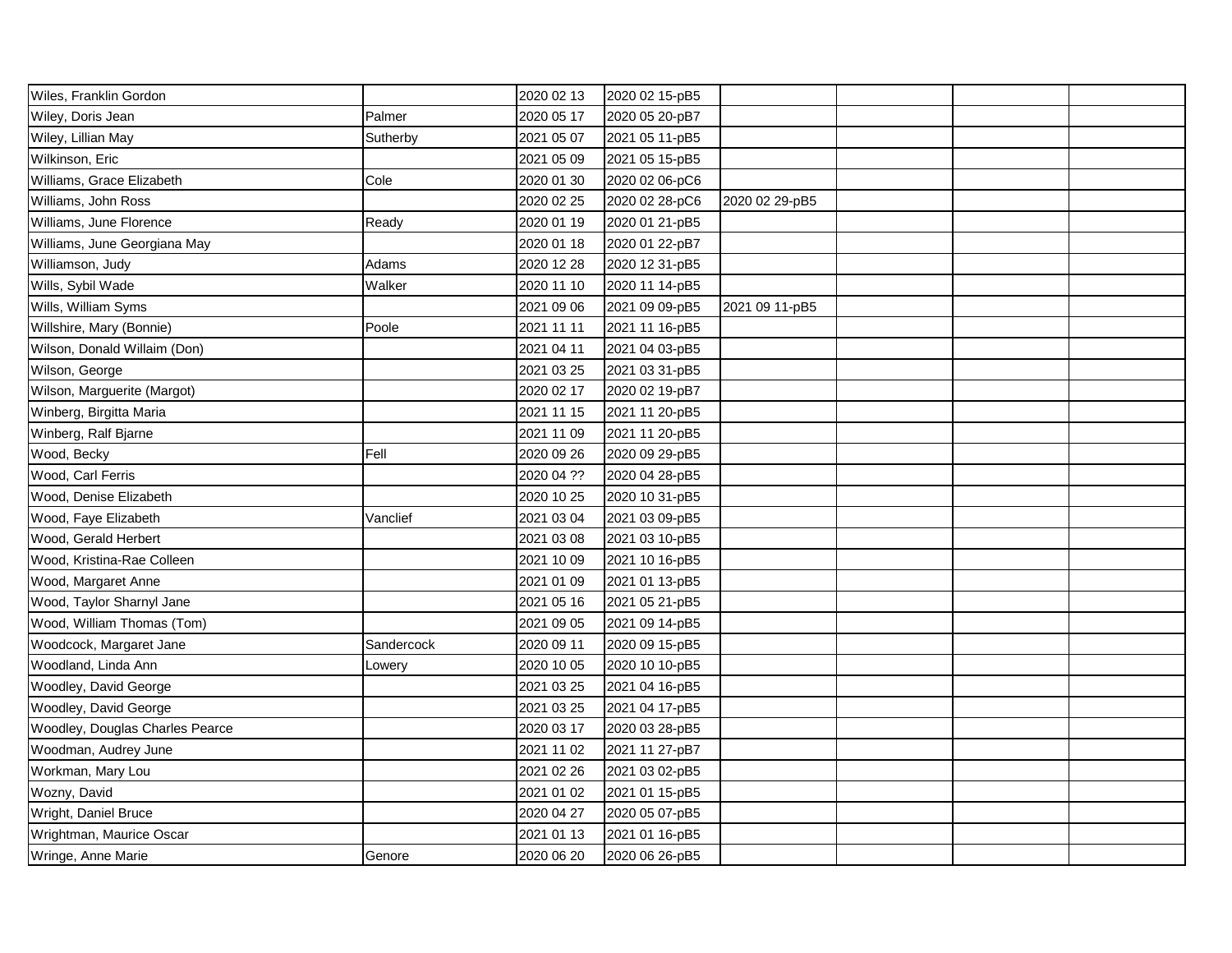| Wiles, Franklin Gordon          |            | 2020 02 13 | 2020 02 15-pB5 |                |  |  |
|---------------------------------|------------|------------|----------------|----------------|--|--|
| Wiley, Doris Jean               | Palmer     | 2020 05 17 | 2020 05 20-pB7 |                |  |  |
| Wiley, Lillian May              | Sutherby   | 2021 05 07 | 2021 05 11-pB5 |                |  |  |
| Wilkinson, Eric                 |            | 2021 05 09 | 2021 05 15-pB5 |                |  |  |
| Williams, Grace Elizabeth       | Cole       | 2020 01 30 | 2020 02 06-pC6 |                |  |  |
| Williams, John Ross             |            | 2020 02 25 | 2020 02 28-pC6 | 2020 02 29-pB5 |  |  |
| Williams, June Florence         | Ready      | 2020 01 19 | 2020 01 21-pB5 |                |  |  |
| Williams, June Georgiana May    |            | 2020 01 18 | 2020 01 22-pB7 |                |  |  |
| Williamson, Judy                | Adams      | 2020 12 28 | 2020 12 31-pB5 |                |  |  |
| Wills, Sybil Wade               | Walker     | 2020 11 10 | 2020 11 14-pB5 |                |  |  |
| Wills, William Syms             |            | 2021 09 06 | 2021 09 09-pB5 | 2021 09 11-pB5 |  |  |
| Willshire, Mary (Bonnie)        | Poole      | 2021 11 11 | 2021 11 16-pB5 |                |  |  |
| Wilson, Donald Willaim (Don)    |            | 2021 04 11 | 2021 04 03-pB5 |                |  |  |
| Wilson, George                  |            | 2021 03 25 | 2021 03 31-pB5 |                |  |  |
| Wilson, Marguerite (Margot)     |            | 2020 02 17 | 2020 02 19-pB7 |                |  |  |
| Winberg, Birgitta Maria         |            | 2021 11 15 | 2021 11 20-pB5 |                |  |  |
| Winberg, Ralf Bjarne            |            | 2021 11 09 | 2021 11 20-pB5 |                |  |  |
| Wood, Becky                     | Fell       | 2020 09 26 | 2020 09 29-pB5 |                |  |  |
| Wood, Carl Ferris               |            | 2020 04 ?? | 2020 04 28-pB5 |                |  |  |
| Wood, Denise Elizabeth          |            | 2020 10 25 | 2020 10 31-pB5 |                |  |  |
| Wood, Faye Elizabeth            | Vanclief   | 2021 03 04 | 2021 03 09-pB5 |                |  |  |
| Wood, Gerald Herbert            |            | 2021 03 08 | 2021 03 10-pB5 |                |  |  |
| Wood, Kristina-Rae Colleen      |            | 2021 10 09 | 2021 10 16-pB5 |                |  |  |
| Wood, Margaret Anne             |            | 2021 01 09 | 2021 01 13-pB5 |                |  |  |
| Wood, Taylor Sharnyl Jane       |            | 2021 05 16 | 2021 05 21-pB5 |                |  |  |
| Wood, William Thomas (Tom)      |            | 2021 09 05 | 2021 09 14-pB5 |                |  |  |
| Woodcock, Margaret Jane         | Sandercock | 2020 09 11 | 2020 09 15-pB5 |                |  |  |
| Woodland, Linda Ann             | Lowery     | 2020 10 05 | 2020 10 10-pB5 |                |  |  |
| Woodley, David George           |            | 2021 03 25 | 2021 04 16-pB5 |                |  |  |
| Woodley, David George           |            | 2021 03 25 | 2021 04 17-pB5 |                |  |  |
| Woodley, Douglas Charles Pearce |            | 2020 03 17 | 2020 03 28-pB5 |                |  |  |
| Woodman, Audrey June            |            | 2021 11 02 | 2021 11 27-pB7 |                |  |  |
| Workman, Mary Lou               |            | 2021 02 26 | 2021 03 02-pB5 |                |  |  |
| Wozny, David                    |            | 2021 01 02 | 2021 01 15-pB5 |                |  |  |
| Wright, Daniel Bruce            |            | 2020 04 27 | 2020 05 07-pB5 |                |  |  |
| Wrightman, Maurice Oscar        |            | 2021 01 13 | 2021 01 16-pB5 |                |  |  |
| Wringe, Anne Marie              | Genore     | 2020 06 20 | 2020 06 26-pB5 |                |  |  |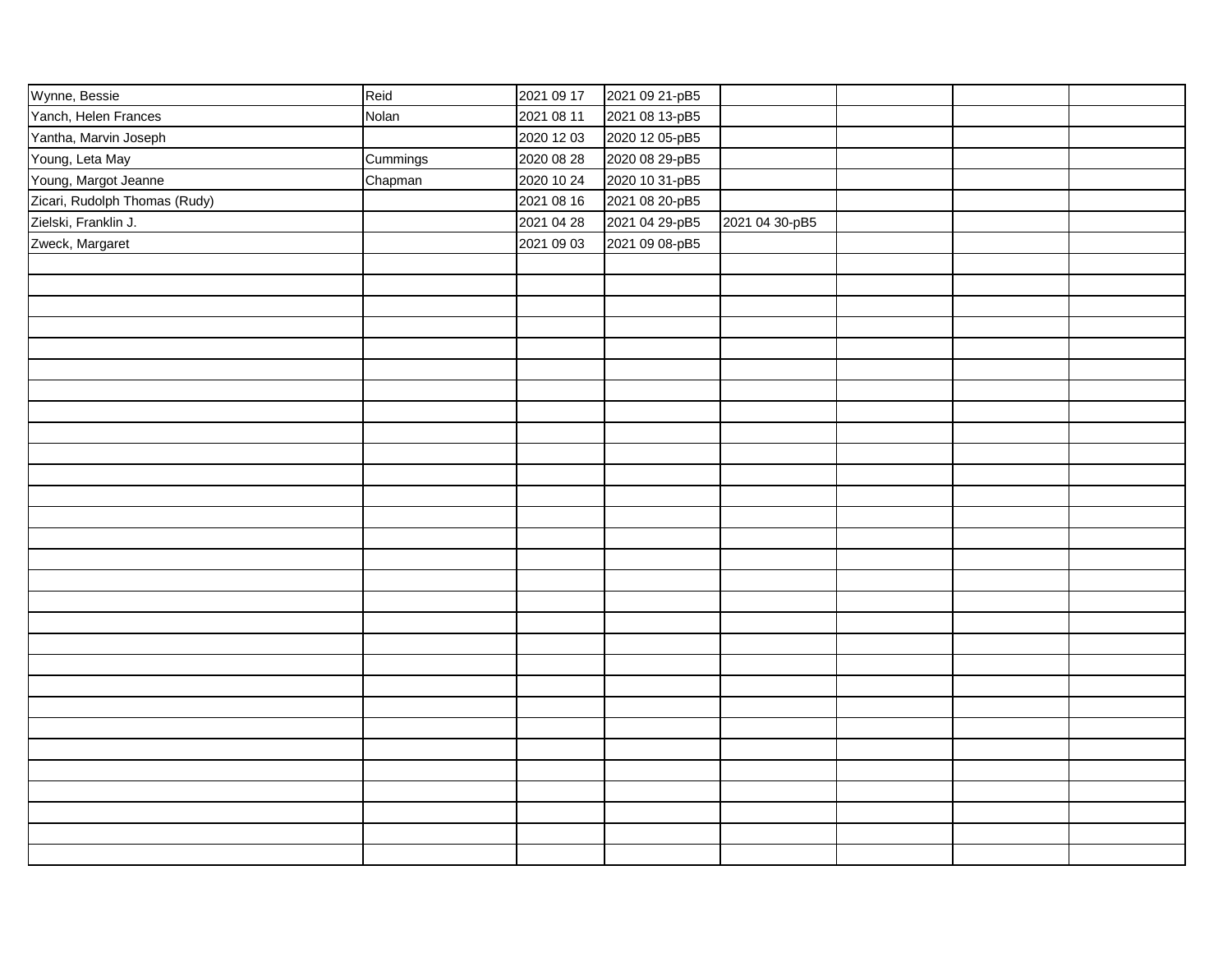| Wynne, Bessie                 | Reid     | 2021 09 17 | 2021 09 21-pB5 |                |  |  |
|-------------------------------|----------|------------|----------------|----------------|--|--|
| Yanch, Helen Frances          | Nolan    | 2021 08 11 | 2021 08 13-pB5 |                |  |  |
| Yantha, Marvin Joseph         |          | 2020 12 03 | 2020 12 05-pB5 |                |  |  |
| Young, Leta May               | Cummings | 2020 08 28 | 2020 08 29-pB5 |                |  |  |
| Young, Margot Jeanne          | Chapman  | 2020 10 24 | 2020 10 31-pB5 |                |  |  |
| Zicari, Rudolph Thomas (Rudy) |          | 2021 08 16 | 2021 08 20-pB5 |                |  |  |
| Zielski, Franklin J.          |          | 2021 04 28 | 2021 04 29-pB5 | 2021 04 30-pB5 |  |  |
| Zweck, Margaret               |          | 2021 09 03 | 2021 09 08-pB5 |                |  |  |
|                               |          |            |                |                |  |  |
|                               |          |            |                |                |  |  |
|                               |          |            |                |                |  |  |
|                               |          |            |                |                |  |  |
|                               |          |            |                |                |  |  |
|                               |          |            |                |                |  |  |
|                               |          |            |                |                |  |  |
|                               |          |            |                |                |  |  |
|                               |          |            |                |                |  |  |
|                               |          |            |                |                |  |  |
|                               |          |            |                |                |  |  |
|                               |          |            |                |                |  |  |
|                               |          |            |                |                |  |  |
|                               |          |            |                |                |  |  |
|                               |          |            |                |                |  |  |
|                               |          |            |                |                |  |  |
|                               |          |            |                |                |  |  |
|                               |          |            |                |                |  |  |
|                               |          |            |                |                |  |  |
|                               |          |            |                |                |  |  |
|                               |          |            |                |                |  |  |
|                               |          |            |                |                |  |  |
|                               |          |            |                |                |  |  |
|                               |          |            |                |                |  |  |
|                               |          |            |                |                |  |  |
|                               |          |            |                |                |  |  |
|                               |          |            |                |                |  |  |
|                               |          |            |                |                |  |  |
|                               |          |            |                |                |  |  |